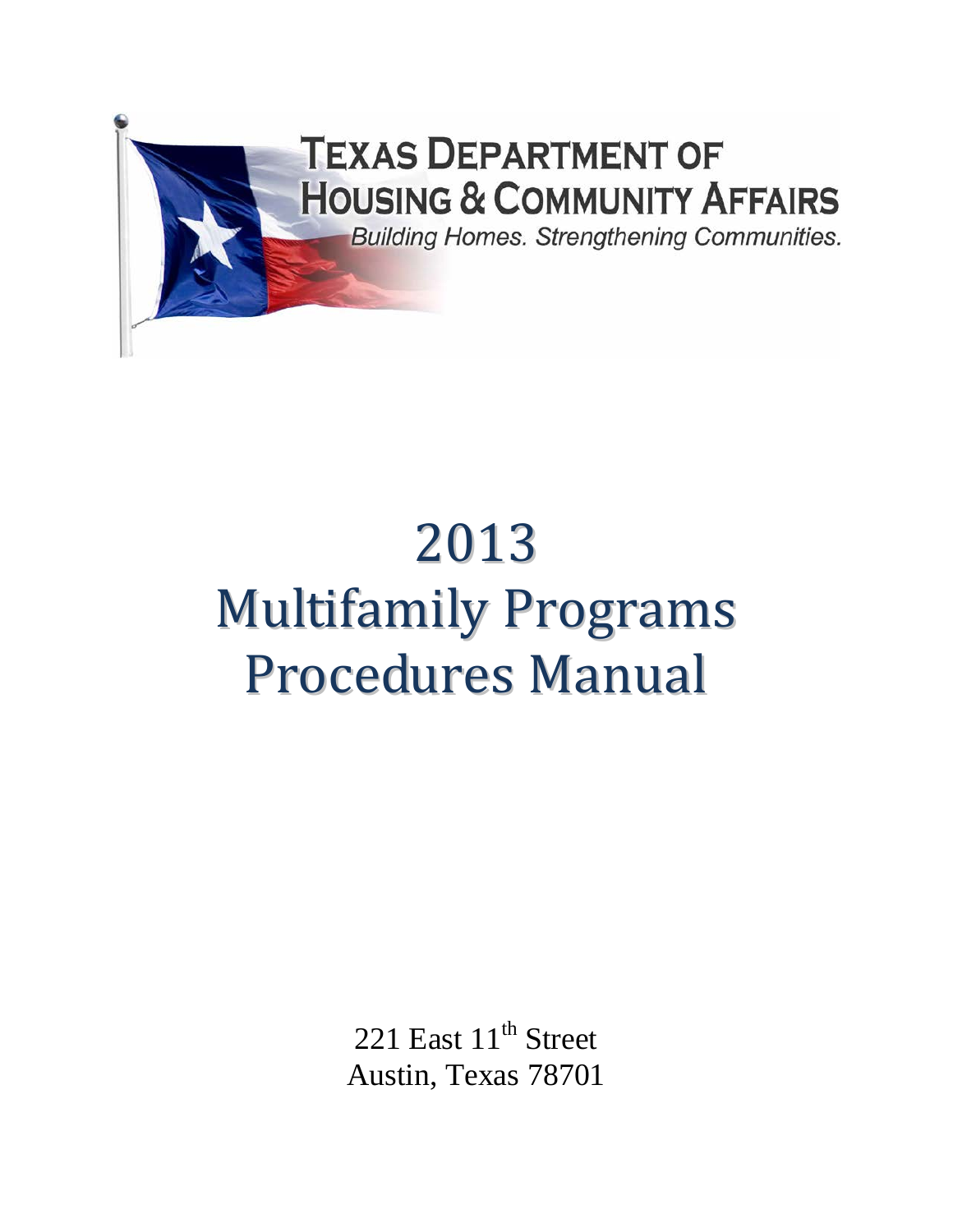

# 2013 Multifamily Programs Procedures Manual

221 East 11<sup>th</sup> Street Austin, Texas 78701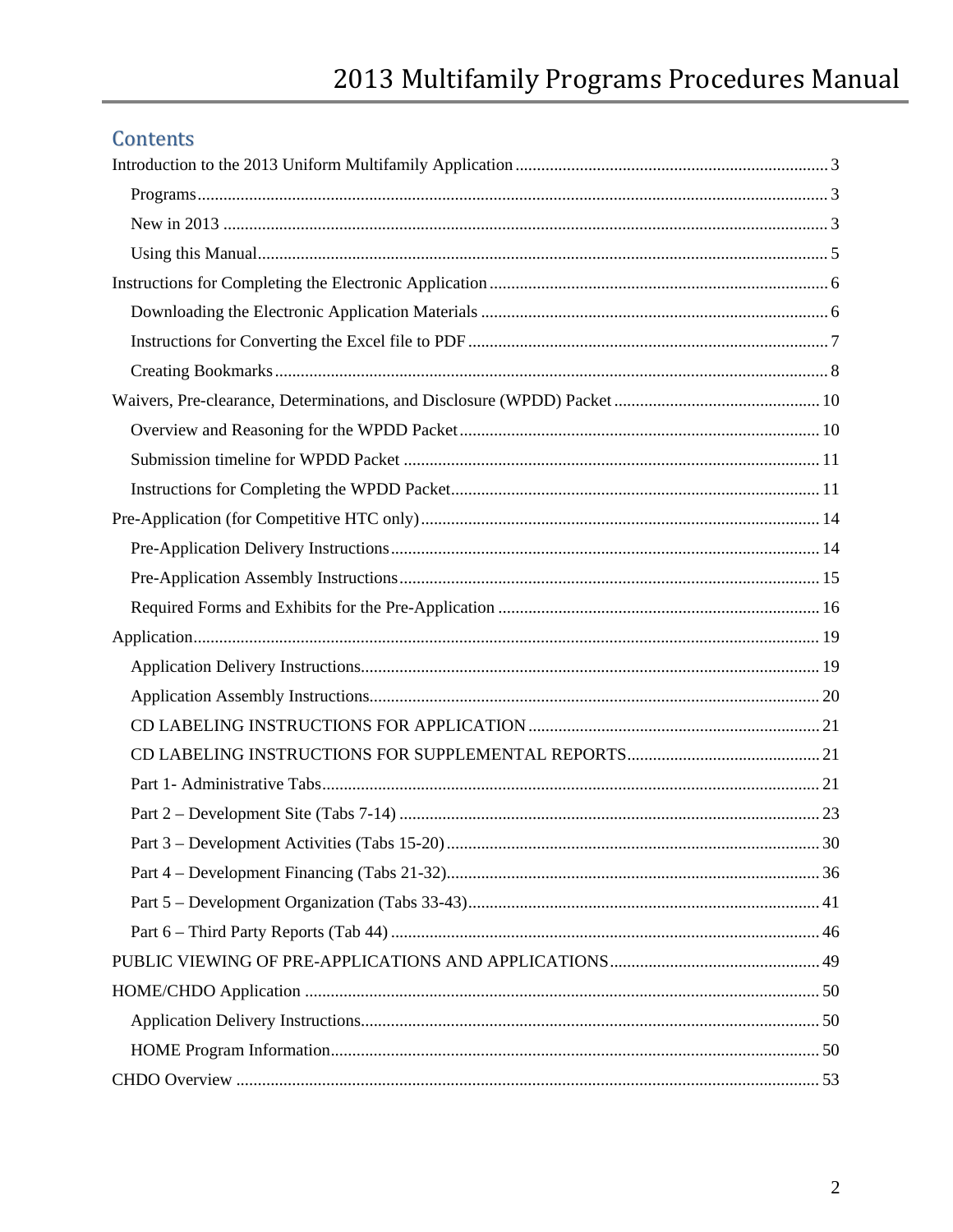# Contents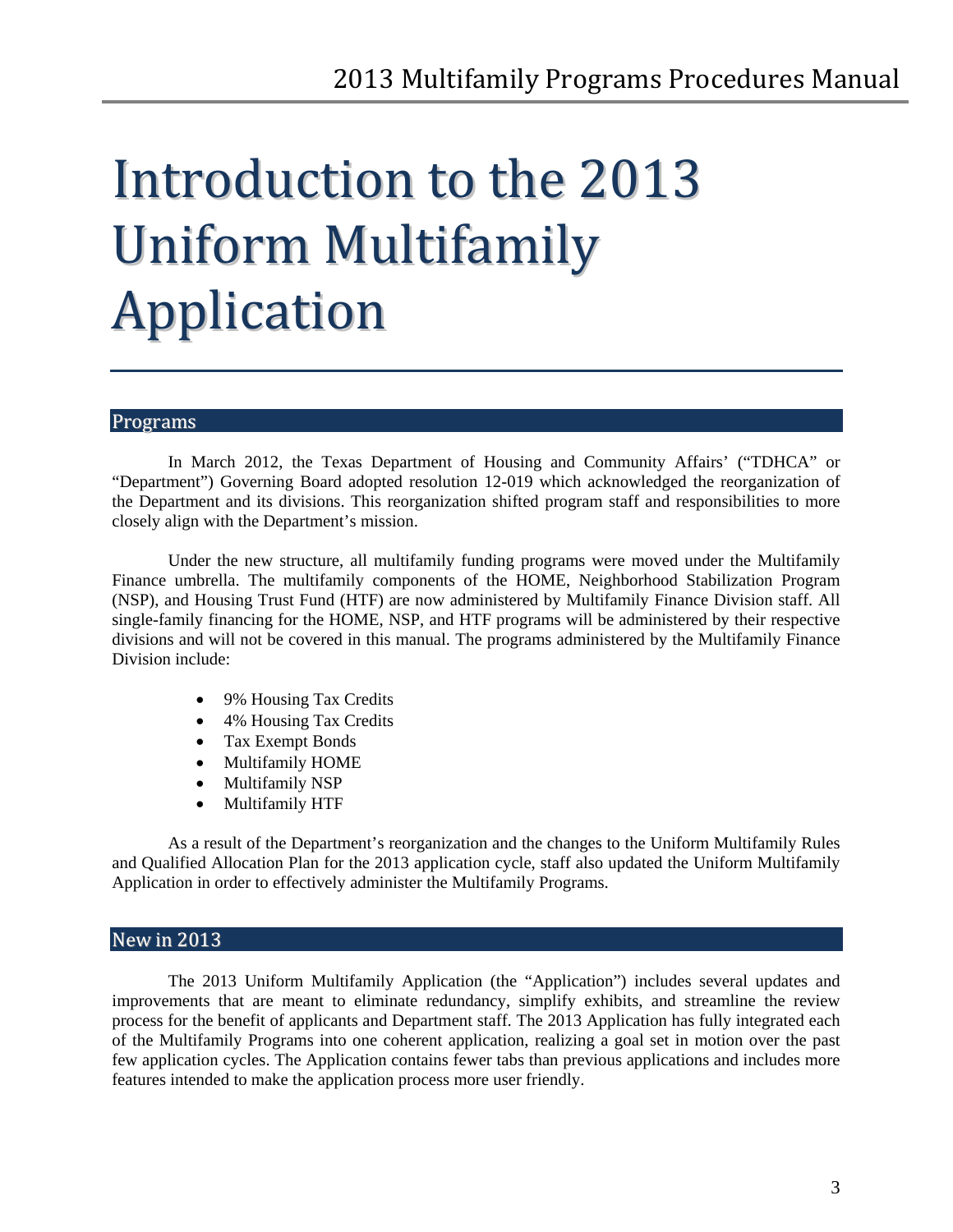# <span id="page-2-0"></span>Introduction to the 2013 Uniform Multifamily Application

# <span id="page-2-1"></span>Programs

In March 2012, the Texas Department of Housing and Community Affairs' ("TDHCA" or "Department") Governing Board adopted resolution 12-019 which acknowledged the reorganization of the Department and its divisions. This reorganization shifted program staff and responsibilities to more closely align with the Department's mission.

Under the new structure, all multifamily funding programs were moved under the Multifamily Finance umbrella. The multifamily components of the HOME, Neighborhood Stabilization Program (NSP), and Housing Trust Fund (HTF) are now administered by Multifamily Finance Division staff. All single-family financing for the HOME, NSP, and HTF programs will be administered by their respective divisions and will not be covered in this manual. The programs administered by the Multifamily Finance Division include:

- 9% Housing Tax Credits
- 4% Housing Tax Credits
- Tax Exempt Bonds
- Multifamily HOME
- Multifamily NSP
- Multifamily HTF

As a result of the Department's reorganization and the changes to the Uniform Multifamily Rules and Qualified Allocation Plan for the 2013 application cycle, staff also updated the Uniform Multifamily Application in order to effectively administer the Multifamily Programs.

# <span id="page-2-2"></span>New in 2013

The 2013 Uniform Multifamily Application (the "Application") includes several updates and improvements that are meant to eliminate redundancy, simplify exhibits, and streamline the review process for the benefit of applicants and Department staff. The 2013 Application has fully integrated each of the Multifamily Programs into one coherent application, realizing a goal set in motion over the past few application cycles. The Application contains fewer tabs than previous applications and includes more features intended to make the application process more user friendly.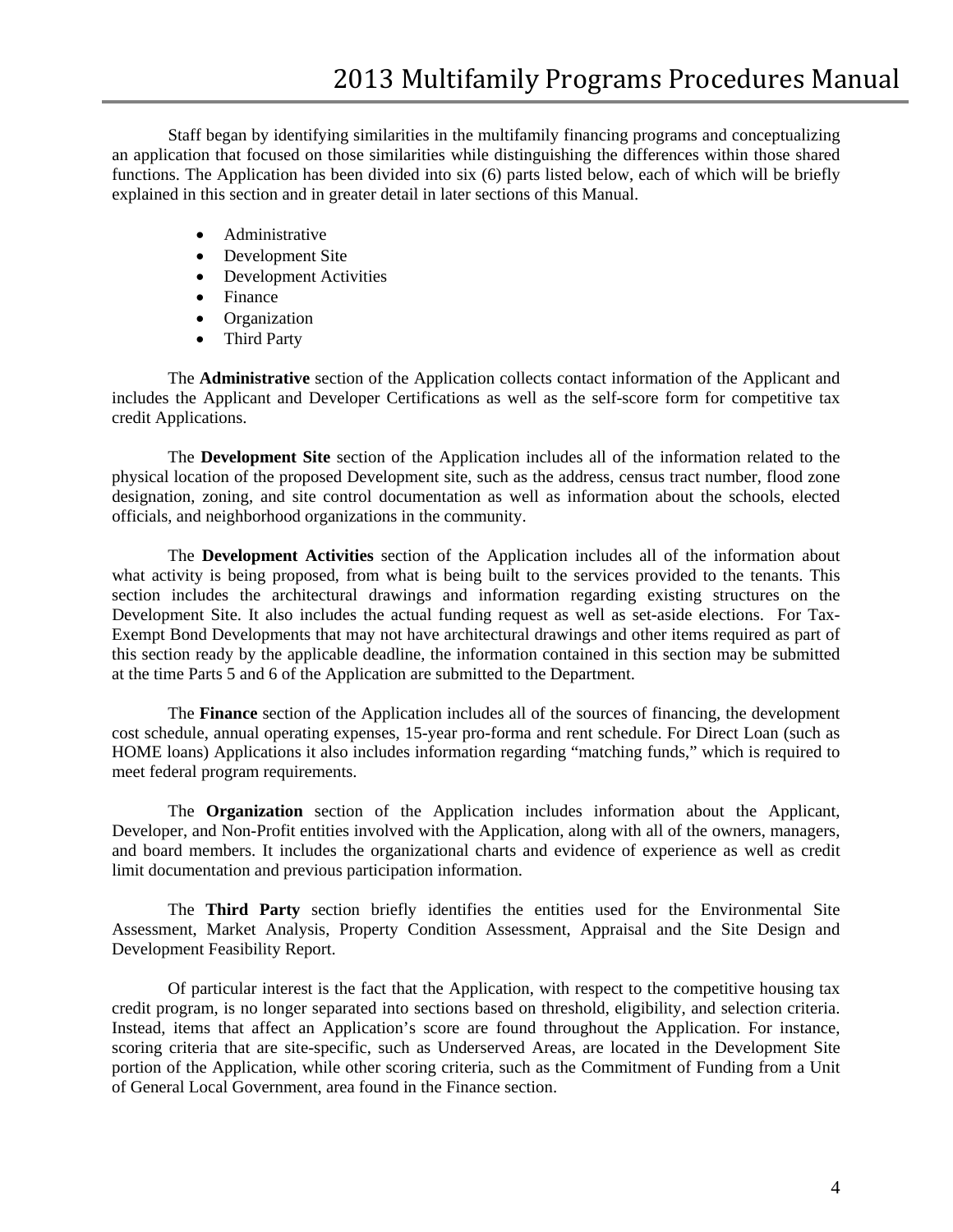Staff began by identifying similarities in the multifamily financing programs and conceptualizing an application that focused on those similarities while distinguishing the differences within those shared functions. The Application has been divided into six (6) parts listed below, each of which will be briefly explained in this section and in greater detail in later sections of this Manual.

- Administrative
- Development Site
- Development Activities
- Finance
- Organization
- Third Party

The **Administrative** section of the Application collects contact information of the Applicant and includes the Applicant and Developer Certifications as well as the self-score form for competitive tax credit Applications.

The **Development Site** section of the Application includes all of the information related to the physical location of the proposed Development site, such as the address, census tract number, flood zone designation, zoning, and site control documentation as well as information about the schools, elected officials, and neighborhood organizations in the community.

The **Development Activities** section of the Application includes all of the information about what activity is being proposed, from what is being built to the services provided to the tenants. This section includes the architectural drawings and information regarding existing structures on the Development Site. It also includes the actual funding request as well as set-aside elections. For Tax-Exempt Bond Developments that may not have architectural drawings and other items required as part of this section ready by the applicable deadline, the information contained in this section may be submitted at the time Parts 5 and 6 of the Application are submitted to the Department.

The **Finance** section of the Application includes all of the sources of financing, the development cost schedule, annual operating expenses, 15-year pro-forma and rent schedule. For Direct Loan (such as HOME loans) Applications it also includes information regarding "matching funds," which is required to meet federal program requirements.

The **Organization** section of the Application includes information about the Applicant, Developer, and Non-Profit entities involved with the Application, along with all of the owners, managers, and board members. It includes the organizational charts and evidence of experience as well as credit limit documentation and previous participation information.

The **Third Party** section briefly identifies the entities used for the Environmental Site Assessment, Market Analysis, Property Condition Assessment, Appraisal and the Site Design and Development Feasibility Report.

Of particular interest is the fact that the Application, with respect to the competitive housing tax credit program, is no longer separated into sections based on threshold, eligibility, and selection criteria. Instead, items that affect an Application's score are found throughout the Application. For instance, scoring criteria that are site-specific, such as Underserved Areas, are located in the Development Site portion of the Application, while other scoring criteria, such as the Commitment of Funding from a Unit of General Local Government, area found in the Finance section.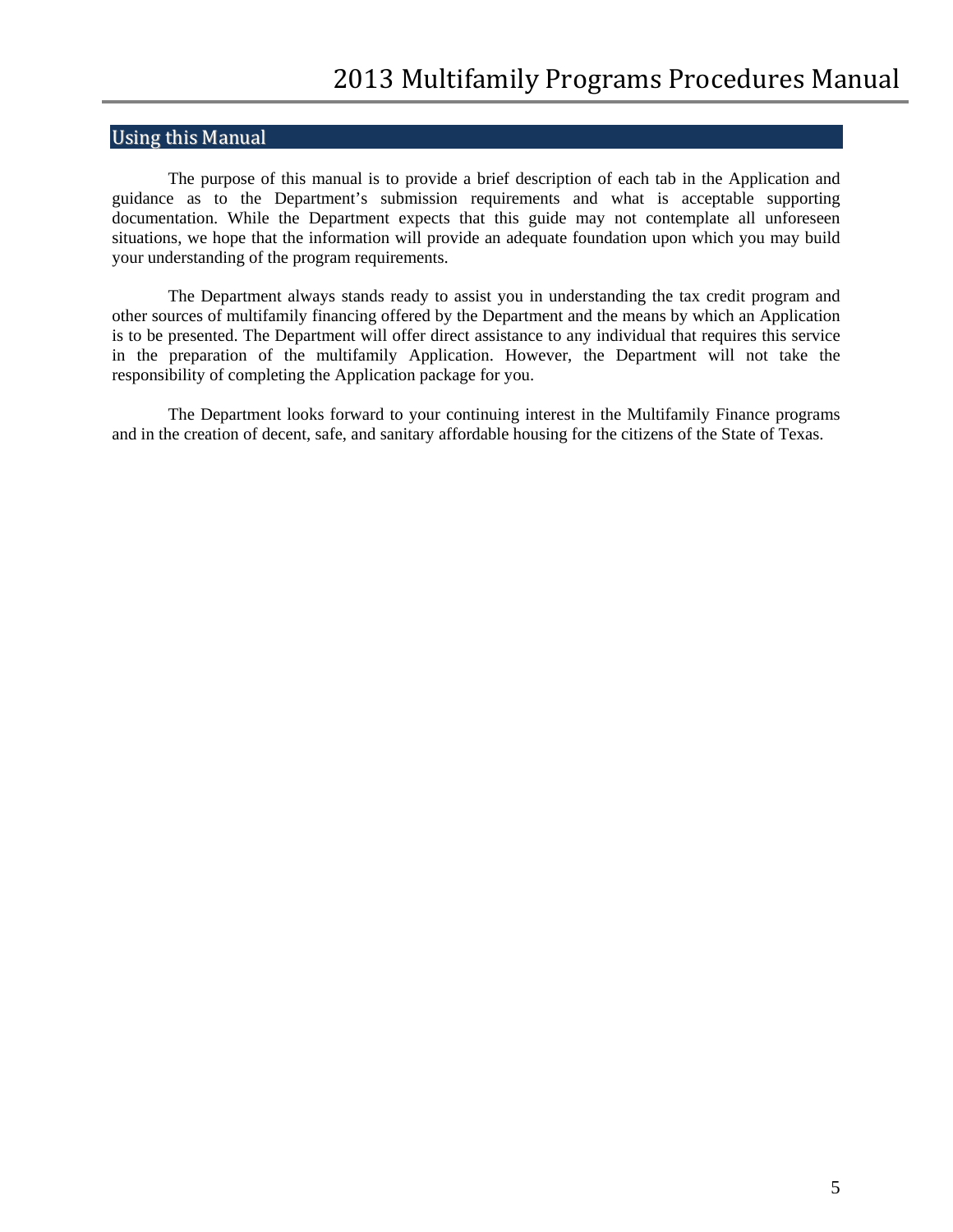# <span id="page-4-0"></span>Using this Manual

The purpose of this manual is to provide a brief description of each tab in the Application and guidance as to the Department's submission requirements and what is acceptable supporting documentation. While the Department expects that this guide may not contemplate all unforeseen situations, we hope that the information will provide an adequate foundation upon which you may build your understanding of the program requirements.

The Department always stands ready to assist you in understanding the tax credit program and other sources of multifamily financing offered by the Department and the means by which an Application is to be presented. The Department will offer direct assistance to any individual that requires this service in the preparation of the multifamily Application. However, the Department will not take the responsibility of completing the Application package for you.

The Department looks forward to your continuing interest in the Multifamily Finance programs and in the creation of decent, safe, and sanitary affordable housing for the citizens of the State of Texas.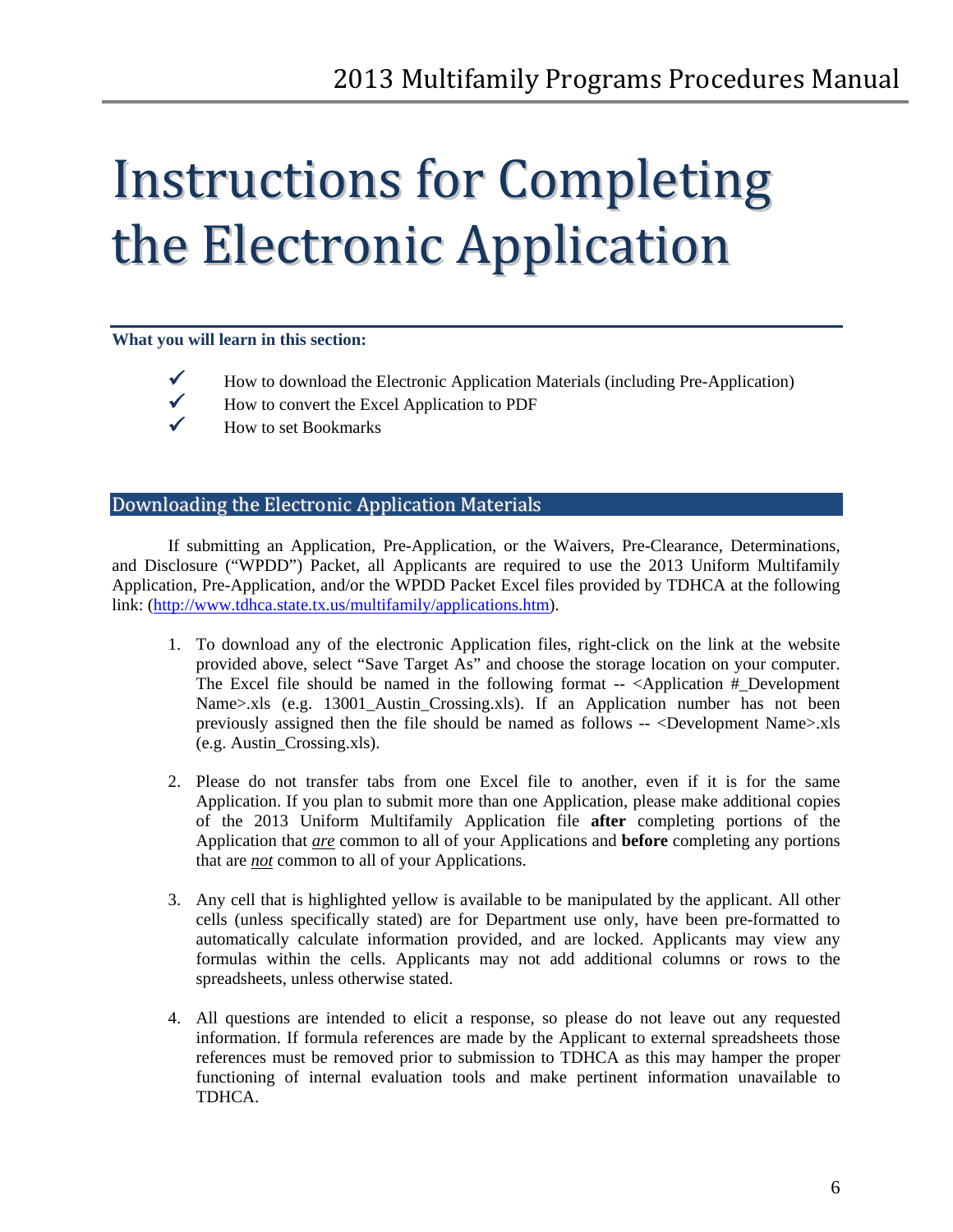# <span id="page-5-0"></span>Instructions for Completing the Electronic Application

#### **What you will learn in this section:**



- $\checkmark$  How to download the Electronic Application Materials (including Pre-Application)
- $\checkmark$  How to convert the Excel Application to PDF
- $\checkmark$  How to set Bookmarks

# <span id="page-5-1"></span>Downloading the Electronic Application Materials

If submitting an Application, Pre-Application, or the Waivers, Pre-Clearance, Determinations, and Disclosure ("WPDD") Packet, all Applicants are required to use the 2013 Uniform Multifamily Application, Pre-Application, and/or the WPDD Packet Excel files provided by TDHCA at the following link: [\(http://www.tdhca.state.tx.us/multifamily/applications.htm\)](http://www.tdhca.state.tx.us/multifamily/applications.htm).

- 1. To download any of the electronic Application files, right-click on the link at the website provided above, select "Save Target As" and choose the storage location on your computer. The Excel file should be named in the following format -- <Application #\_Development Name>.xls (e.g. 13001\_Austin\_Crossing.xls). If an Application number has not been previously assigned then the file should be named as follows -- <Development Name>.xls (e.g. Austin\_Crossing.xls).
- 2. Please do not transfer tabs from one Excel file to another, even if it is for the same Application. If you plan to submit more than one Application, please make additional copies of the 2013 Uniform Multifamily Application file **after** completing portions of the Application that *are* common to all of your Applications and **before** completing any portions that are *not* common to all of your Applications.
- 3. Any cell that is highlighted yellow is available to be manipulated by the applicant. All other cells (unless specifically stated) are for Department use only, have been pre-formatted to automatically calculate information provided, and are locked. Applicants may view any formulas within the cells. Applicants may not add additional columns or rows to the spreadsheets, unless otherwise stated.
- 4. All questions are intended to elicit a response, so please do not leave out any requested information. If formula references are made by the Applicant to external spreadsheets those references must be removed prior to submission to TDHCA as this may hamper the proper functioning of internal evaluation tools and make pertinent information unavailable to TDHCA.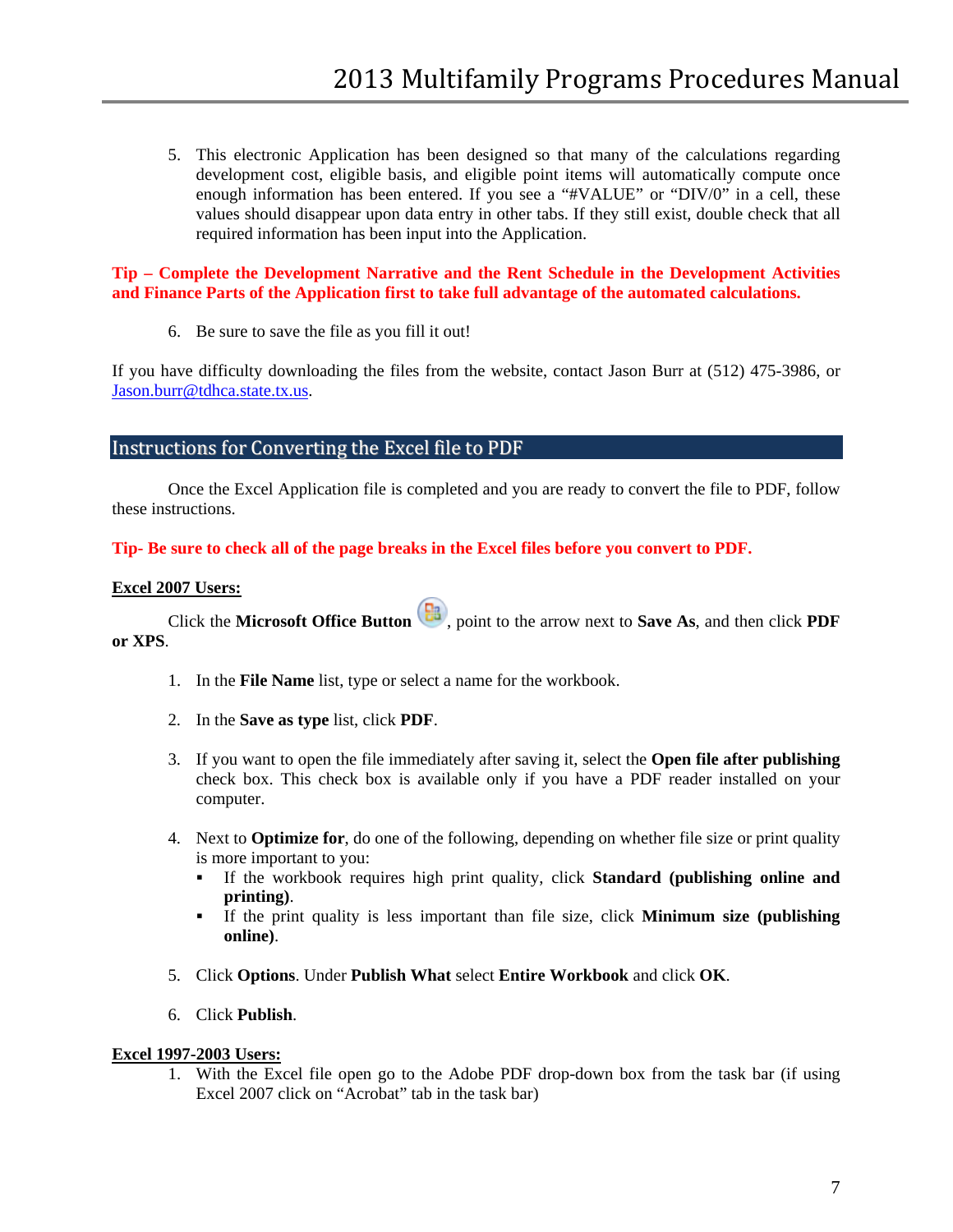5. This electronic Application has been designed so that many of the calculations regarding development cost, eligible basis, and eligible point items will automatically compute once enough information has been entered. If you see a "#VALUE" or "DIV/0" in a cell, these values should disappear upon data entry in other tabs. If they still exist, double check that all required information has been input into the Application.

#### **Tip – Complete the Development Narrative and the Rent Schedule in the Development Activities and Finance Parts of the Application first to take full advantage of the automated calculations.**

6. Be sure to save the file as you fill it out!

If you have difficulty downloading the files from the website, contact Jason Burr at (512) 475-3986, or [Jason.burr@tdhca.state.tx.us.](mailto:Jason.burr@tdhca.state.tx.us)

### <span id="page-6-0"></span>Instructions for Converting the Excel file to PDF

Once the Excel Application file is completed and you are ready to convert the file to PDF, follow these instructions.

#### **Tip- Be sure to check all of the page breaks in the Excel files before you convert to PDF.**

#### **Excel 2007 Users:**

Click the **Microsoft Office Button**  $\begin{bmatrix} \blacksquare \\ \blacksquare \end{bmatrix}$ , point to the arrow next to **Save As**, and then click **PDF or XPS**.

- 1. In the **File Name** list, type or select a name for the workbook.
- 2. In the **Save as type** list, click **PDF**.
- 3. If you want to open the file immediately after saving it, select the **Open file after publishing** check box. This check box is available only if you have a PDF reader installed on your computer.
- 4. Next to **Optimize for**, do one of the following, depending on whether file size or print quality is more important to you:
	- If the workbook requires high print quality, click **Standard (publishing online and printing)**.
	- If the print quality is less important than file size, click **Minimum size (publishing online)**.
- 5. Click **Options**. Under **Publish What** select **Entire Workbook** and click **OK**.
- 6. Click **Publish**.

#### **Excel 1997-2003 Users:**

1. With the Excel file open go to the Adobe PDF drop-down box from the task bar (if using Excel 2007 click on "Acrobat" tab in the task bar)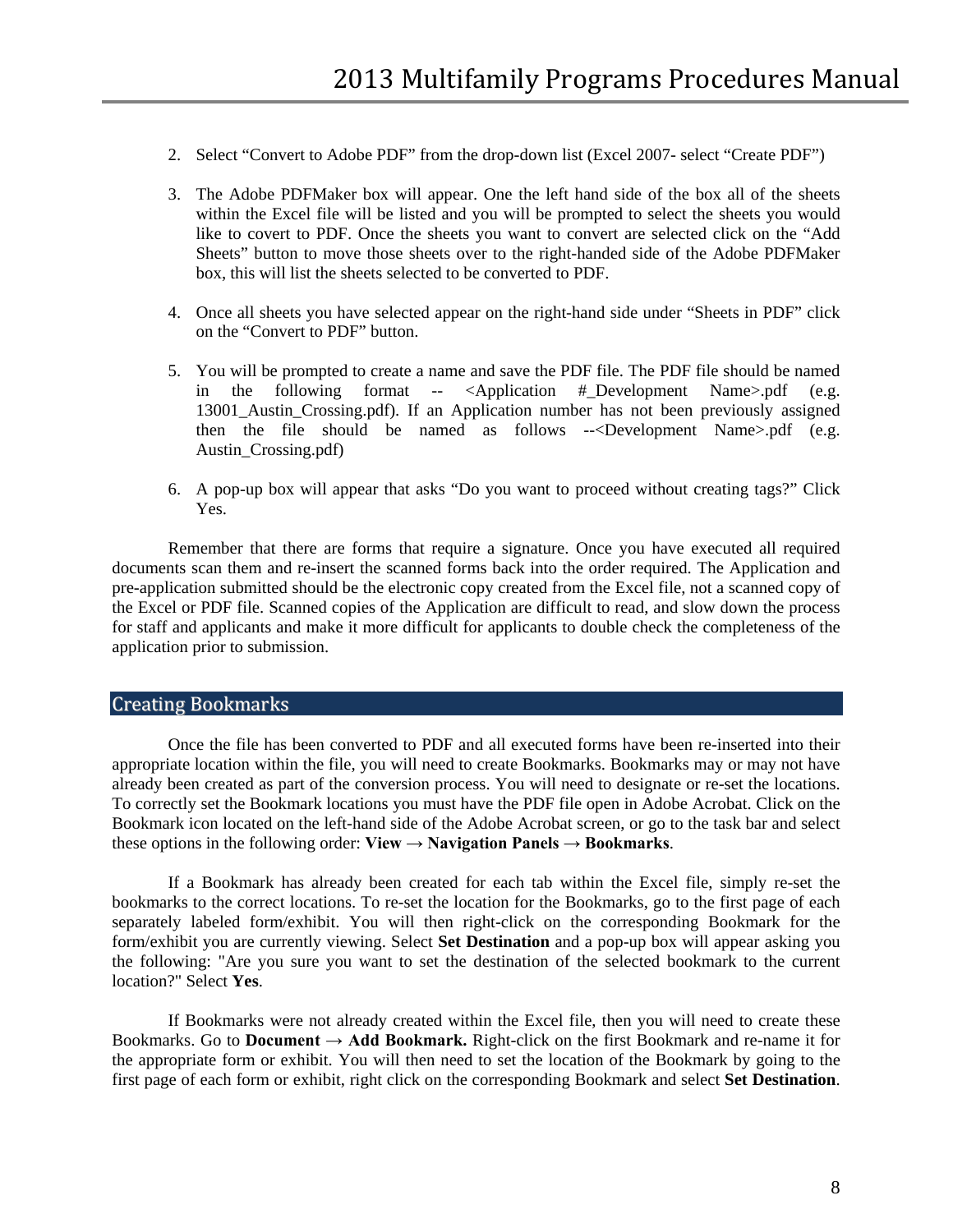- 2. Select "Convert to Adobe PDF" from the drop-down list (Excel 2007- select "Create PDF")
- 3. The Adobe PDFMaker box will appear. One the left hand side of the box all of the sheets within the Excel file will be listed and you will be prompted to select the sheets you would like to covert to PDF. Once the sheets you want to convert are selected click on the "Add Sheets" button to move those sheets over to the right-handed side of the Adobe PDFMaker box, this will list the sheets selected to be converted to PDF.
- 4. Once all sheets you have selected appear on the right-hand side under "Sheets in PDF" click on the "Convert to PDF" button.
- 5. You will be prompted to create a name and save the PDF file. The PDF file should be named in the following format -- <Application #\_Development Name>.pdf (e.g. 13001\_Austin\_Crossing.pdf). If an Application number has not been previously assigned then the file should be named as follows --<Development Name>.pdf (e.g. Austin\_Crossing.pdf)
- 6. A pop-up box will appear that asks "Do you want to proceed without creating tags?" Click Yes.

Remember that there are forms that require a signature. Once you have executed all required documents scan them and re-insert the scanned forms back into the order required. The Application and pre-application submitted should be the electronic copy created from the Excel file, not a scanned copy of the Excel or PDF file. Scanned copies of the Application are difficult to read, and slow down the process for staff and applicants and make it more difficult for applicants to double check the completeness of the application prior to submission.

### <span id="page-7-0"></span>Creating Bookmarks

Once the file has been converted to PDF and all executed forms have been re-inserted into their appropriate location within the file, you will need to create Bookmarks. Bookmarks may or may not have already been created as part of the conversion process. You will need to designate or re-set the locations. To correctly set the Bookmark locations you must have the PDF file open in Adobe Acrobat. Click on the Bookmark icon located on the left-hand side of the Adobe Acrobat screen, or go to the task bar and select these options in the following order:  $View \rightarrow \underline{Navigation$  **Panels**  $\rightarrow \underline{Bookmarks}$ .

If a Bookmark has already been created for each tab within the Excel file, simply re-set the bookmarks to the correct locations. To re-set the location for the Bookmarks, go to the first page of each separately labeled form/exhibit. You will then right-click on the corresponding Bookmark for the form/exhibit you are currently viewing. Select **Set Destination** and a pop-up box will appear asking you the following: "Are you sure you want to set the destination of the selected bookmark to the current location?" Select **Yes**.

If Bookmarks were not already created within the Excel file, then you will need to create these Bookmarks. Go to **Document → Add Bookmark.** Right-click on the first Bookmark and re-name it for the appropriate form or exhibit. You will then need to set the location of the Bookmark by going to the first page of each form or exhibit, right click on the corresponding Bookmark and select **Set Destination**.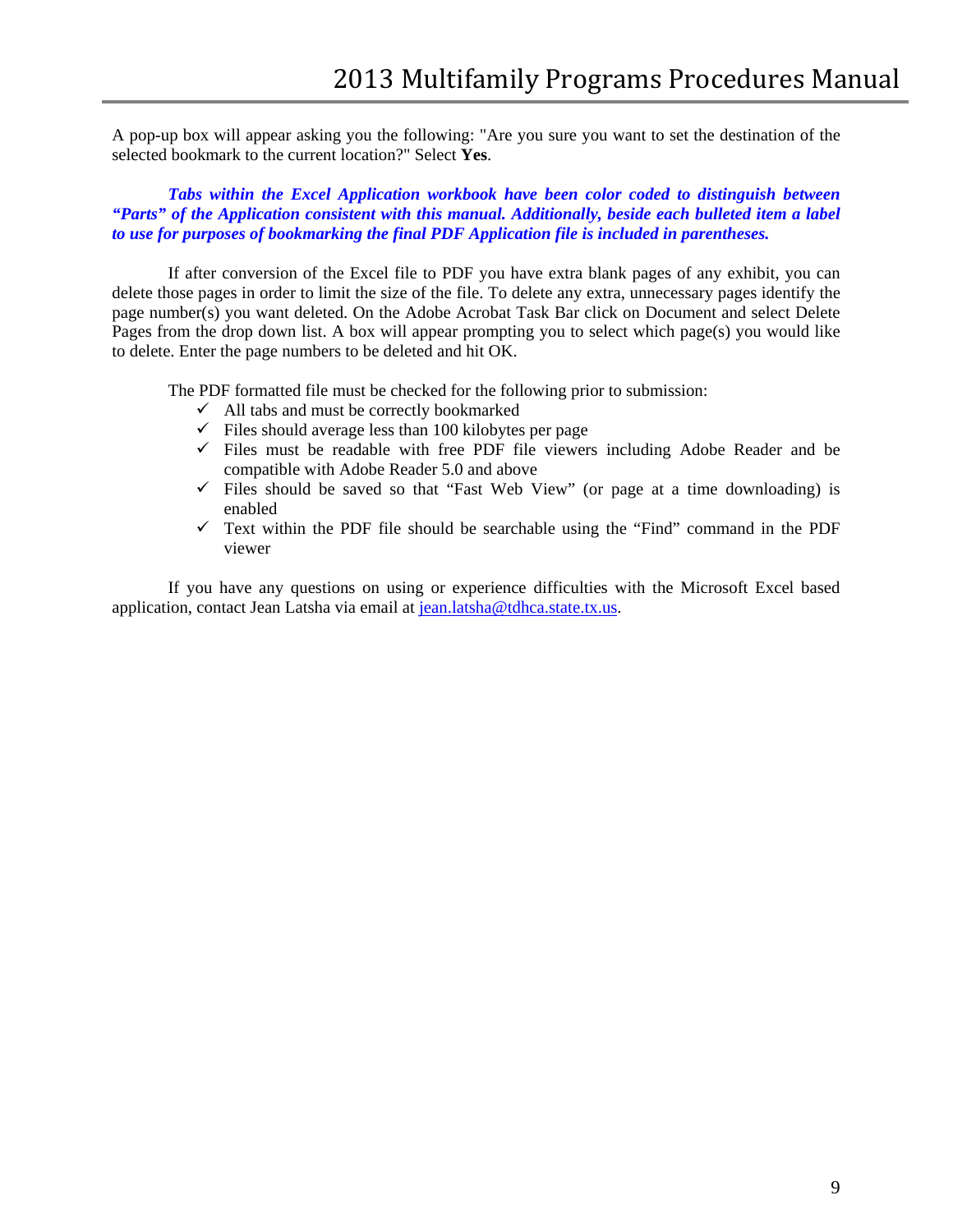A pop-up box will appear asking you the following: "Are you sure you want to set the destination of the selected bookmark to the current location?" Select **Yes**.

*Tabs within the Excel Application workbook have been color coded to distinguish between "Parts" of the Application consistent with this manual. Additionally, beside each bulleted item a label to use for purposes of bookmarking the final PDF Application file is included in parentheses.*

If after conversion of the Excel file to PDF you have extra blank pages of any exhibit, you can delete those pages in order to limit the size of the file. To delete any extra, unnecessary pages identify the page number(s) you want deleted. On the Adobe Acrobat Task Bar click on Document and select Delete Pages from the drop down list. A box will appear prompting you to select which page(s) you would like to delete. Enter the page numbers to be deleted and hit OK.

The PDF formatted file must be checked for the following prior to submission:

- $\checkmark$  All tabs and must be correctly bookmarked
- $\checkmark$  Files should average less than 100 kilobytes per page
- $\checkmark$  Files must be readable with free PDF file viewers including Adobe Reader and be compatible with Adobe Reader 5.0 and above
- $\checkmark$  Files should be saved so that "Fast Web View" (or page at a time downloading) is enabled
- $\checkmark$  Text within the PDF file should be searchable using the "Find" command in the PDF viewer

If you have any questions on using or experience difficulties with the Microsoft Excel based application, contact Jean Latsha via email at [jean.latsha@tdhca.state.tx.us.](mailto:jean.latsha@tdhca.state.tx.us)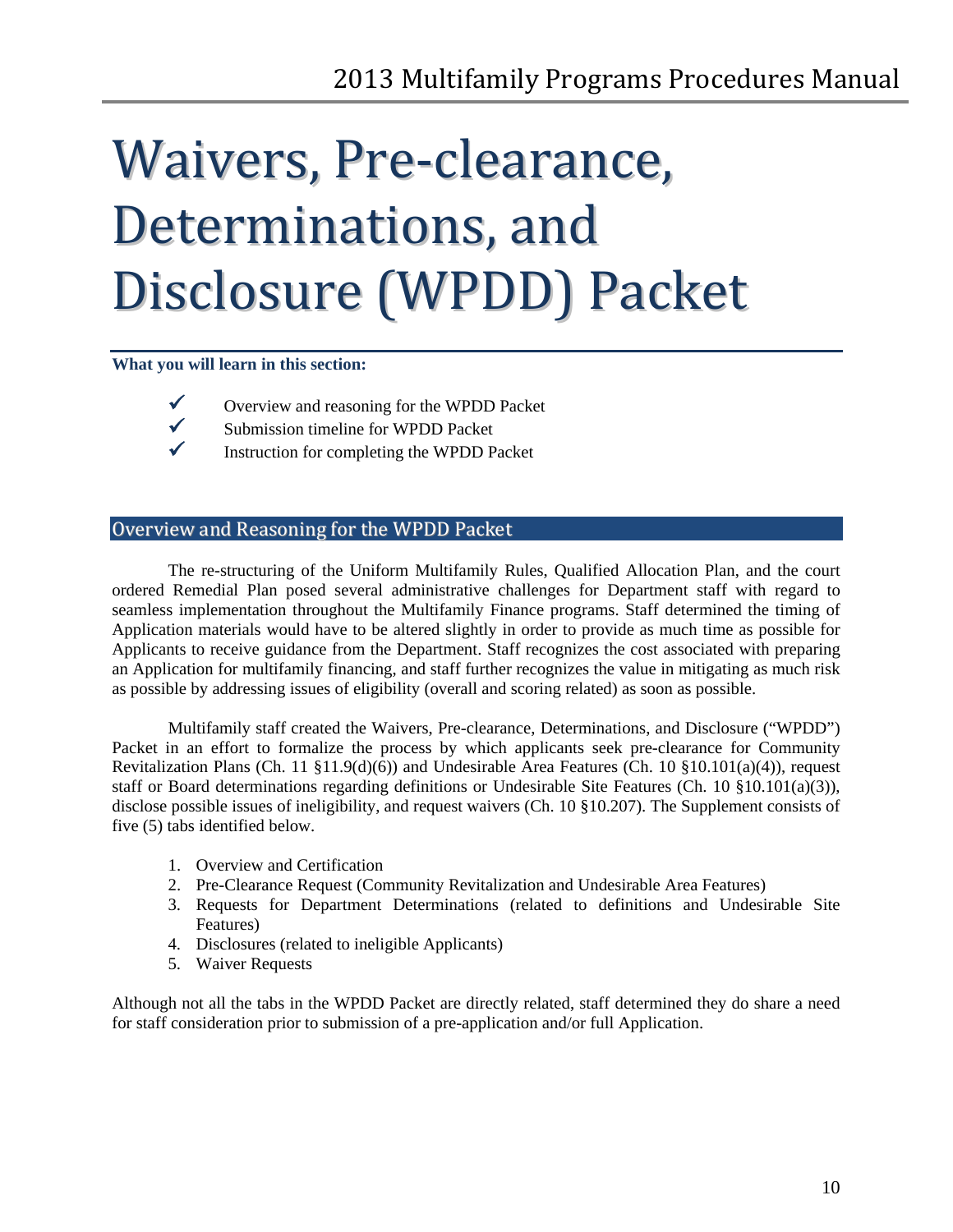# <span id="page-9-0"></span>Waivers, Pre-clearance, Determinations, and Disclosure (WPDD) Packet

#### **What you will learn in this section:**



- $\checkmark$  Overview and reasoning for the WPDD Packet<br> $\checkmark$  Submission timeline for WPDD Packet
	- Submission timeline for WPDD Packet
- $\checkmark$  Instruction for completing the WPDD Packet

## <span id="page-9-1"></span>Overview and Reasoning for the WPDD Packet

The re-structuring of the Uniform Multifamily Rules, Qualified Allocation Plan, and the court ordered Remedial Plan posed several administrative challenges for Department staff with regard to seamless implementation throughout the Multifamily Finance programs. Staff determined the timing of Application materials would have to be altered slightly in order to provide as much time as possible for Applicants to receive guidance from the Department. Staff recognizes the cost associated with preparing an Application for multifamily financing, and staff further recognizes the value in mitigating as much risk as possible by addressing issues of eligibility (overall and scoring related) as soon as possible.

Multifamily staff created the Waivers, Pre-clearance, Determinations, and Disclosure ("WPDD") Packet in an effort to formalize the process by which applicants seek pre-clearance for Community Revitalization Plans (Ch. 11 §11.9(d)(6)) and Undesirable Area Features (Ch. 10 §10.101(a)(4)), request staff or Board determinations regarding definitions or Undesirable Site Features (Ch. 10 §10.101(a)(3)), disclose possible issues of ineligibility, and request waivers (Ch. 10 §10.207). The Supplement consists of five (5) tabs identified below.

- 1. Overview and Certification
- 2. Pre-Clearance Request (Community Revitalization and Undesirable Area Features)
- 3. Requests for Department Determinations (related to definitions and Undesirable Site Features)
- 4. Disclosures (related to ineligible Applicants)
- 5. Waiver Requests

Although not all the tabs in the WPDD Packet are directly related, staff determined they do share a need for staff consideration prior to submission of a pre-application and/or full Application.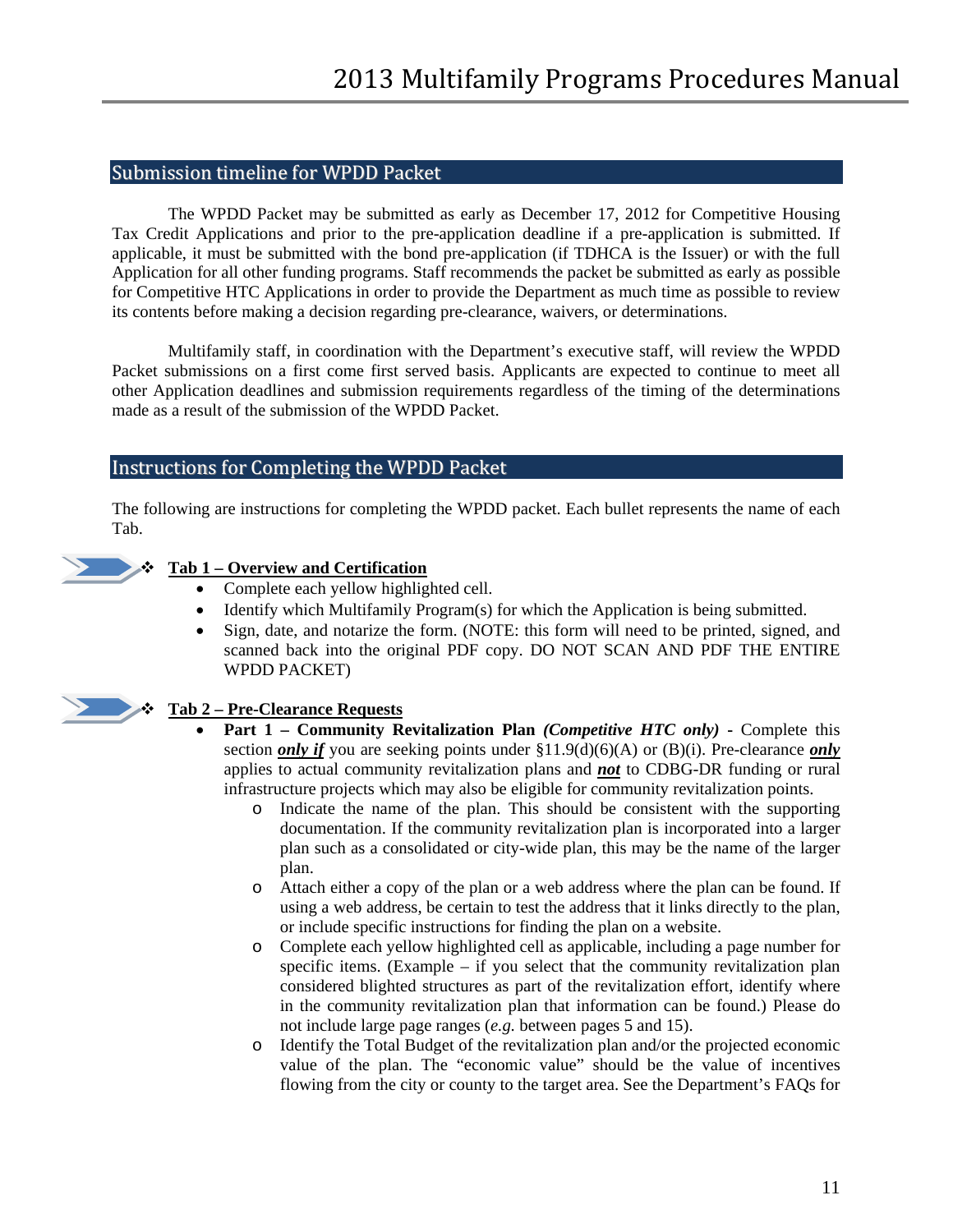#### <span id="page-10-0"></span>Submission timeline for WPDD Packet

The WPDD Packet may be submitted as early as December 17, 2012 for Competitive Housing Tax Credit Applications and prior to the pre-application deadline if a pre-application is submitted. If applicable, it must be submitted with the bond pre-application (if TDHCA is the Issuer) or with the full Application for all other funding programs. Staff recommends the packet be submitted as early as possible for Competitive HTC Applications in order to provide the Department as much time as possible to review its contents before making a decision regarding pre-clearance, waivers, or determinations.

Multifamily staff, in coordination with the Department's executive staff, will review the WPDD Packet submissions on a first come first served basis. Applicants are expected to continue to meet all other Application deadlines and submission requirements regardless of the timing of the determinations made as a result of the submission of the WPDD Packet.

### <span id="page-10-1"></span>Instructions for Completing the WPDD Packet

The following are instructions for completing the WPDD packet. Each bullet represents the name of each Tab.



### **Tab 1 – Overview and Certification**

- Complete each yellow highlighted cell.
- Identify which Multifamily Program(s) for which the Application is being submitted.
- Sign, date, and notarize the form. (NOTE: this form will need to be printed, signed, and scanned back into the original PDF copy. DO NOT SCAN AND PDF THE ENTIRE WPDD PACKET)



### **Tab 2 – Pre-Clearance Requests**

- **Part 1 – Community Revitalization Plan** *(Competitive HTC only)* **-** Complete this section *only if* you are seeking points under  $\S11.9(d)(6)(A)$  or (B)(i). Pre-clearance *only* applies to actual community revitalization plans and *not* to CDBG-DR funding or rural infrastructure projects which may also be eligible for community revitalization points.
	- o Indicate the name of the plan. This should be consistent with the supporting documentation. If the community revitalization plan is incorporated into a larger plan such as a consolidated or city-wide plan, this may be the name of the larger plan.
	- o Attach either a copy of the plan or a web address where the plan can be found. If using a web address, be certain to test the address that it links directly to the plan, or include specific instructions for finding the plan on a website.
	- o Complete each yellow highlighted cell as applicable, including a page number for specific items. (Example – if you select that the community revitalization plan considered blighted structures as part of the revitalization effort, identify where in the community revitalization plan that information can be found.) Please do not include large page ranges (*e.g.* between pages 5 and 15).
	- o Identify the Total Budget of the revitalization plan and/or the projected economic value of the plan. The "economic value" should be the value of incentives flowing from the city or county to the target area. See the Department's FAQs for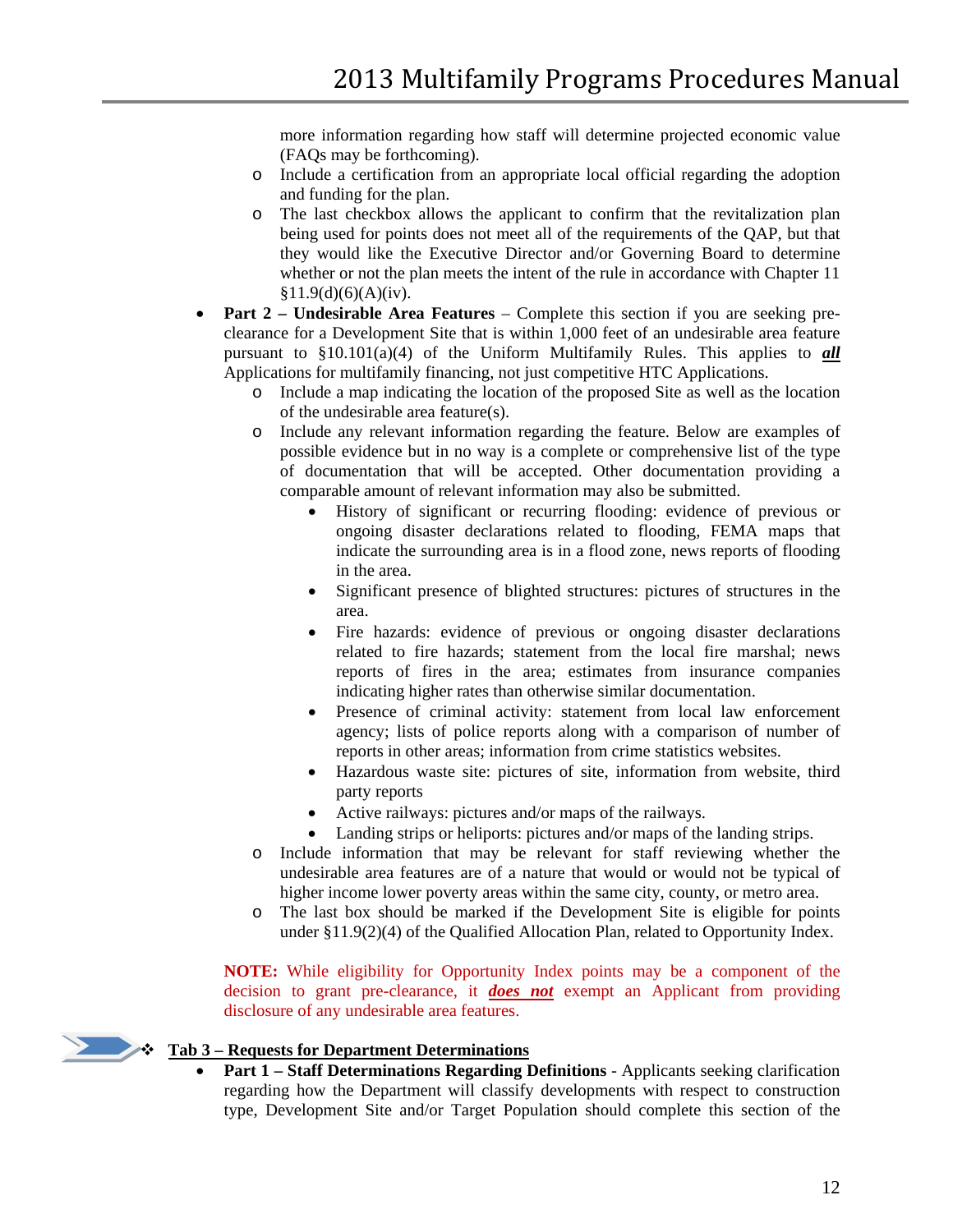more information regarding how staff will determine projected economic value (FAQs may be forthcoming).

- o Include a certification from an appropriate local official regarding the adoption and funding for the plan.
- o The last checkbox allows the applicant to confirm that the revitalization plan being used for points does not meet all of the requirements of the QAP, but that they would like the Executive Director and/or Governing Board to determine whether or not the plan meets the intent of the rule in accordance with Chapter 11  $§11.9(d)(6)(A)(iv).$
- **Part 2 – Undesirable Area Features** Complete this section if you are seeking preclearance for a Development Site that is within 1,000 feet of an undesirable area feature pursuant to §10.101(a)(4) of the Uniform Multifamily Rules. This applies to *all* Applications for multifamily financing, not just competitive HTC Applications.
	- o Include a map indicating the location of the proposed Site as well as the location of the undesirable area feature(s).
	- o Include any relevant information regarding the feature. Below are examples of possible evidence but in no way is a complete or comprehensive list of the type of documentation that will be accepted. Other documentation providing a comparable amount of relevant information may also be submitted.
		- History of significant or recurring flooding: evidence of previous or ongoing disaster declarations related to flooding, FEMA maps that indicate the surrounding area is in a flood zone, news reports of flooding in the area.
		- Significant presence of blighted structures: pictures of structures in the area.
		- Fire hazards: evidence of previous or ongoing disaster declarations related to fire hazards; statement from the local fire marshal; news reports of fires in the area; estimates from insurance companies indicating higher rates than otherwise similar documentation.
		- Presence of criminal activity: statement from local law enforcement agency; lists of police reports along with a comparison of number of reports in other areas; information from crime statistics websites.
		- Hazardous waste site: pictures of site, information from website, third party reports
		- Active railways: pictures and/or maps of the railways.
		- Landing strips or heliports: pictures and/or maps of the landing strips.
	- o Include information that may be relevant for staff reviewing whether the undesirable area features are of a nature that would or would not be typical of higher income lower poverty areas within the same city, county, or metro area.
	- o The last box should be marked if the Development Site is eligible for points under §11.9(2)(4) of the Qualified Allocation Plan, related to Opportunity Index.

**NOTE:** While eligibility for Opportunity Index points may be a component of the decision to grant pre-clearance, it *does not* exempt an Applicant from providing disclosure of any undesirable area features.

# **Tab 3** – **Requests for Department Determinations**

• **Part 1 – Staff Determinations Regarding Definitions** - Applicants seeking clarification regarding how the Department will classify developments with respect to construction type, Development Site and/or Target Population should complete this section of the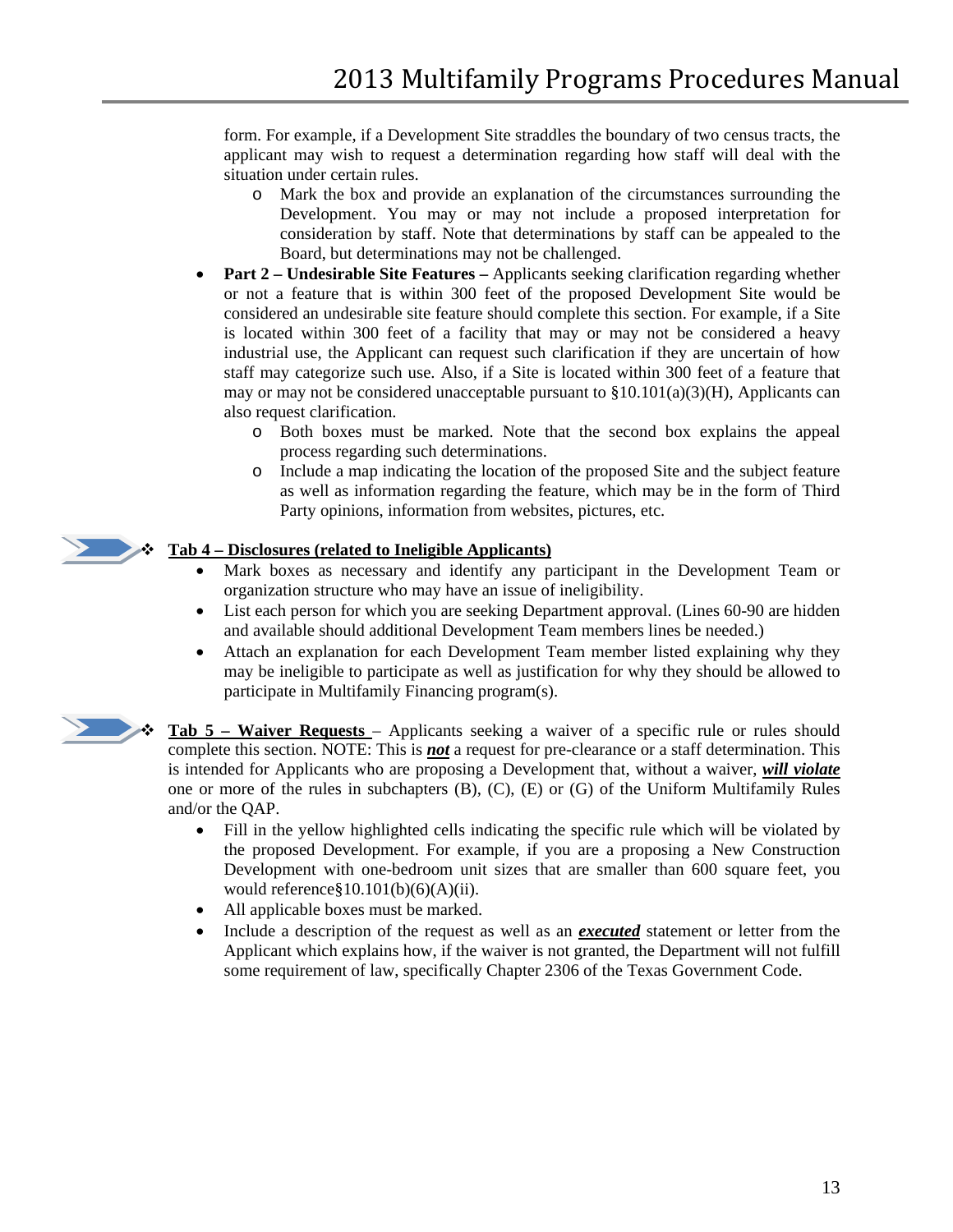form. For example, if a Development Site straddles the boundary of two census tracts, the applicant may wish to request a determination regarding how staff will deal with the situation under certain rules.

- o Mark the box and provide an explanation of the circumstances surrounding the Development. You may or may not include a proposed interpretation for consideration by staff. Note that determinations by staff can be appealed to the Board, but determinations may not be challenged.
- **Part 2 – Undesirable Site Features –** Applicants seeking clarification regarding whether or not a feature that is within 300 feet of the proposed Development Site would be considered an undesirable site feature should complete this section. For example, if a Site is located within 300 feet of a facility that may or may not be considered a heavy industrial use, the Applicant can request such clarification if they are uncertain of how staff may categorize such use. Also, if a Site is located within 300 feet of a feature that may or may not be considered unacceptable pursuant to  $\S 10.101(a)(3)(H)$ , Applicants can also request clarification.
	- o Both boxes must be marked. Note that the second box explains the appeal process regarding such determinations.
	- o Include a map indicating the location of the proposed Site and the subject feature as well as information regarding the feature, which may be in the form of Third Party opinions, information from websites, pictures, etc.

#### **Tab 4 – Disclosures (related to Ineligible Applicants)**

- Mark boxes as necessary and identify any participant in the Development Team or organization structure who may have an issue of ineligibility.
- List each person for which you are seeking Department approval. (Lines 60-90 are hidden and available should additional Development Team members lines be needed.)
- Attach an explanation for each Development Team member listed explaining why they may be ineligible to participate as well as justification for why they should be allowed to participate in Multifamily Financing program(s).



 **Tab 5 – Waiver Requests** – Applicants seeking a waiver of a specific rule or rules should complete this section. NOTE: This is *not* a request for pre-clearance or a staff determination. This is intended for Applicants who are proposing a Development that, without a waiver, *will violate* one or more of the rules in subchapters (B), (C), (E) or (G) of the Uniform Multifamily Rules and/or the QAP.

- Fill in the yellow highlighted cells indicating the specific rule which will be violated by the proposed Development. For example, if you are a proposing a New Construction Development with one-bedroom unit sizes that are smaller than 600 square feet, you would reference  $\S 10.101(b)(6)(A)(ii)$ .
- All applicable boxes must be marked.
- Include a description of the request as well as an *executed* statement or letter from the Applicant which explains how, if the waiver is not granted, the Department will not fulfill some requirement of law, specifically Chapter 2306 of the Texas Government Code.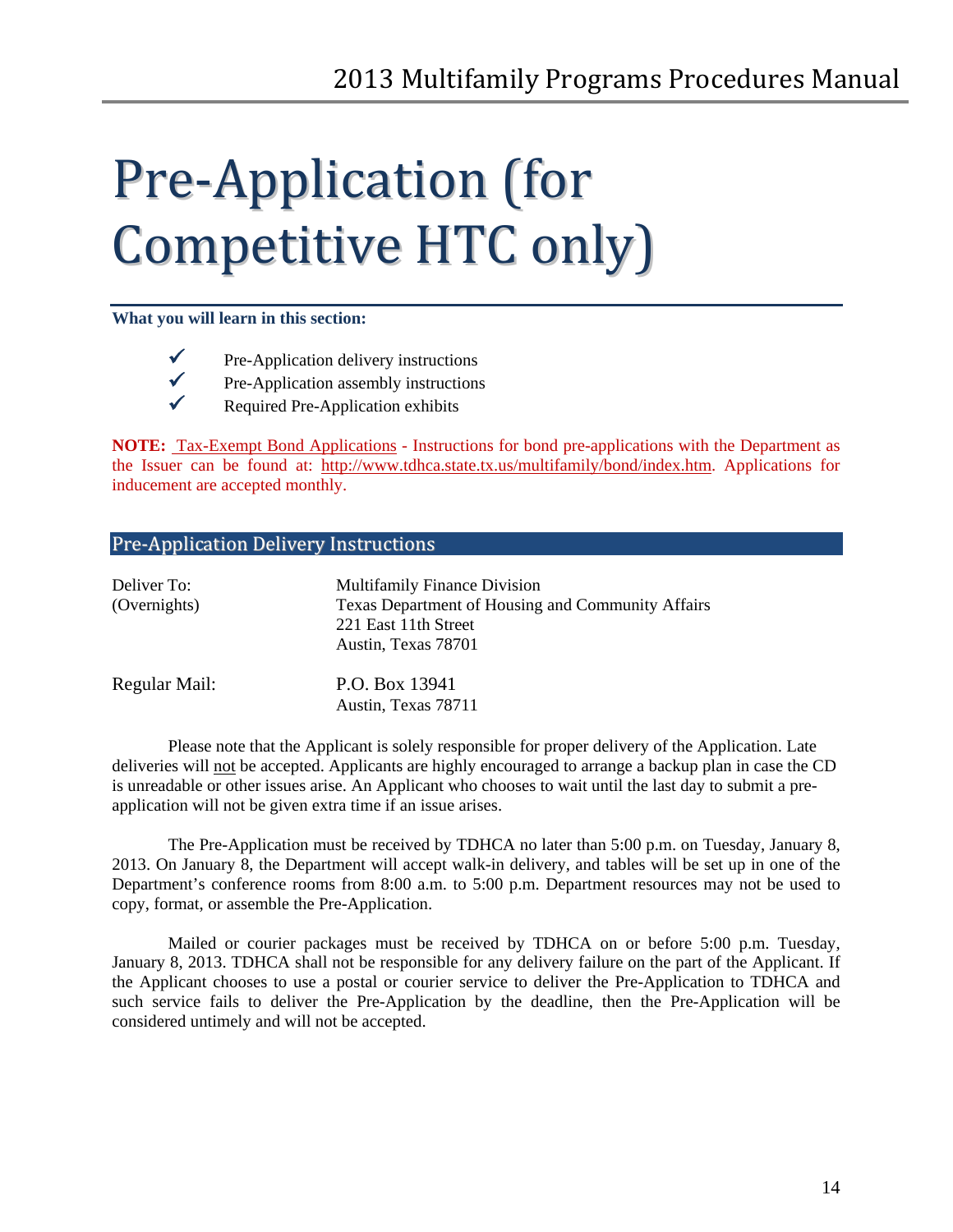# <span id="page-13-0"></span>Pre-Application (for Competitive HTC only)

#### **What you will learn in this section:**

- $\checkmark$  Pre-Application delivery instructions
	-
- $\checkmark$  Pre-Application assembly instructions<br> $\checkmark$  Required Pre-Application exhibits
	- Required Pre-Application exhibits

**NOTE:** Tax-Exempt Bond Applications - Instructions for bond pre-applications with the Department as the Issuer can be found at: [http://www.tdhca.state.tx.us/multifamily/bond/index.htm.](http://www.tdhca.state.tx.us/multifamily/bond/index.htm) Applications for inducement are accepted monthly.

## <span id="page-13-1"></span>Pre-Application Delivery Instructions

| Deliver To:<br>(Overnights) | <b>Multifamily Finance Division</b><br>Texas Department of Housing and Community Affairs<br>221 East 11th Street<br>Austin, Texas 78701 |
|-----------------------------|-----------------------------------------------------------------------------------------------------------------------------------------|
| Regular Mail:               | P.O. Box 13941<br>Austin, Texas 78711                                                                                                   |

Please note that the Applicant is solely responsible for proper delivery of the Application. Late deliveries will not be accepted. Applicants are highly encouraged to arrange a backup plan in case the CD is unreadable or other issues arise. An Applicant who chooses to wait until the last day to submit a preapplication will not be given extra time if an issue arises.

The Pre-Application must be received by TDHCA no later than 5:00 p.m. on Tuesday, January 8, 2013. On January 8, the Department will accept walk-in delivery, and tables will be set up in one of the Department's conference rooms from 8:00 a.m. to 5:00 p.m. Department resources may not be used to copy, format, or assemble the Pre-Application.

Mailed or courier packages must be received by TDHCA on or before 5:00 p.m. Tuesday, January 8, 2013. TDHCA shall not be responsible for any delivery failure on the part of the Applicant. If the Applicant chooses to use a postal or courier service to deliver the Pre-Application to TDHCA and such service fails to deliver the Pre-Application by the deadline, then the Pre-Application will be considered untimely and will not be accepted.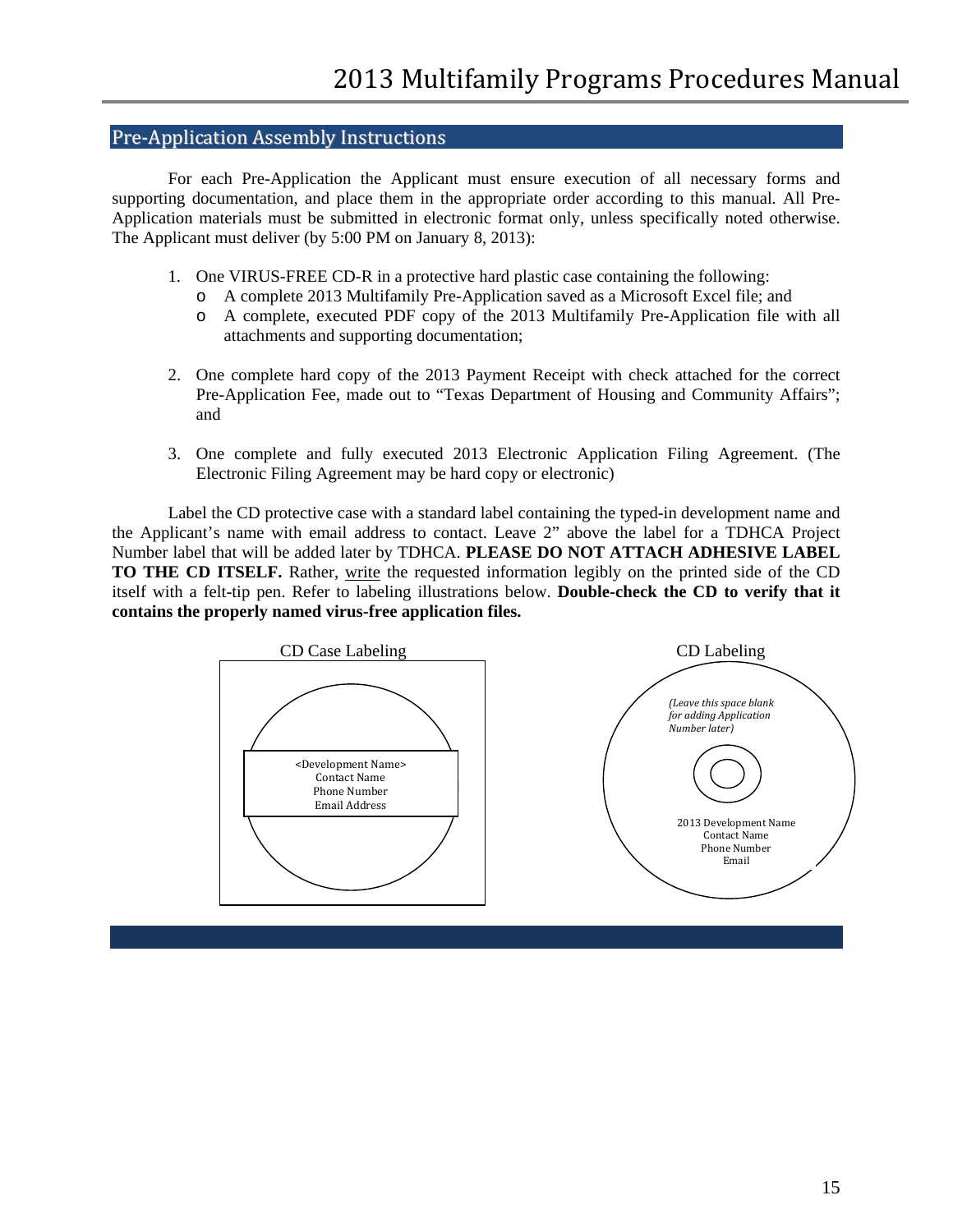### <span id="page-14-0"></span>Pre-Application Assembly Instructions

For each Pre-Application the Applicant must ensure execution of all necessary forms and supporting documentation, and place them in the appropriate order according to this manual. All Pre-Application materials must be submitted in electronic format only, unless specifically noted otherwise. The Applicant must deliver (by 5:00 PM on January 8, 2013):

- 1. One VIRUS-FREE CD-R in a protective hard plastic case containing the following:
	- o A complete 2013 Multifamily Pre-Application saved as a Microsoft Excel file; and
	- o A complete, executed PDF copy of the 2013 Multifamily Pre-Application file with all attachments and supporting documentation;
- 2. One complete hard copy of the 2013 Payment Receipt with check attached for the correct Pre-Application Fee, made out to "Texas Department of Housing and Community Affairs"; and
- 3. One complete and fully executed 2013 Electronic Application Filing Agreement. (The Electronic Filing Agreement may be hard copy or electronic)

Label the CD protective case with a standard label containing the typed-in development name and the Applicant's name with email address to contact. Leave 2" above the label for a TDHCA Project Number label that will be added later by TDHCA. **PLEASE DO NOT ATTACH ADHESIVE LABEL TO THE CD ITSELF.** Rather, write the requested information legibly on the printed side of the CD itself with a felt-tip pen. Refer to labeling illustrations below. **Double-check the CD to verify that it contains the properly named virus-free application files.**

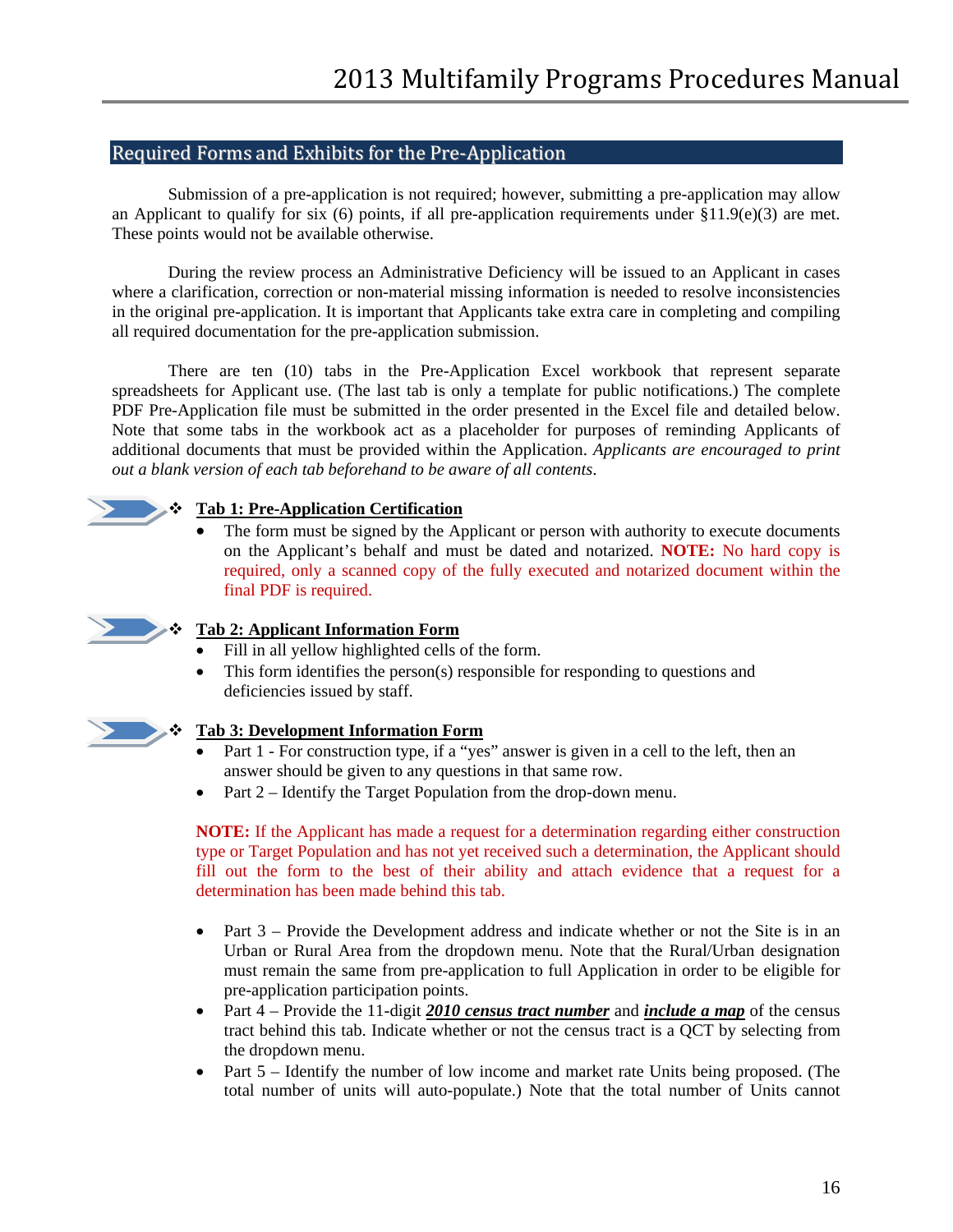# <span id="page-15-0"></span>Required Forms and Exhibits for the Pre-Application

Submission of a pre-application is not required; however, submitting a pre-application may allow an Applicant to qualify for six (6) points, if all pre-application requirements under §11.9(e)(3) are met. These points would not be available otherwise.

During the review process an Administrative Deficiency will be issued to an Applicant in cases where a clarification, correction or non-material missing information is needed to resolve inconsistencies in the original pre-application. It is important that Applicants take extra care in completing and compiling all required documentation for the pre-application submission.

There are ten (10) tabs in the Pre-Application Excel workbook that represent separate spreadsheets for Applicant use. (The last tab is only a template for public notifications.) The complete PDF Pre-Application file must be submitted in the order presented in the Excel file and detailed below. Note that some tabs in the workbook act as a placeholder for purposes of reminding Applicants of additional documents that must be provided within the Application. *Applicants are encouraged to print out a blank version of each tab beforehand to be aware of all contents*.



#### **Tab 1: Pre-Application Certification**

The form must be signed by the Applicant or person with authority to execute documents on the Applicant's behalf and must be dated and notarized. **NOTE:** No hard copy is required, only a scanned copy of the fully executed and notarized document within the final PDF is required.



#### **Tab 2: Applicant Information Form**

- Fill in all yellow highlighted cells of the form.
- This form identifies the person(s) responsible for responding to questions and deficiencies issued by staff.



#### **Tab 3: Development Information Form**

- Part 1 For construction type, if a "yes" answer is given in a cell to the left, then an answer should be given to any questions in that same row.
- Part 2 Identify the Target Population from the drop-down menu.

**NOTE:** If the Applicant has made a request for a determination regarding either construction type or Target Population and has not yet received such a determination, the Applicant should fill out the form to the best of their ability and attach evidence that a request for a determination has been made behind this tab.

- Part  $3$  Provide the Development address and indicate whether or not the Site is in an Urban or Rural Area from the dropdown menu. Note that the Rural/Urban designation must remain the same from pre-application to full Application in order to be eligible for pre-application participation points.
- Part 4 Provide the 11-digit 2010 census tract number and *include a map* of the census tract behind this tab. Indicate whether or not the census tract is a QCT by selecting from the dropdown menu.
- Part 5 Identify the number of low income and market rate Units being proposed. (The total number of units will auto-populate.) Note that the total number of Units cannot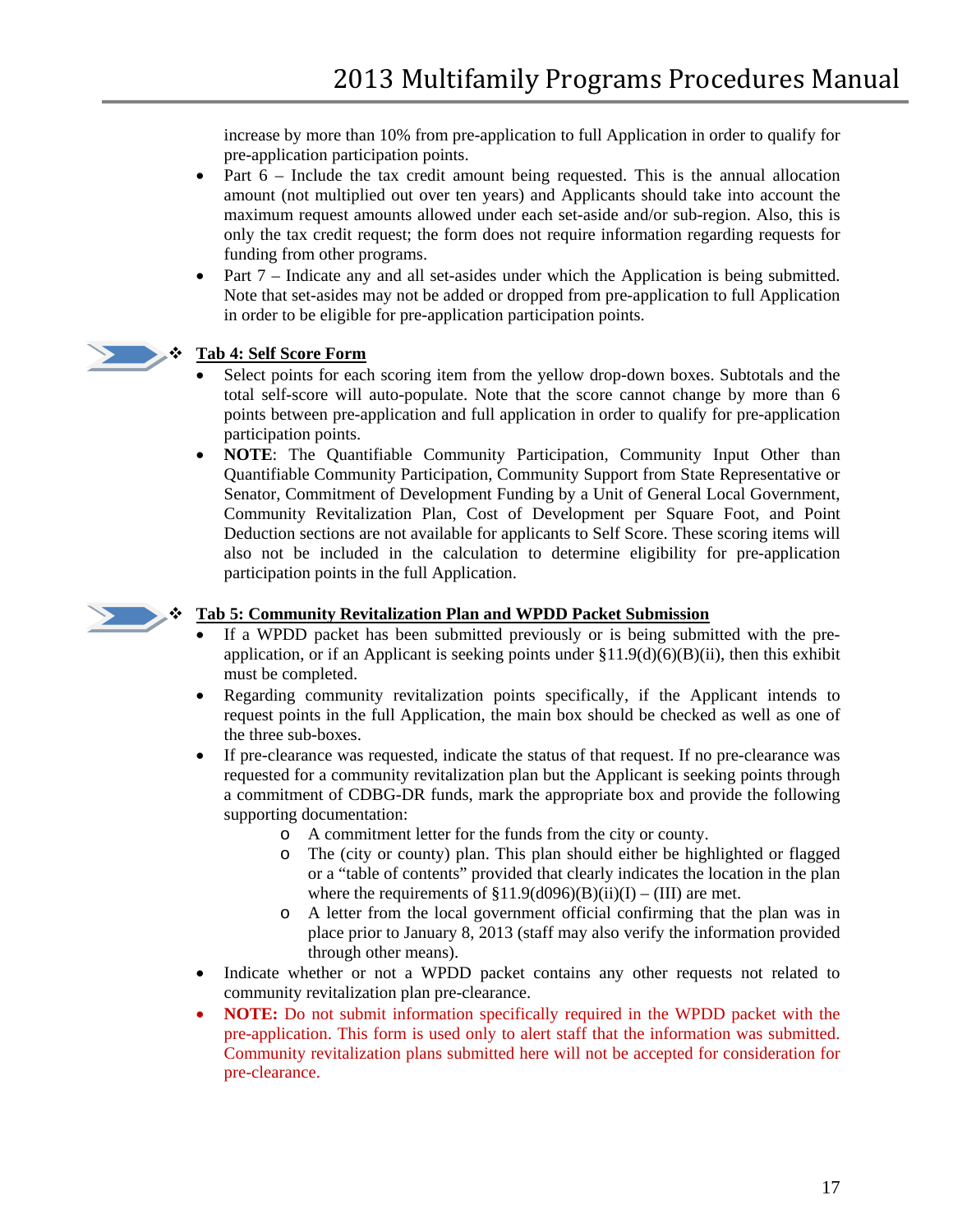increase by more than 10% from pre-application to full Application in order to qualify for pre-application participation points.

- Part  $6$  Include the tax credit amount being requested. This is the annual allocation amount (not multiplied out over ten years) and Applicants should take into account the maximum request amounts allowed under each set-aside and/or sub-region. Also, this is only the tax credit request; the form does not require information regarding requests for funding from other programs.
- Part 7 Indicate any and all set-asides under which the Application is being submitted. Note that set-asides may not be added or dropped from pre-application to full Application in order to be eligible for pre-application participation points.



### **Tab 4: Self Score Form**

- Select points for each scoring item from the yellow drop-down boxes. Subtotals and the total self-score will auto-populate. Note that the score cannot change by more than 6 points between pre-application and full application in order to qualify for pre-application participation points.
- **NOTE**: The Quantifiable Community Participation, Community Input Other than Quantifiable Community Participation, Community Support from State Representative or Senator, Commitment of Development Funding by a Unit of General Local Government, Community Revitalization Plan, Cost of Development per Square Foot, and Point Deduction sections are not available for applicants to Self Score. These scoring items will also not be included in the calculation to determine eligibility for pre-application participation points in the full Application.



#### **Tab 5: Community Revitalization Plan and WPDD Packet Submission**

- If a WPDD packet has been submitted previously or is being submitted with the preapplication, or if an Applicant is seeking points under  $\S11.9(d)(6)(B)(ii)$ , then this exhibit must be completed.
- Regarding community revitalization points specifically, if the Applicant intends to request points in the full Application, the main box should be checked as well as one of the three sub-boxes.
- If pre-clearance was requested, indicate the status of that request. If no pre-clearance was requested for a community revitalization plan but the Applicant is seeking points through a commitment of CDBG-DR funds, mark the appropriate box and provide the following supporting documentation:
	- o A commitment letter for the funds from the city or county.
	- o The (city or county) plan. This plan should either be highlighted or flagged or a "table of contents" provided that clearly indicates the location in the plan where the requirements of  $$11.9(d096)(B)(ii)(I) - (III)$  are met.
	- o A letter from the local government official confirming that the plan was in place prior to January 8, 2013 (staff may also verify the information provided through other means).
- Indicate whether or not a WPDD packet contains any other requests not related to community revitalization plan pre-clearance.
- **NOTE:** Do not submit information specifically required in the WPDD packet with the pre-application. This form is used only to alert staff that the information was submitted. Community revitalization plans submitted here will not be accepted for consideration for pre-clearance.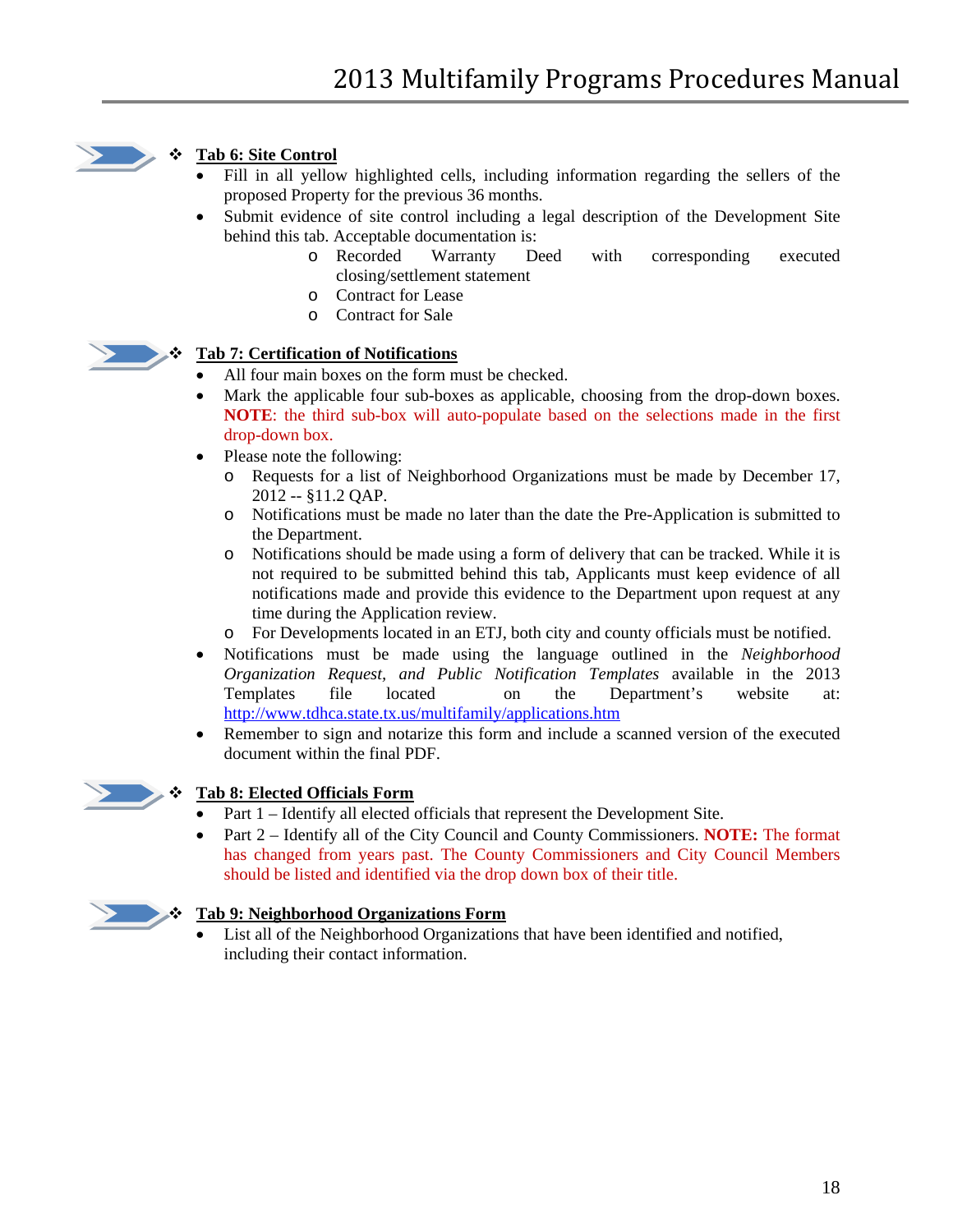

# **Tab 6: Site Control**

- Fill in all yellow highlighted cells, including information regarding the sellers of the proposed Property for the previous 36 months.
- Submit evidence of site control including a legal description of the Development Site behind this tab. Acceptable documentation is:
	- o Recorded Warranty Deed with corresponding executed closing/settlement statement
	- o Contract for Lease
	- o Contract for Sale



### **Tab 7: Certification of Notifications**

- All four main boxes on the form must be checked.
- Mark the applicable four sub-boxes as applicable, choosing from the drop-down boxes. **NOTE**: the third sub-box will auto-populate based on the selections made in the first drop-down box.
- Please note the following:
	- o Requests for a list of Neighborhood Organizations must be made by December 17, 2012 -- §11.2 QAP.
	- o Notifications must be made no later than the date the Pre-Application is submitted to the Department.
	- o Notifications should be made using a form of delivery that can be tracked. While it is not required to be submitted behind this tab, Applicants must keep evidence of all notifications made and provide this evidence to the Department upon request at any time during the Application review.
	- o For Developments located in an ETJ, both city and county officials must be notified.
- Notifications must be made using the language outlined in the *Neighborhood Organization Request, and Public Notification Templates* available in the 2013 Templates file located on the Department's website at: <http://www.tdhca.state.tx.us/multifamily/applications.htm>
- Remember to sign and notarize this form and include a scanned version of the executed document within the final PDF.



### **Tab 8: Elected Officials Form**

- Part 1 Identify all elected officials that represent the Development Site.
- Part 2 Identify all of the City Council and County Commissioners. **NOTE:** The format has changed from years past. The County Commissioners and City Council Members should be listed and identified via the drop down box of their title.



### **Tab 9: Neighborhood Organizations Form**

List all of the Neighborhood Organizations that have been identified and notified, including their contact information.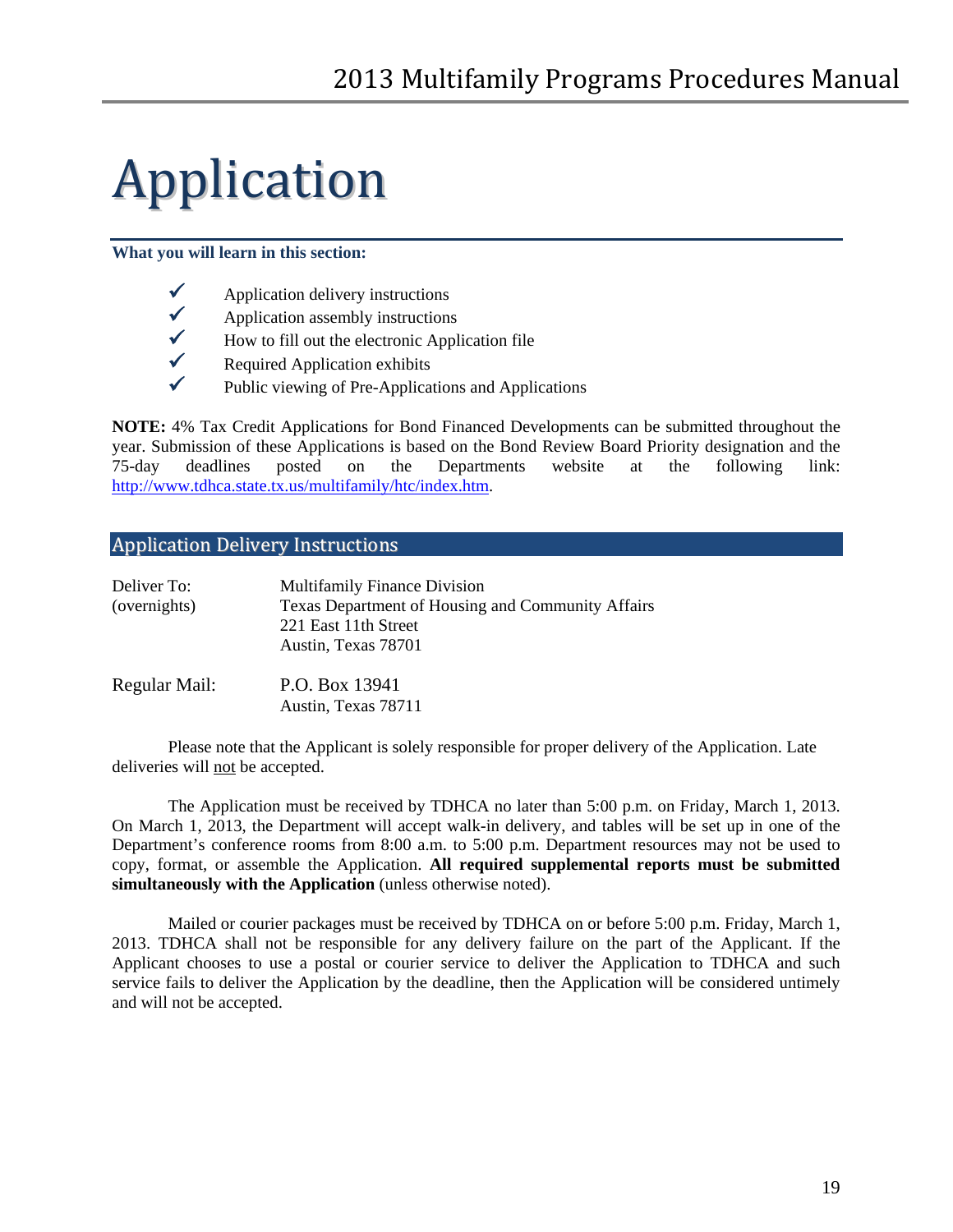# <span id="page-18-0"></span>Application

#### **What you will learn in this section:**

| $\checkmark$ | Application delivery instructions |
|--------------|-----------------------------------|
|              |                                   |

- $\checkmark$  Application assembly instructions<br> $\checkmark$  How to fill out the electronic Appl
- $\checkmark$  How to fill out the electronic Application file<br>Required Application exhibits
- Required Application exhibits
- $\checkmark$  Public viewing of Pre-Applications and Applications

**NOTE:** 4% Tax Credit Applications for Bond Financed Developments can be submitted throughout the year. Submission of these Applications is based on the Bond Review Board Priority designation and the 75-day deadlines posted on the Departments website at the following link: [http://www.tdhca.state.tx.us/multifamily/htc/index.htm.](http://www.tdhca.state.tx.us/multifamily/htc/index.htm)

# <span id="page-18-1"></span>Application Delivery Instructions

| Deliver To:   | <b>Multifamily Finance Division</b>                                                              |
|---------------|--------------------------------------------------------------------------------------------------|
| (overnights)  | Texas Department of Housing and Community Affairs<br>221 East 11th Street<br>Austin, Texas 78701 |
| Regular Mail: | P.O. Box 13941<br>Austin, Texas 78711                                                            |

Please note that the Applicant is solely responsible for proper delivery of the Application. Late deliveries will not be accepted.

The Application must be received by TDHCA no later than 5:00 p.m. on Friday, March 1, 2013. On March 1, 2013, the Department will accept walk-in delivery, and tables will be set up in one of the Department's conference rooms from 8:00 a.m. to 5:00 p.m. Department resources may not be used to copy, format, or assemble the Application. **All required supplemental reports must be submitted simultaneously with the Application** (unless otherwise noted).

Mailed or courier packages must be received by TDHCA on or before 5:00 p.m. Friday, March 1, 2013. TDHCA shall not be responsible for any delivery failure on the part of the Applicant. If the Applicant chooses to use a postal or courier service to deliver the Application to TDHCA and such service fails to deliver the Application by the deadline, then the Application will be considered untimely and will not be accepted.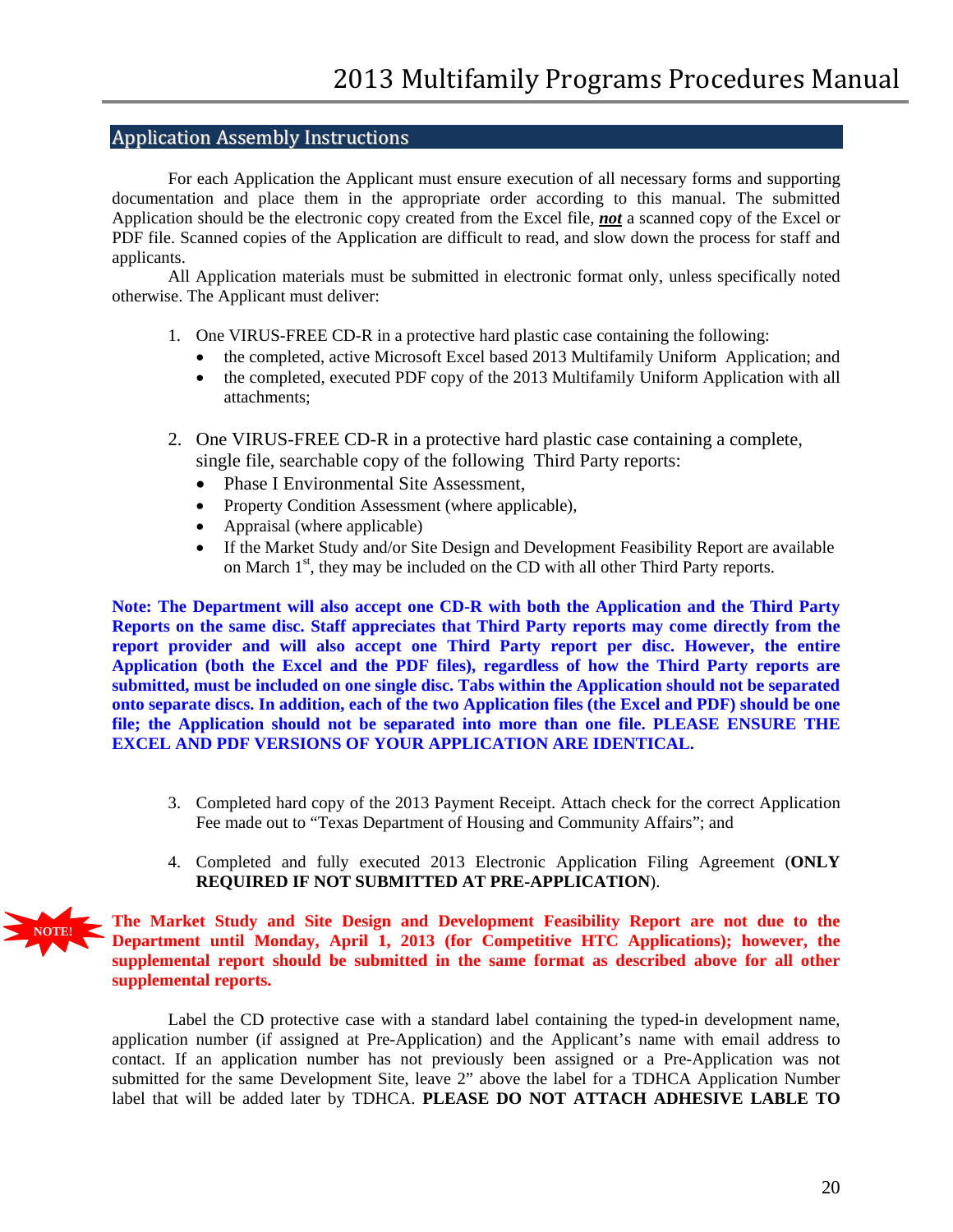### <span id="page-19-0"></span>Application Assembly Instructions

For each Application the Applicant must ensure execution of all necessary forms and supporting documentation and place them in the appropriate order according to this manual. The submitted Application should be the electronic copy created from the Excel file, *not* a scanned copy of the Excel or PDF file. Scanned copies of the Application are difficult to read, and slow down the process for staff and applicants.

All Application materials must be submitted in electronic format only, unless specifically noted otherwise. The Applicant must deliver:

- 1. One VIRUS-FREE CD-R in a protective hard plastic case containing the following:
	- the completed, active Microsoft Excel based 2013 Multifamily Uniform Application; and
	- the completed, executed PDF copy of the 2013 Multifamily Uniform Application with all attachments;
- 2. One VIRUS-FREE CD-R in a protective hard plastic case containing a complete, single file, searchable copy of the following Third Party reports:
	- Phase I Environmental Site Assessment,
	- Property Condition Assessment (where applicable),
	- Appraisal (where applicable)
	- If the Market Study and/or Site Design and Development Feasibility Report are available on March 1<sup>st</sup>, they may be included on the CD with all other Third Party reports.

**Note: The Department will also accept one CD-R with both the Application and the Third Party Reports on the same disc. Staff appreciates that Third Party reports may come directly from the report provider and will also accept one Third Party report per disc. However, the entire Application (both the Excel and the PDF files), regardless of how the Third Party reports are submitted, must be included on one single disc. Tabs within the Application should not be separated onto separate discs. In addition, each of the two Application files (the Excel and PDF) should be one file; the Application should not be separated into more than one file. PLEASE ENSURE THE EXCEL AND PDF VERSIONS OF YOUR APPLICATION ARE IDENTICAL.**

- 3. Completed hard copy of the 2013 Payment Receipt. Attach check for the correct Application Fee made out to "Texas Department of Housing and Community Affairs"; and
- 4. Completed and fully executed 2013 Electronic Application Filing Agreement (**ONLY REQUIRED IF NOT SUBMITTED AT PRE-APPLICATION**).



Label the CD protective case with a standard label containing the typed-in development name, application number (if assigned at Pre-Application) and the Applicant's name with email address to contact. If an application number has not previously been assigned or a Pre-Application was not submitted for the same Development Site, leave 2" above the label for a TDHCA Application Number label that will be added later by TDHCA. **PLEASE DO NOT ATTACH ADHESIVE LABLE TO**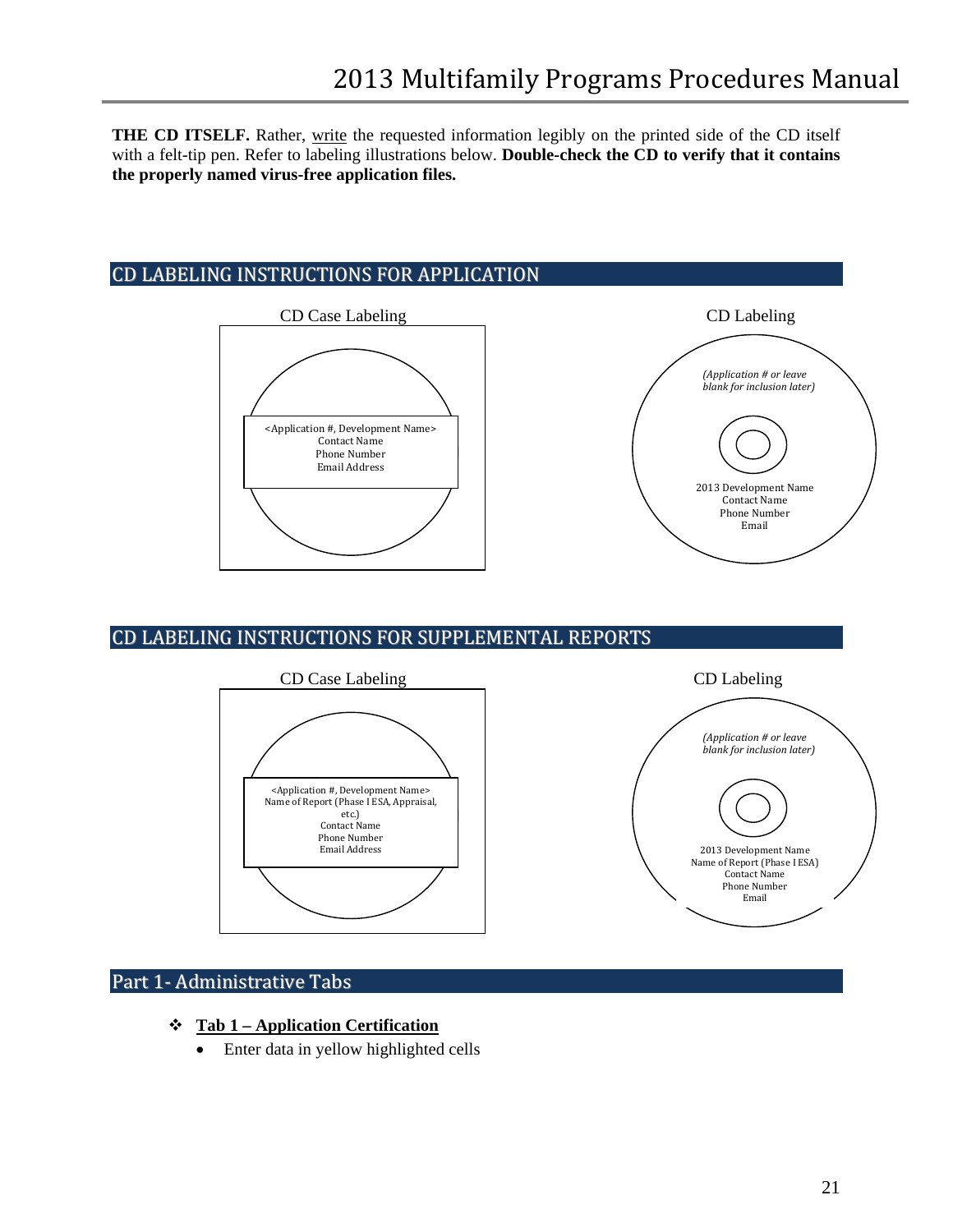**THE CD ITSELF.** Rather, write the requested information legibly on the printed side of the CD itself with a felt-tip pen. Refer to labeling illustrations below. **Double-check the CD to verify that it contains the properly named virus-free application files.**

# <span id="page-20-0"></span>CD LABELING INSTRUCTIONS FOR APPLICATION



# <span id="page-20-1"></span>CD LABELING INSTRUCTIONS FOR SUPPLEMENTAL REPORTS



# <span id="page-20-2"></span>Part 1- Administrative Tabs

- **Tab 1 – Application Certification**
	- Enter data in yellow highlighted cells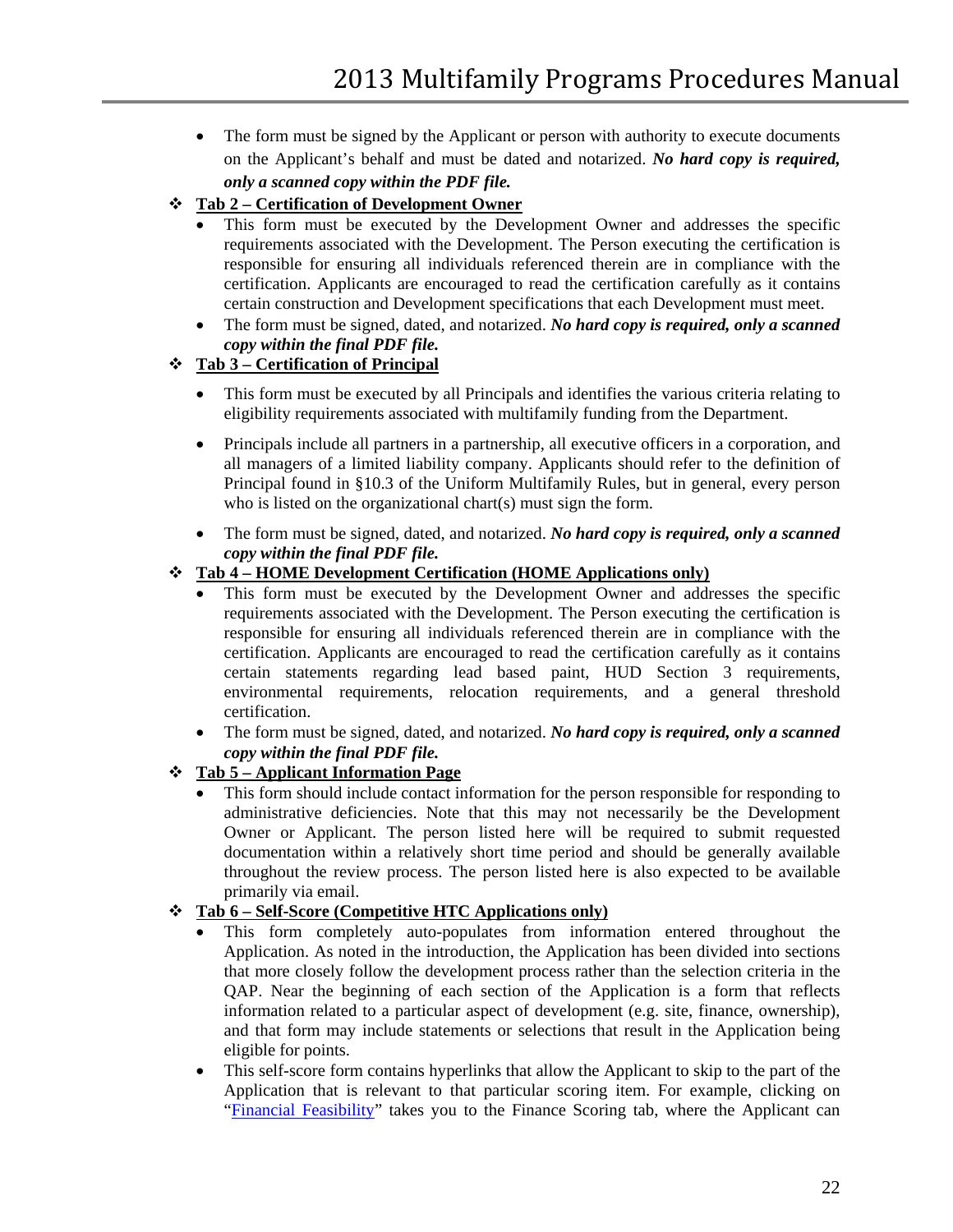- The form must be signed by the Applicant or person with authority to execute documents on the Applicant's behalf and must be dated and notarized. *No hard copy is required, only a scanned copy within the PDF file.*
- **Tab 2 – Certification of Development Owner**
	- This form must be executed by the Development Owner and addresses the specific requirements associated with the Development. The Person executing the certification is responsible for ensuring all individuals referenced therein are in compliance with the certification. Applicants are encouraged to read the certification carefully as it contains certain construction and Development specifications that each Development must meet.
	- The form must be signed, dated, and notarized. *No hard copy is required, only a scanned copy within the final PDF file.*

# **Tab 3 – Certification of Principal**

- This form must be executed by all Principals and identifies the various criteria relating to eligibility requirements associated with multifamily funding from the Department.
- Principals include all partners in a partnership, all executive officers in a corporation, and all managers of a limited liability company. Applicants should refer to the definition of Principal found in §10.3 of the Uniform Multifamily Rules, but in general, every person who is listed on the organizational chart(s) must sign the form.
- The form must be signed, dated, and notarized. *No hard copy is required, only a scanned copy within the final PDF file.*

# **Tab 4 – HOME Development Certification (HOME Applications only)**

- This form must be executed by the Development Owner and addresses the specific requirements associated with the Development. The Person executing the certification is responsible for ensuring all individuals referenced therein are in compliance with the certification. Applicants are encouraged to read the certification carefully as it contains certain statements regarding lead based paint, HUD Section 3 requirements, environmental requirements, relocation requirements, and a general threshold certification.
- The form must be signed, dated, and notarized. *No hard copy is required, only a scanned copy within the final PDF file.*
- **Tab 5 – Applicant Information Page**
	- This form should include contact information for the person responsible for responding to administrative deficiencies. Note that this may not necessarily be the Development Owner or Applicant. The person listed here will be required to submit requested documentation within a relatively short time period and should be generally available throughout the review process. The person listed here is also expected to be available primarily via email.

### **Tab 6 – Self-Score (Competitive HTC Applications only)**

- This form completely auto-populates from information entered throughout the Application. As noted in the introduction, the Application has been divided into sections that more closely follow the development process rather than the selection criteria in the QAP. Near the beginning of each section of the Application is a form that reflects information related to a particular aspect of development (e.g. site, finance, ownership), and that form may include statements or selections that result in the Application being eligible for points.
- This self-score form contains hyperlinks that allow the Applicant to skip to the part of the Application that is relevant to that particular scoring item. For example, clicking on "Financial Feasibility" takes you to the Finance Scoring tab, where the Applicant can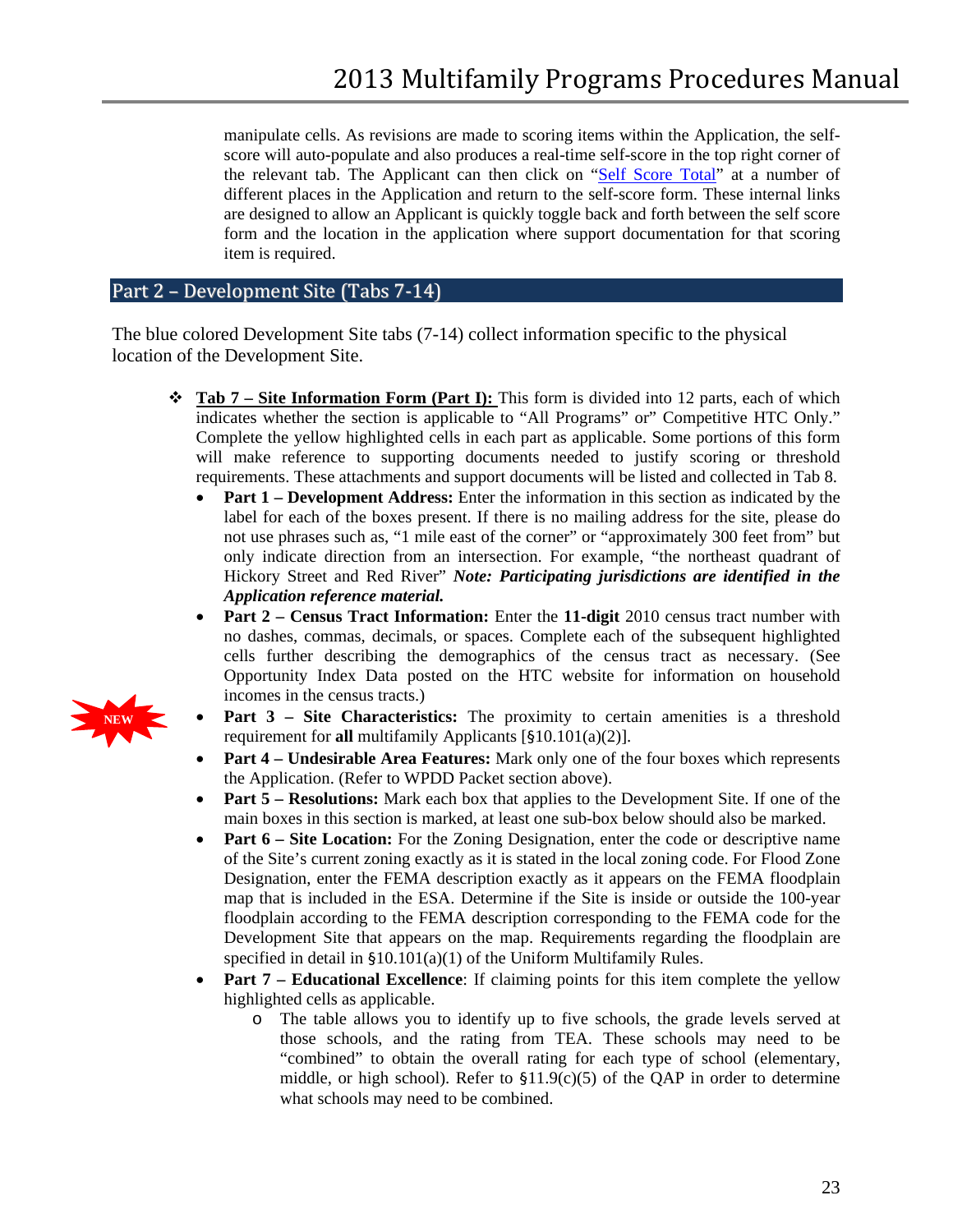manipulate cells. As revisions are made to scoring items within the Application, the selfscore will auto-populate and also produces a real-time self-score in the top right corner of the relevant tab. The Applicant can then click on "Self Score Total" at a number of different places in the Application and return to the self-score form. These internal links are designed to allow an Applicant is quickly toggle back and forth between the self score form and the location in the application where support documentation for that scoring item is required.

# <span id="page-22-0"></span>Part 2 – Development Site (Tabs 7-14)

The blue colored Development Site tabs (7-14) collect information specific to the physical location of the Development Site.

- **Tab 7 – Site Information Form (Part I):** This form is divided into 12 parts, each of which indicates whether the section is applicable to "All Programs" or" Competitive HTC Only." Complete the yellow highlighted cells in each part as applicable. Some portions of this form will make reference to supporting documents needed to justify scoring or threshold requirements. These attachments and support documents will be listed and collected in Tab 8.
	- **Part 1 Development Address:** Enter the information in this section as indicated by the label for each of the boxes present. If there is no mailing address for the site, please do not use phrases such as, "1 mile east of the corner" or "approximately 300 feet from" but only indicate direction from an intersection. For example, "the northeast quadrant of Hickory Street and Red River" *Note: Participating jurisdictions are identified in the Application reference material.*
	- **Part 2 Census Tract Information:** Enter the 11-digit 2010 census tract number with no dashes, commas, decimals, or spaces. Complete each of the subsequent highlighted cells further describing the demographics of the census tract as necessary. (See Opportunity Index Data posted on the HTC website for information on household incomes in the census tracts.)
	- **Part 3 – Site Characteristics:** The proximity to certain amenities is a threshold requirement for **all** multifamily Applicants [§10.101(a)(2)].
	- **Part 4 – Undesirable Area Features:** Mark only one of the four boxes which represents the Application. (Refer to WPDD Packet section above).
	- **Part 5 – Resolutions:** Mark each box that applies to the Development Site. If one of the main boxes in this section is marked, at least one sub-box below should also be marked.
	- **Part 6 Site Location:** For the Zoning Designation, enter the code or descriptive name of the Site's current zoning exactly as it is stated in the local zoning code. For Flood Zone Designation, enter the FEMA description exactly as it appears on the FEMA floodplain map that is included in the ESA. Determine if the Site is inside or outside the 100-year floodplain according to the FEMA description corresponding to the FEMA code for the Development Site that appears on the map. Requirements regarding the floodplain are specified in detail in §10.101(a)(1) of the Uniform Multifamily Rules.
	- **Part 7 Educational Excellence**: If claiming points for this item complete the yellow highlighted cells as applicable.
		- o The table allows you to identify up to five schools, the grade levels served at those schools, and the rating from TEA. These schools may need to be "combined" to obtain the overall rating for each type of school (elementary, middle, or high school). Refer to §11.9(c)(5) of the QAP in order to determine what schools may need to be combined.

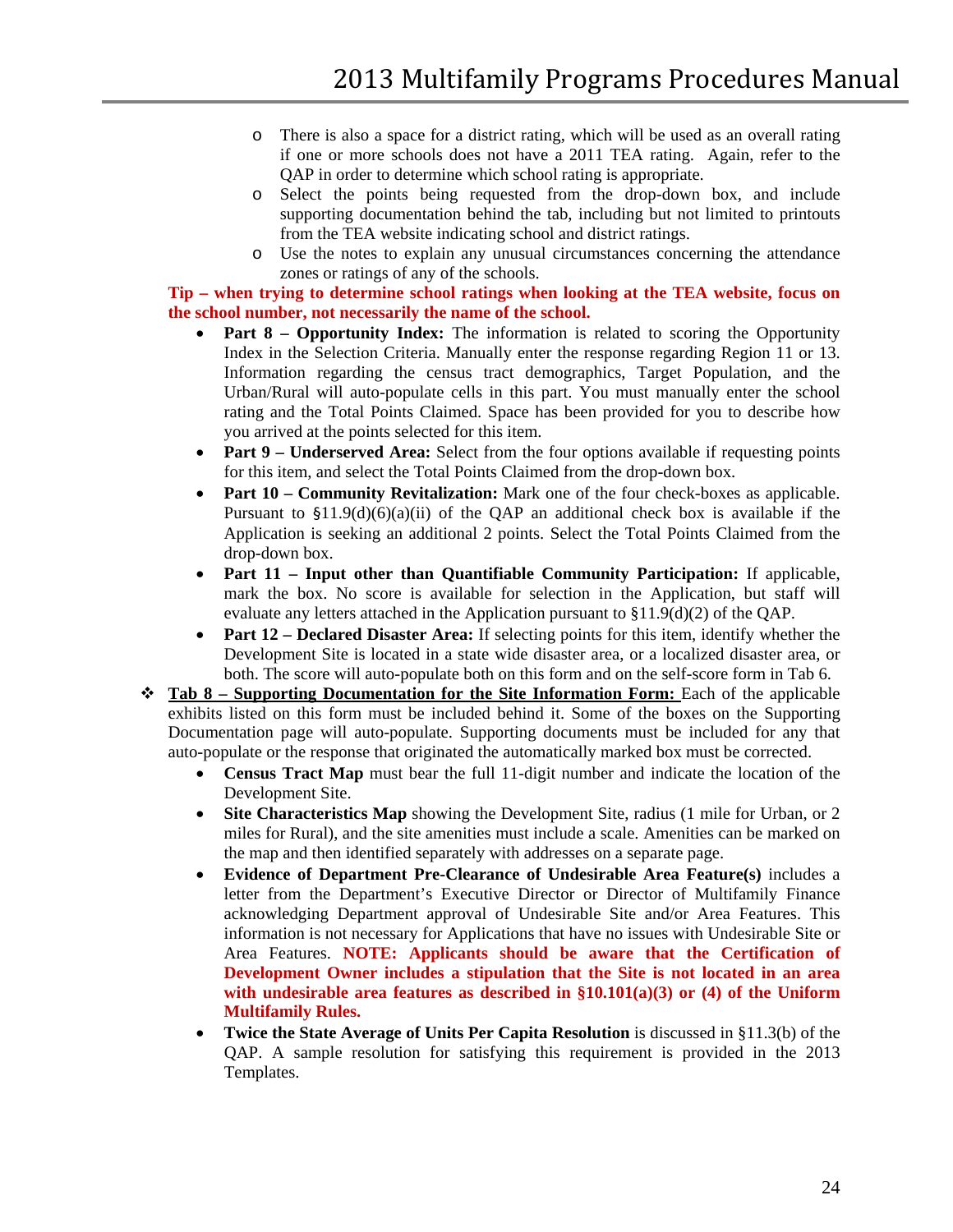- o There is also a space for a district rating, which will be used as an overall rating if one or more schools does not have a 2011 TEA rating. Again, refer to the QAP in order to determine which school rating is appropriate.
- o Select the points being requested from the drop-down box, and include supporting documentation behind the tab, including but not limited to printouts from the TEA website indicating school and district ratings.
- o Use the notes to explain any unusual circumstances concerning the attendance zones or ratings of any of the schools.

#### **Tip – when trying to determine school ratings when looking at the TEA website, focus on the school number, not necessarily the name of the school.**

- **Part 8 – Opportunity Index:** The information is related to scoring the Opportunity Index in the Selection Criteria. Manually enter the response regarding Region 11 or 13. Information regarding the census tract demographics, Target Population, and the Urban/Rural will auto-populate cells in this part. You must manually enter the school rating and the Total Points Claimed. Space has been provided for you to describe how you arrived at the points selected for this item.
- **Part 9 Underserved Area:** Select from the four options available if requesting points for this item, and select the Total Points Claimed from the drop-down box.
- **Part 10 Community Revitalization:** Mark one of the four check-boxes as applicable. Pursuant to  $\frac{1}{9}$ 1.9(d)(6)(a)(ii) of the QAP an additional check box is available if the Application is seeking an additional 2 points. Select the Total Points Claimed from the drop-down box.
- **Part 11 – Input other than Quantifiable Community Participation:** If applicable, mark the box. No score is available for selection in the Application, but staff will evaluate any letters attached in the Application pursuant to  $\S11.9(d)(2)$  of the QAP.
- **Part 12 Declared Disaster Area:** If selecting points for this item, identify whether the Development Site is located in a state wide disaster area, or a localized disaster area, or both. The score will auto-populate both on this form and on the self-score form in Tab 6.
- **Tab 8 – Supporting Documentation for the Site Information Form:** Each of the applicable exhibits listed on this form must be included behind it. Some of the boxes on the Supporting Documentation page will auto-populate. Supporting documents must be included for any that auto-populate or the response that originated the automatically marked box must be corrected.
	- **Census Tract Map** must bear the full 11-digit number and indicate the location of the Development Site.
	- **Site Characteristics Map** showing the Development Site, radius (1 mile for Urban, or 2) miles for Rural), and the site amenities must include a scale. Amenities can be marked on the map and then identified separately with addresses on a separate page.
	- **Evidence of Department Pre-Clearance of Undesirable Area Feature(s)** includes a letter from the Department's Executive Director or Director of Multifamily Finance acknowledging Department approval of Undesirable Site and/or Area Features. This information is not necessary for Applications that have no issues with Undesirable Site or Area Features. **NOTE: Applicants should be aware that the Certification of Development Owner includes a stipulation that the Site is not located in an area with undesirable area features as described in §10.101(a)(3) or (4) of the Uniform Multifamily Rules.**
	- **Twice the State Average of Units Per Capita Resolution** is discussed in §11.3(b) of the QAP. A sample resolution for satisfying this requirement is provided in the 2013 Templates.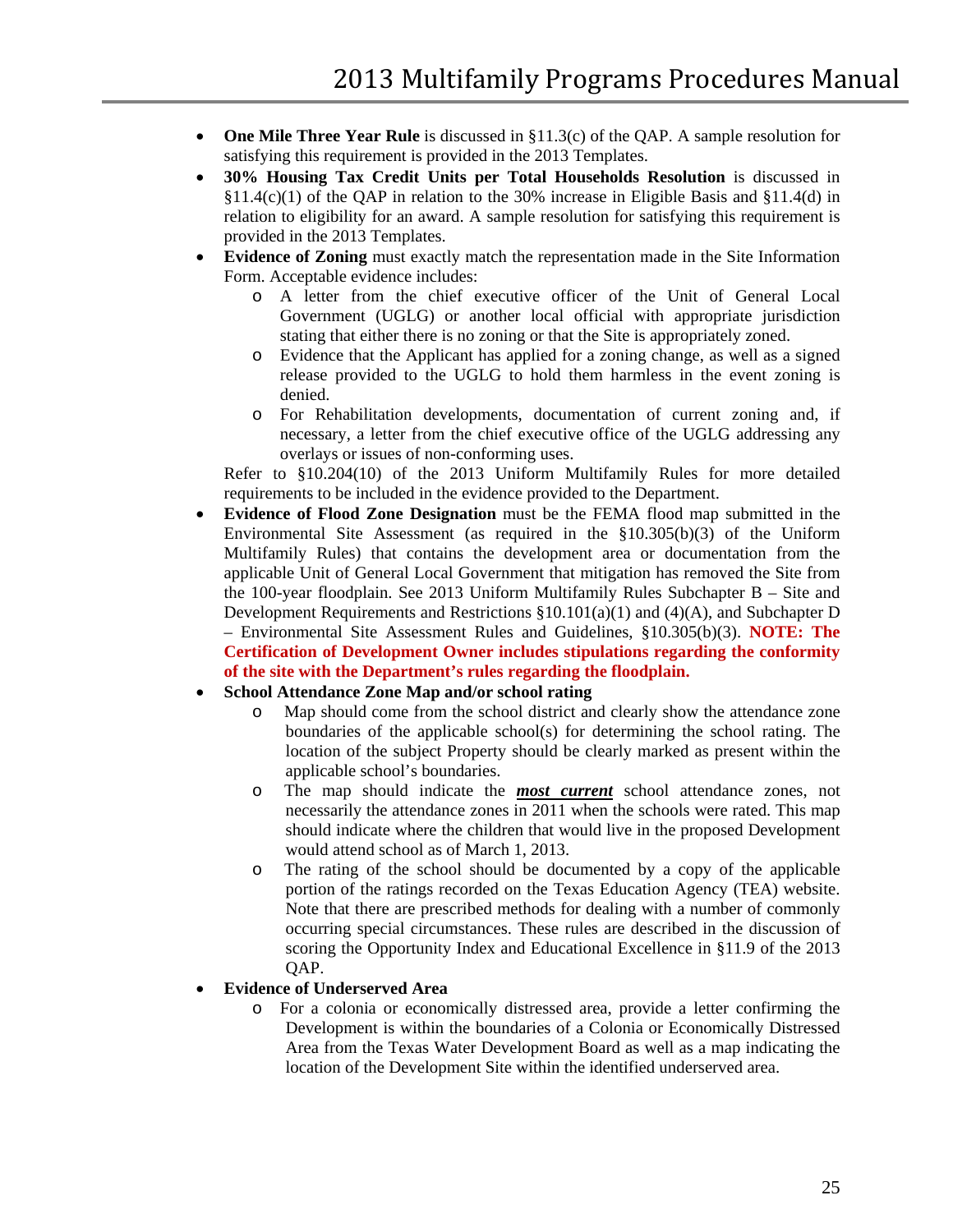- **One Mile Three Year Rule** is discussed in §11.3(c) of the QAP. A sample resolution for satisfying this requirement is provided in the 2013 Templates.
- **30% Housing Tax Credit Units per Total Households Resolution** is discussed in §11.4(c)(1) of the QAP in relation to the 30% increase in Eligible Basis and §11.4(d) in relation to eligibility for an award. A sample resolution for satisfying this requirement is provided in the 2013 Templates.
- **Evidence of Zoning** must exactly match the representation made in the Site Information Form. Acceptable evidence includes:
	- o A letter from the chief executive officer of the Unit of General Local Government (UGLG) or another local official with appropriate jurisdiction stating that either there is no zoning or that the Site is appropriately zoned.
	- o Evidence that the Applicant has applied for a zoning change, as well as a signed release provided to the UGLG to hold them harmless in the event zoning is denied.
	- o For Rehabilitation developments, documentation of current zoning and, if necessary, a letter from the chief executive office of the UGLG addressing any overlays or issues of non-conforming uses.

Refer to §10.204(10) of the 2013 Uniform Multifamily Rules for more detailed requirements to be included in the evidence provided to the Department.

• **Evidence of Flood Zone Designation** must be the FEMA flood map submitted in the Environmental Site Assessment (as required in the §10.305(b)(3) of the Uniform Multifamily Rules) that contains the development area or documentation from the applicable Unit of General Local Government that mitigation has removed the Site from the 100-year floodplain. See 2013 Uniform Multifamily Rules Subchapter B – Site and Development Requirements and Restrictions  $\S 10.101(a)(1)$  and  $(\frac{4}{A})$ , and Subchapter D – Environmental Site Assessment Rules and Guidelines, §10.305(b)(3). **NOTE: The Certification of Development Owner includes stipulations regarding the conformity of the site with the Department's rules regarding the floodplain.**

### • **School Attendance Zone Map and/or school rating**

- o Map should come from the school district and clearly show the attendance zone boundaries of the applicable school(s) for determining the school rating. The location of the subject Property should be clearly marked as present within the applicable school's boundaries.
- o The map should indicate the *most current* school attendance zones, not necessarily the attendance zones in 2011 when the schools were rated. This map should indicate where the children that would live in the proposed Development would attend school as of March 1, 2013.
- o The rating of the school should be documented by a copy of the applicable portion of the ratings recorded on the Texas Education Agency (TEA) website. Note that there are prescribed methods for dealing with a number of commonly occurring special circumstances. These rules are described in the discussion of scoring the Opportunity Index and Educational Excellence in §11.9 of the 2013 QAP.

### • **Evidence of Underserved Area**

o For a colonia or economically distressed area, provide a letter confirming the Development is within the boundaries of a Colonia or Economically Distressed Area from the Texas Water Development Board as well as a map indicating the location of the Development Site within the identified underserved area.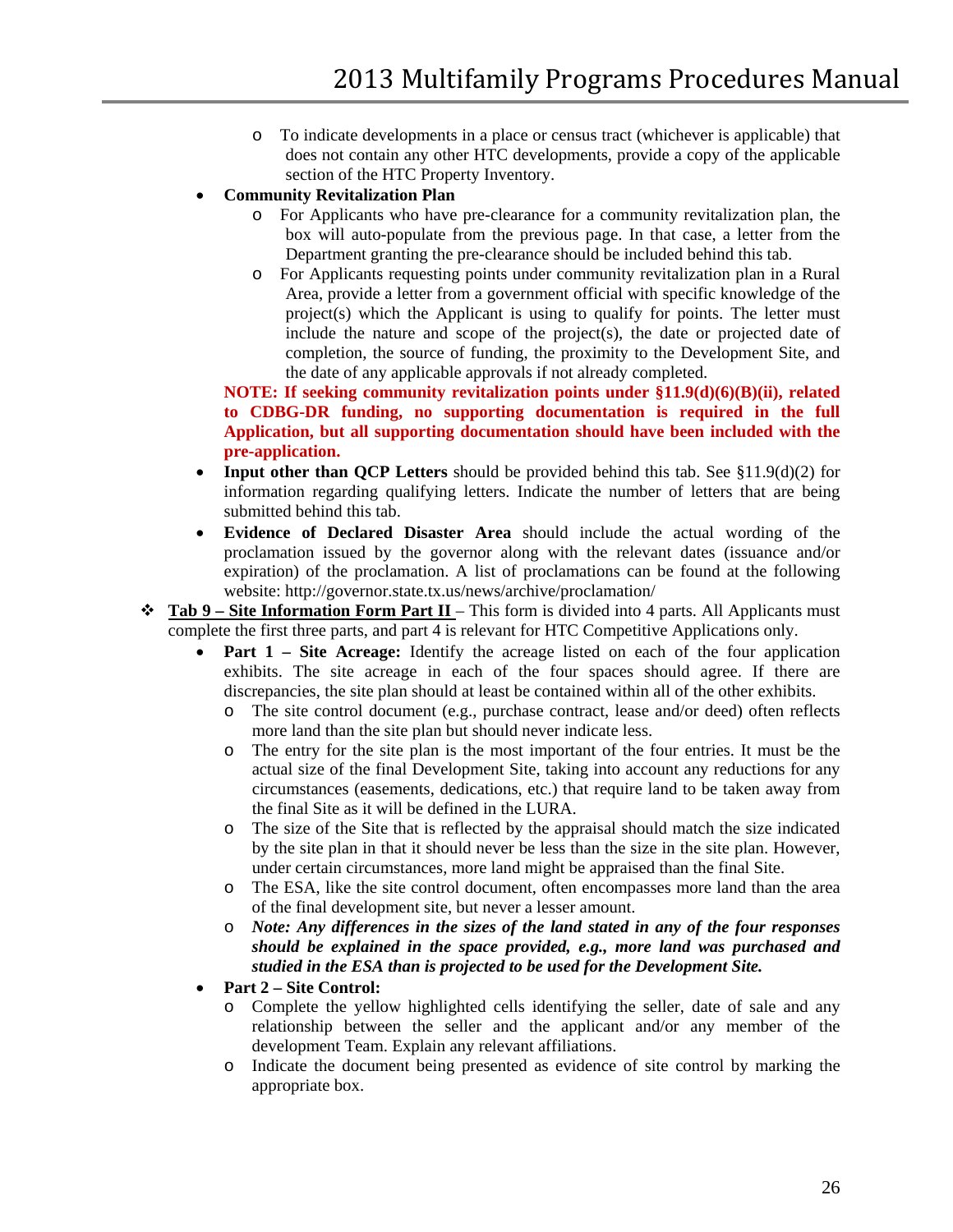- o To indicate developments in a place or census tract (whichever is applicable) that does not contain any other HTC developments, provide a copy of the applicable section of the HTC Property Inventory.
- **Community Revitalization Plan**
	- o For Applicants who have pre-clearance for a community revitalization plan, the box will auto-populate from the previous page. In that case, a letter from the Department granting the pre-clearance should be included behind this tab.
	- o For Applicants requesting points under community revitalization plan in a Rural Area, provide a letter from a government official with specific knowledge of the project(s) which the Applicant is using to qualify for points. The letter must include the nature and scope of the project(s), the date or projected date of completion, the source of funding, the proximity to the Development Site, and the date of any applicable approvals if not already completed.

**NOTE: If seeking community revitalization points under §11.9(d)(6)(B)(ii), related to CDBG-DR funding, no supporting documentation is required in the full Application, but all supporting documentation should have been included with the pre-application.**

- **Input other than OCP Letters** should be provided behind this tab. See §11.9(d)(2) for information regarding qualifying letters. Indicate the number of letters that are being submitted behind this tab.
- **Evidence of Declared Disaster Area** should include the actual wording of the proclamation issued by the governor along with the relevant dates (issuance and/or expiration) of the proclamation. A list of proclamations can be found at the following website: http://governor.state.tx.us/news/archive/proclamation/
- **Tab 9 – Site Information Form Part II** This form is divided into 4 parts. All Applicants must complete the first three parts, and part 4 is relevant for HTC Competitive Applications only.
	- **Part 1 – Site Acreage:** Identify the acreage listed on each of the four application exhibits. The site acreage in each of the four spaces should agree. If there are discrepancies, the site plan should at least be contained within all of the other exhibits.
		- o The site control document (e.g., purchase contract, lease and/or deed) often reflects more land than the site plan but should never indicate less.
		- o The entry for the site plan is the most important of the four entries. It must be the actual size of the final Development Site, taking into account any reductions for any circumstances (easements, dedications, etc.) that require land to be taken away from the final Site as it will be defined in the LURA.
		- o The size of the Site that is reflected by the appraisal should match the size indicated by the site plan in that it should never be less than the size in the site plan. However, under certain circumstances, more land might be appraised than the final Site.
		- o The ESA, like the site control document, often encompasses more land than the area of the final development site, but never a lesser amount.
		- o *Note: Any differences in the sizes of the land stated in any of the four responses should be explained in the space provided, e.g., more land was purchased and studied in the ESA than is projected to be used for the Development Site.*
	- **Part 2 – Site Control:**
		- o Complete the yellow highlighted cells identifying the seller, date of sale and any relationship between the seller and the applicant and/or any member of the development Team. Explain any relevant affiliations.
		- o Indicate the document being presented as evidence of site control by marking the appropriate box.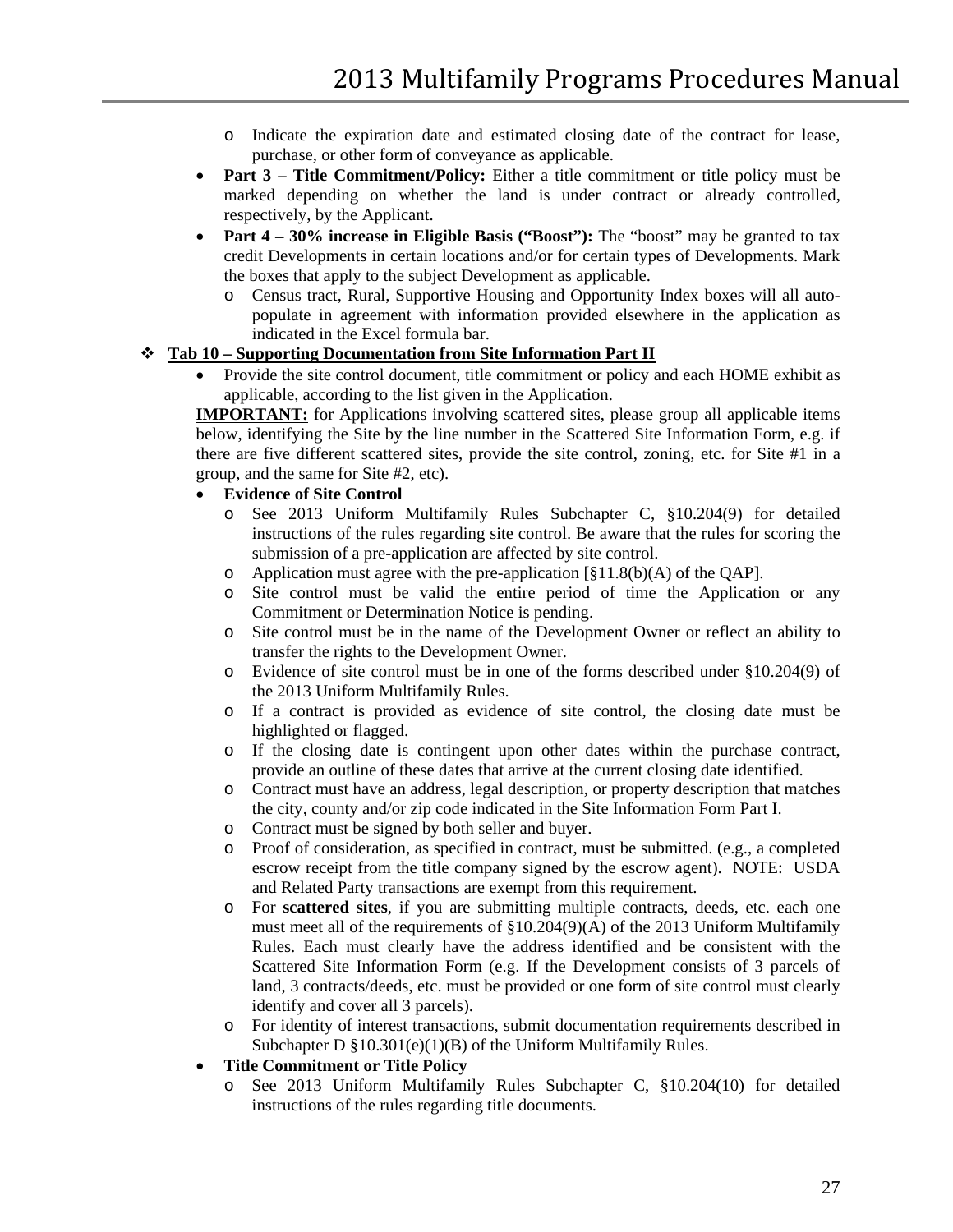- o Indicate the expiration date and estimated closing date of the contract for lease, purchase, or other form of conveyance as applicable.
- **Part 3 Title Commitment/Policy:** Either a title commitment or title policy must be marked depending on whether the land is under contract or already controlled, respectively, by the Applicant.
- **Part 4** 30% increase in Eligible Basis ("Boost"): The "boost" may be granted to tax credit Developments in certain locations and/or for certain types of Developments. Mark the boxes that apply to the subject Development as applicable.
	- o Census tract, Rural, Supportive Housing and Opportunity Index boxes will all autopopulate in agreement with information provided elsewhere in the application as indicated in the Excel formula bar.

#### **Tab 10 – Supporting Documentation from Site Information Part II**

• Provide the site control document, title commitment or policy and each HOME exhibit as applicable, according to the list given in the Application.

**IMPORTANT:** for Applications involving scattered sites, please group all applicable items below, identifying the Site by the line number in the Scattered Site Information Form, e.g. if there are five different scattered sites, provide the site control, zoning, etc. for Site #1 in a group, and the same for Site #2, etc).

- **Evidence of Site Control**
	- o See 2013 Uniform Multifamily Rules Subchapter C, §10.204(9) for detailed instructions of the rules regarding site control. Be aware that the rules for scoring the submission of a pre-application are affected by site control.
	- o Application must agree with the pre-application [§11.8(b)(A) of the QAP].
	- o Site control must be valid the entire period of time the Application or any Commitment or Determination Notice is pending.
	- o Site control must be in the name of the Development Owner or reflect an ability to transfer the rights to the Development Owner.
	- o Evidence of site control must be in one of the forms described under §10.204(9) of the 2013 Uniform Multifamily Rules.
	- o If a contract is provided as evidence of site control, the closing date must be highlighted or flagged.
	- o If the closing date is contingent upon other dates within the purchase contract, provide an outline of these dates that arrive at the current closing date identified.
	- o Contract must have an address, legal description, or property description that matches the city, county and/or zip code indicated in the Site Information Form Part I.
	- o Contract must be signed by both seller and buyer.
	- o Proof of consideration, as specified in contract, must be submitted. (e.g., a completed escrow receipt from the title company signed by the escrow agent). NOTE: USDA and Related Party transactions are exempt from this requirement.
	- o For **scattered sites**, if you are submitting multiple contracts, deeds, etc. each one must meet all of the requirements of  $\S 10.204(9)$ (A) of the 2013 Uniform Multifamily Rules. Each must clearly have the address identified and be consistent with the Scattered Site Information Form (e.g. If the Development consists of 3 parcels of land, 3 contracts/deeds, etc. must be provided or one form of site control must clearly identify and cover all 3 parcels).
	- o For identity of interest transactions, submit documentation requirements described in Subchapter D §10.301(e)(1)(B) of the Uniform Multifamily Rules.

#### • **Title Commitment or Title Policy**

o See 2013 Uniform Multifamily Rules Subchapter C, §10.204(10) for detailed instructions of the rules regarding title documents.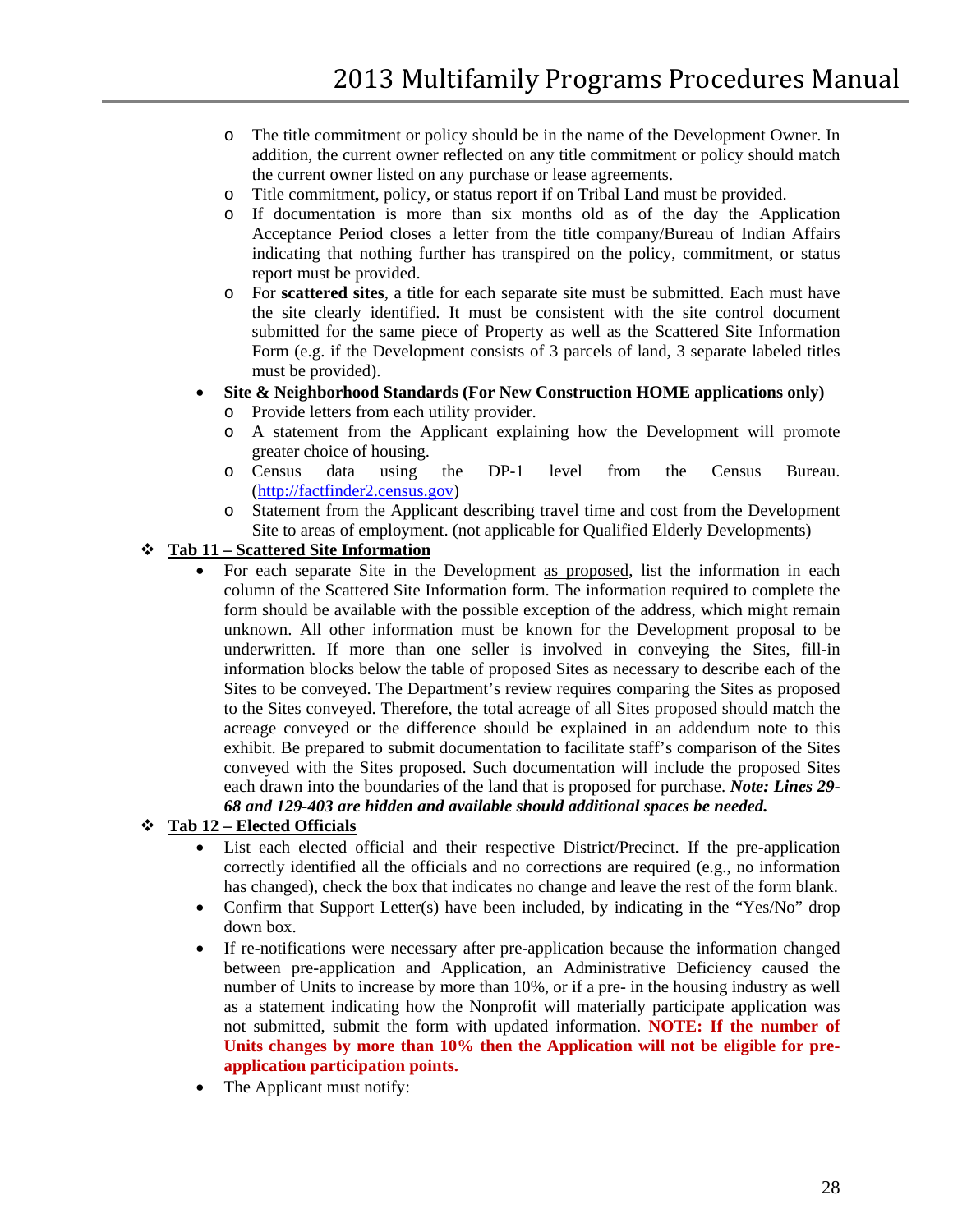- o The title commitment or policy should be in the name of the Development Owner. In addition, the current owner reflected on any title commitment or policy should match the current owner listed on any purchase or lease agreements.
- o Title commitment, policy, or status report if on Tribal Land must be provided.
- o If documentation is more than six months old as of the day the Application Acceptance Period closes a letter from the title company/Bureau of Indian Affairs indicating that nothing further has transpired on the policy, commitment, or status report must be provided.
- o For **scattered sites**, a title for each separate site must be submitted. Each must have the site clearly identified. It must be consistent with the site control document submitted for the same piece of Property as well as the Scattered Site Information Form (e.g. if the Development consists of 3 parcels of land, 3 separate labeled titles must be provided).
- **Site & Neighborhood Standards (For New Construction HOME applications only)**
	- o Provide letters from each utility provider.
	- o A statement from the Applicant explaining how the Development will promote greater choice of housing.
	- o Census data using the DP-1 level from the Census Bureau. [\(http://factfinder2.census.gov\)](http://factfinder2.census.gov/)
	- o Statement from the Applicant describing travel time and cost from the Development Site to areas of employment. (not applicable for Qualified Elderly Developments)

#### **Tab 11 – Scattered Site Information**

• For each separate Site in the Development as proposed, list the information in each column of the Scattered Site Information form. The information required to complete the form should be available with the possible exception of the address, which might remain unknown. All other information must be known for the Development proposal to be underwritten. If more than one seller is involved in conveying the Sites, fill-in information blocks below the table of proposed Sites as necessary to describe each of the Sites to be conveyed. The Department's review requires comparing the Sites as proposed to the Sites conveyed. Therefore, the total acreage of all Sites proposed should match the acreage conveyed or the difference should be explained in an addendum note to this exhibit. Be prepared to submit documentation to facilitate staff's comparison of the Sites conveyed with the Sites proposed. Such documentation will include the proposed Sites each drawn into the boundaries of the land that is proposed for purchase. *Note: Lines 29- 68 and 129-403 are hidden and available should additional spaces be needed.*

### **Tab 12 – Elected Officials**

- List each elected official and their respective District/Precinct. If the pre-application correctly identified all the officials and no corrections are required (e.g., no information has changed), check the box that indicates no change and leave the rest of the form blank.
- Confirm that Support Letter(s) have been included, by indicating in the "Yes/No" drop down box.
- If re-notifications were necessary after pre-application because the information changed between pre-application and Application, an Administrative Deficiency caused the number of Units to increase by more than 10%, or if a pre- in the housing industry as well as a statement indicating how the Nonprofit will materially participate application was not submitted, submit the form with updated information. **NOTE: If the number of Units changes by more than 10% then the Application will not be eligible for preapplication participation points.**
- The Applicant must notify: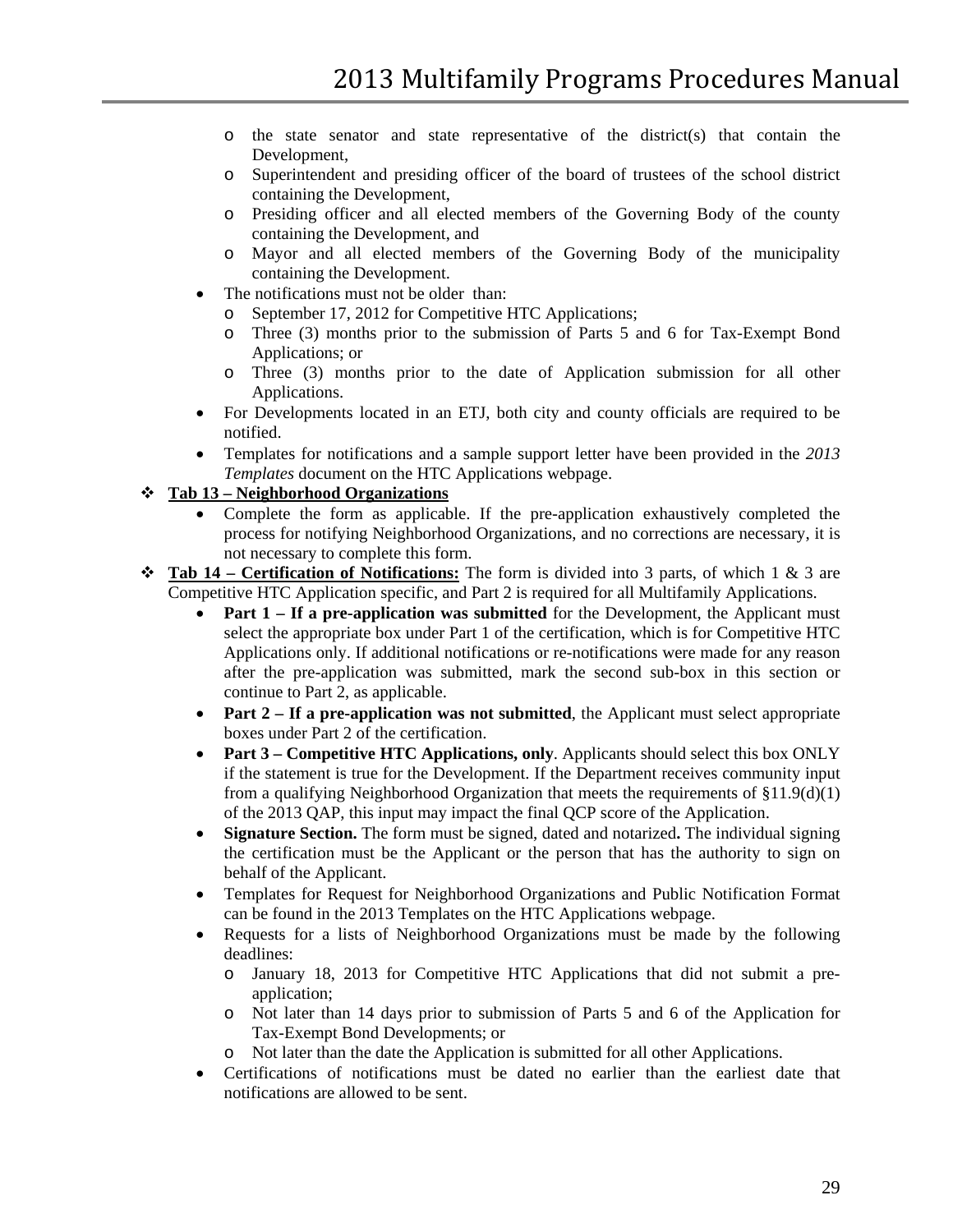- $\circ$  the state senator and state representative of the district(s) that contain the Development,
- o Superintendent and presiding officer of the board of trustees of the school district containing the Development,
- o Presiding officer and all elected members of the Governing Body of the county containing the Development, and
- o Mayor and all elected members of the Governing Body of the municipality containing the Development.
- The notifications must not be older than:
	- o September 17, 2012 for Competitive HTC Applications;
	- o Three (3) months prior to the submission of Parts 5 and 6 for Tax-Exempt Bond Applications; or
	- o Three (3) months prior to the date of Application submission for all other Applications.
- For Developments located in an ETJ, both city and county officials are required to be notified.
- Templates for notifications and a sample support letter have been provided in the *2013 Templates* document on the HTC Applications webpage.

### **Tab 13 – Neighborhood Organizations**

- Complete the form as applicable. If the pre-application exhaustively completed the process for notifying Neighborhood Organizations, and no corrections are necessary, it is not necessary to complete this form.
- **Tab 14 – Certification of Notifications:** The form is divided into 3 parts, of which 1 & 3 are Competitive HTC Application specific, and Part 2 is required for all Multifamily Applications.
	- **Part 1 If a pre-application was submitted** for the Development, the Applicant must select the appropriate box under Part 1 of the certification, which is for Competitive HTC Applications only. If additional notifications or re-notifications were made for any reason after the pre-application was submitted, mark the second sub-box in this section or continue to Part 2, as applicable.
	- **Part 2 If a pre-application was not submitted**, the Applicant must select appropriate boxes under Part 2 of the certification.
	- **Part 3 Competitive HTC Applications, only**. Applicants should select this box ONLY if the statement is true for the Development. If the Department receives community input from a qualifying Neighborhood Organization that meets the requirements of  $\S11.9(d)(1)$ of the 2013 QAP, this input may impact the final QCP score of the Application.
	- **Signature Section.** The form must be signed, dated and notarized**.** The individual signing the certification must be the Applicant or the person that has the authority to sign on behalf of the Applicant.
	- Templates for Request for Neighborhood Organizations and Public Notification Format can be found in the 2013 Templates on the HTC Applications webpage.
	- Requests for a lists of Neighborhood Organizations must be made by the following deadlines:
		- o January 18, 2013 for Competitive HTC Applications that did not submit a preapplication;
		- o Not later than 14 days prior to submission of Parts 5 and 6 of the Application for Tax-Exempt Bond Developments; or
		- o Not later than the date the Application is submitted for all other Applications.
	- Certifications of notifications must be dated no earlier than the earliest date that notifications are allowed to be sent.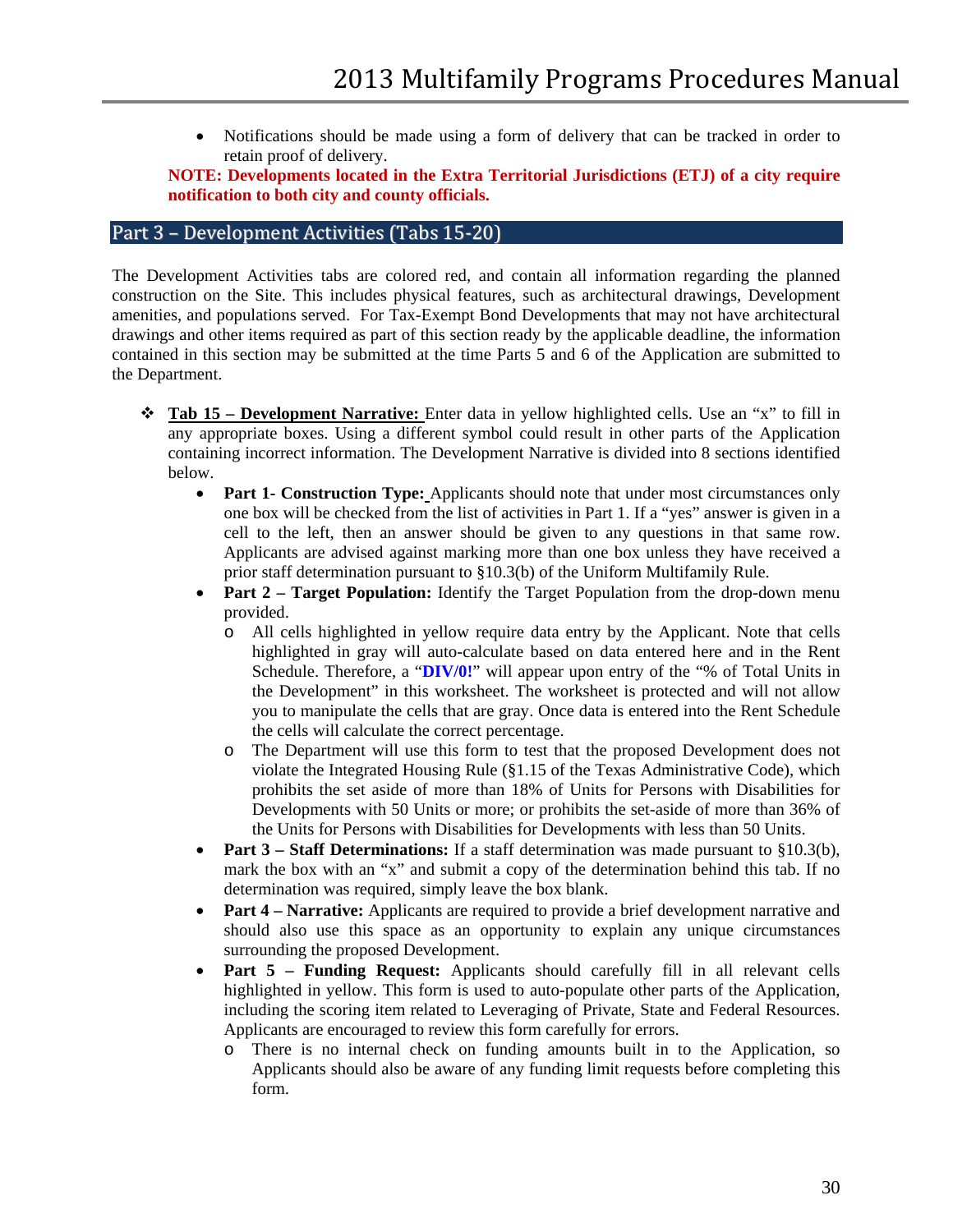• Notifications should be made using a form of delivery that can be tracked in order to retain proof of delivery.

**NOTE: Developments located in the Extra Territorial Jurisdictions (ETJ) of a city require notification to both city and county officials.** 

#### <span id="page-29-0"></span>Part 3 – Development Activities (Tabs 15-20)

The Development Activities tabs are colored red, and contain all information regarding the planned construction on the Site. This includes physical features, such as architectural drawings, Development amenities, and populations served. For Tax-Exempt Bond Developments that may not have architectural drawings and other items required as part of this section ready by the applicable deadline, the information contained in this section may be submitted at the time Parts 5 and 6 of the Application are submitted to the Department.

- **Tab 15 – Development Narrative:** Enter data in yellow highlighted cells. Use an "x" to fill in any appropriate boxes. Using a different symbol could result in other parts of the Application containing incorrect information. The Development Narrative is divided into 8 sections identified below.
	- **Part 1- Construction Type:** Applicants should note that under most circumstances only one box will be checked from the list of activities in Part 1. If a "yes" answer is given in a cell to the left, then an answer should be given to any questions in that same row. Applicants are advised against marking more than one box unless they have received a prior staff determination pursuant to §10.3(b) of the Uniform Multifamily Rule.
	- **Part 2 – Target Population:** Identify the Target Population from the drop-down menu provided.
		- o All cells highlighted in yellow require data entry by the Applicant. Note that cells highlighted in gray will auto-calculate based on data entered here and in the Rent Schedule. Therefore, a "**DIV/0!**" will appear upon entry of the "% of Total Units in the Development" in this worksheet. The worksheet is protected and will not allow you to manipulate the cells that are gray. Once data is entered into the Rent Schedule the cells will calculate the correct percentage.
		- The Department will use this form to test that the proposed Development does not violate the Integrated Housing Rule (§1.15 of the Texas Administrative Code), which prohibits the set aside of more than 18% of Units for Persons with Disabilities for Developments with 50 Units or more; or prohibits the set-aside of more than 36% of the Units for Persons with Disabilities for Developments with less than 50 Units.
	- **Part 3 Staff Determinations:** If a staff determination was made pursuant to §10.3(b), mark the box with an "x" and submit a copy of the determination behind this tab. If no determination was required, simply leave the box blank.
	- **Part 4 Narrative:** Applicants are required to provide a brief development narrative and should also use this space as an opportunity to explain any unique circumstances surrounding the proposed Development.
	- **Part 5 – Funding Request:** Applicants should carefully fill in all relevant cells highlighted in yellow. This form is used to auto-populate other parts of the Application, including the scoring item related to Leveraging of Private, State and Federal Resources. Applicants are encouraged to review this form carefully for errors.
		- o There is no internal check on funding amounts built in to the Application, so Applicants should also be aware of any funding limit requests before completing this form.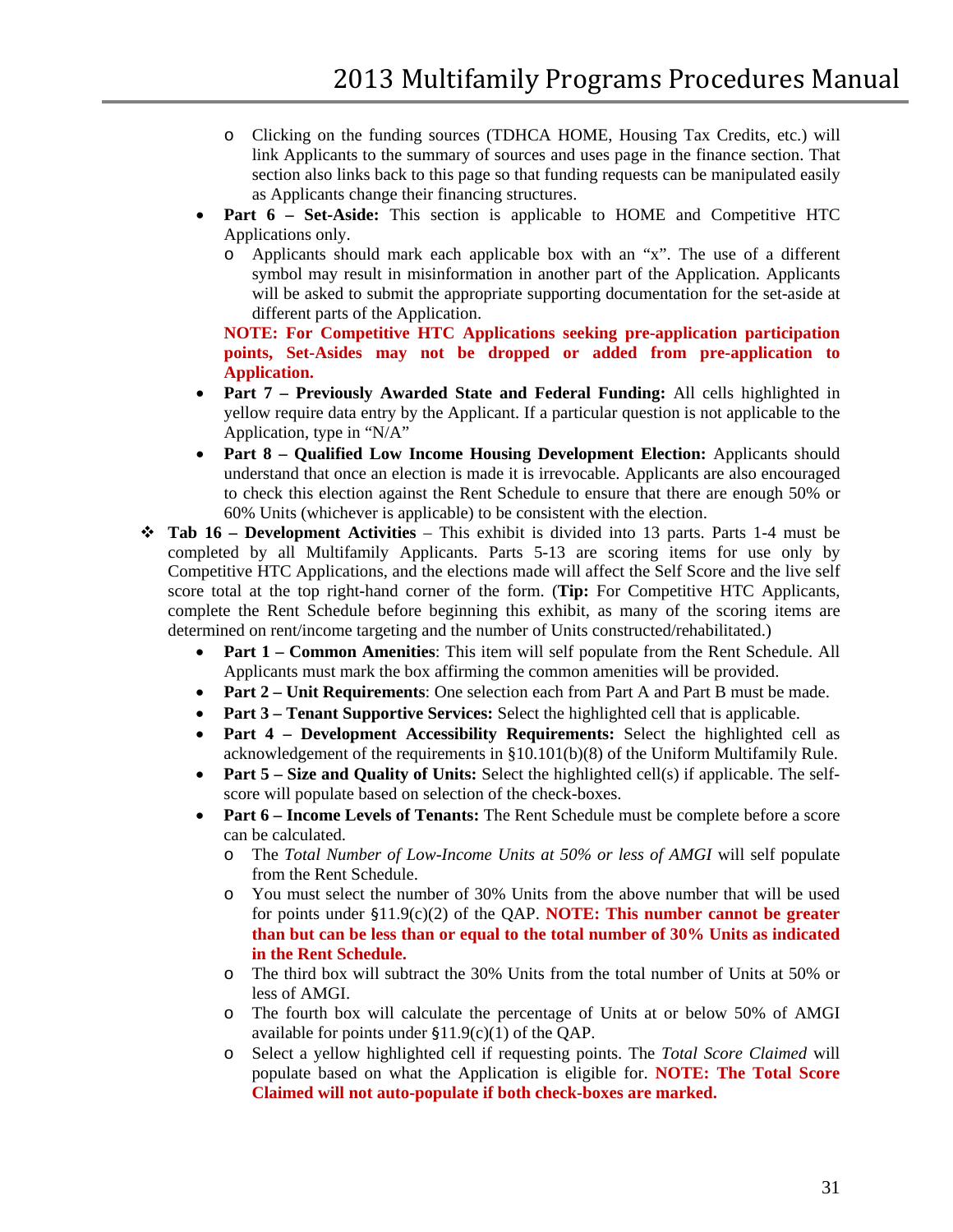- o Clicking on the funding sources (TDHCA HOME, Housing Tax Credits, etc.) will link Applicants to the summary of sources and uses page in the finance section. That section also links back to this page so that funding requests can be manipulated easily as Applicants change their financing structures.
- Part 6 Set-Aside: This section is applicable to HOME and Competitive HTC Applications only.
	- o Applicants should mark each applicable box with an "x". The use of a different symbol may result in misinformation in another part of the Application. Applicants will be asked to submit the appropriate supporting documentation for the set-aside at different parts of the Application.

**NOTE: For Competitive HTC Applications seeking pre-application participation points, Set-Asides may not be dropped or added from pre-application to Application.**

- **Part 7 – Previously Awarded State and Federal Funding:** All cells highlighted in yellow require data entry by the Applicant. If a particular question is not applicable to the Application, type in "N/A"
- **Part 8 – Qualified Low Income Housing Development Election:** Applicants should understand that once an election is made it is irrevocable. Applicants are also encouraged to check this election against the Rent Schedule to ensure that there are enough 50% or 60% Units (whichever is applicable) to be consistent with the election.
- **Tab 16 – Development Activities** This exhibit is divided into 13 parts. Parts 1-4 must be completed by all Multifamily Applicants. Parts 5-13 are scoring items for use only by Competitive HTC Applications, and the elections made will affect the Self Score and the live self score total at the top right-hand corner of the form. (**Tip:** For Competitive HTC Applicants, complete the Rent Schedule before beginning this exhibit, as many of the scoring items are determined on rent/income targeting and the number of Units constructed/rehabilitated.)
	- **Part 1 Common Amenities**: This item will self populate from the Rent Schedule. All Applicants must mark the box affirming the common amenities will be provided.
	- **Part 2 Unit Requirements:** One selection each from Part A and Part B must be made.
	- **Part 3 Tenant Supportive Services:** Select the highlighted cell that is applicable.
	- **Part 4 – Development Accessibility Requirements:** Select the highlighted cell as acknowledgement of the requirements in §10.101(b)(8) of the Uniform Multifamily Rule.
	- **Part 5 Size and Quality of Units:** Select the highlighted cell(s) if applicable. The selfscore will populate based on selection of the check-boxes.
	- **Part 6 – Income Levels of Tenants:** The Rent Schedule must be complete before a score can be calculated.
		- o The *Total Number of Low-Income Units at 50% or less of AMGI* will self populate from the Rent Schedule.
		- o You must select the number of 30% Units from the above number that will be used for points under §11.9(c)(2) of the QAP. **NOTE: This number cannot be greater than but can be less than or equal to the total number of 30% Units as indicated in the Rent Schedule.**
		- o The third box will subtract the 30% Units from the total number of Units at 50% or less of AMGI.
		- o The fourth box will calculate the percentage of Units at or below 50% of AMGI available for points under  $$11.9(c)(1)$  of the QAP.
		- o Select a yellow highlighted cell if requesting points. The *Total Score Claimed* will populate based on what the Application is eligible for. **NOTE: The Total Score Claimed will not auto-populate if both check-boxes are marked.**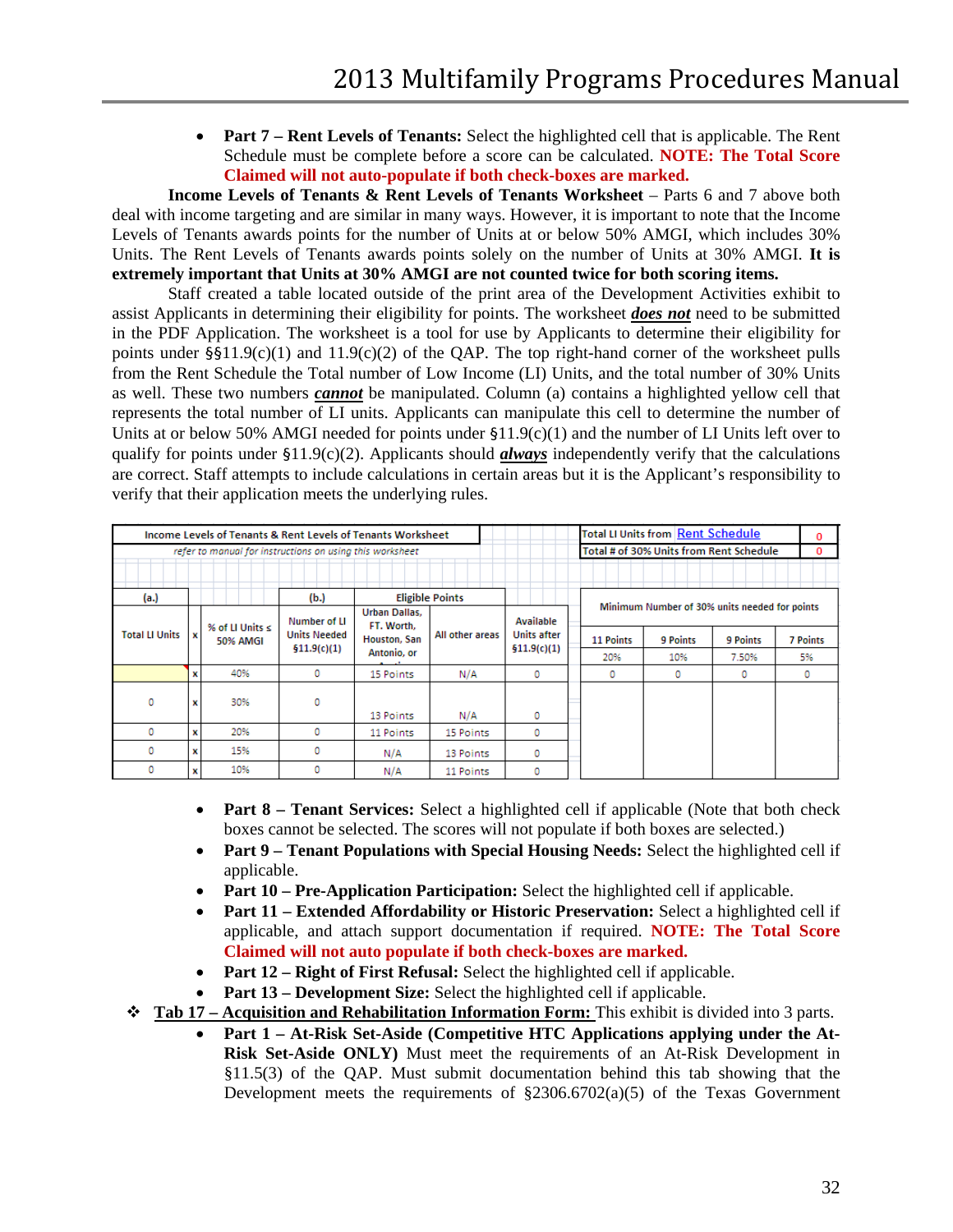• **Part 7 – Rent Levels of Tenants:** Select the highlighted cell that is applicable. The Rent Schedule must be complete before a score can be calculated. **NOTE: The Total Score Claimed will not auto-populate if both check-boxes are marked.**

**Income Levels of Tenants & Rent Levels of Tenants Worksheet** – Parts 6 and 7 above both deal with income targeting and are similar in many ways. However, it is important to note that the Income Levels of Tenants awards points for the number of Units at or below 50% AMGI, which includes 30% Units. The Rent Levels of Tenants awards points solely on the number of Units at 30% AMGI. **It is extremely important that Units at 30% AMGI are not counted twice for both scoring items.** 

Staff created a table located outside of the print area of the Development Activities exhibit to assist Applicants in determining their eligibility for points. The worksheet *does not* need to be submitted in the PDF Application. The worksheet is a tool for use by Applicants to determine their eligibility for points under  $\S511.9(c)(1)$  and  $11.9(c)(2)$  of the QAP. The top right-hand corner of the worksheet pulls from the Rent Schedule the Total number of Low Income (LI) Units, and the total number of 30% Units as well. These two numbers *cannot* be manipulated. Column (a) contains a highlighted yellow cell that represents the total number of LI units. Applicants can manipulate this cell to determine the number of Units at or below 50% AMGI needed for points under §11.9(c)(1) and the number of LI Units left over to qualify for points under §11.9(c)(2). Applicants should *always* independently verify that the calculations are correct. Staff attempts to include calculations in certain areas but it is the Applicant's responsibility to verify that their application meets the underlying rules.

| Income Levels of Tenants & Rent Levels of Tenants Worksheet |    |                                  |                     |                             |                        |                 |                                               | <b>Total LI Units from Rent Schedule</b> |              | 0        |          |                 |
|-------------------------------------------------------------|----|----------------------------------|---------------------|-----------------------------|------------------------|-----------------|-----------------------------------------------|------------------------------------------|--------------|----------|----------|-----------------|
| refer to manual for instructions on using this worksheet    |    |                                  |                     |                             |                        |                 |                                               | Total # of 30% Units from Rent Schedule  |              | 0        |          |                 |
|                                                             |    |                                  |                     |                             |                        |                 |                                               |                                          |              |          |          |                 |
| (a.)                                                        |    |                                  | (b.)                |                             | <b>Eligible Points</b> |                 |                                               |                                          |              |          |          |                 |
|                                                             |    |                                  | Number of LI        | Urban Dallas.<br>FT. Worth, |                        | Available       | Minimum Number of 30% units needed for points |                                          |              |          |          |                 |
| <b>Total LI Units</b>                                       | lх | % of LI Units $\leq$<br>50% AMGI | <b>Units Needed</b> | Houston, San<br>Antonio, or | \$11.9(c)(1)           | All other areas | <b>Units after</b>                            |                                          | 11 Points    | 9 Points | 9 Points | <b>7 Points</b> |
|                                                             |    |                                  |                     |                             |                        |                 |                                               |                                          | \$11.9(c)(1) |          | 20%      | 10%             |
|                                                             |    | 40%                              | ٥                   | 15 Points                   | N/A                    | ٥               |                                               | ٥                                        | ٥            | ٥        | 0        |                 |
| o                                                           | x  | 30%                              | o                   |                             |                        |                 |                                               |                                          |              |          |          |                 |
|                                                             |    |                                  |                     | 13 Points                   | N/A                    | ٥               |                                               |                                          |              |          |          |                 |
| o                                                           | x  | 20%                              | o                   | 11 Points                   | 15 Points              | 0               |                                               |                                          |              |          |          |                 |
| ٥                                                           | x  | 15%                              |                     | N/A                         | 13 Points              | 0               |                                               |                                          |              |          |          |                 |
| ٥                                                           | x  | 10%                              |                     | N/A                         | 11 Points              | 0               |                                               |                                          |              |          |          |                 |

- **Part 8 Tenant Services:** Select a highlighted cell if applicable (Note that both check boxes cannot be selected. The scores will not populate if both boxes are selected.)
- **Part 9 Tenant Populations with Special Housing Needs:** Select the highlighted cell if applicable.
- **Part 10 Pre-Application Participation:** Select the highlighted cell if applicable.
- **Part 11 – Extended Affordability or Historic Preservation:** Select a highlighted cell if applicable, and attach support documentation if required. **NOTE: The Total Score Claimed will not auto populate if both check-boxes are marked.**
- **Part 12 Right of First Refusal:** Select the highlighted cell if applicable.
- **Part 13 Development Size:** Select the highlighted cell if applicable.
- **Tab 17 – Acquisition and Rehabilitation Information Form:** This exhibit is divided into 3 parts.
	- **Part 1 – At-Risk Set-Aside (Competitive HTC Applications applying under the At-Risk Set-Aside ONLY)** Must meet the requirements of an At-Risk Development in §11.5(3) of the QAP. Must submit documentation behind this tab showing that the Development meets the requirements of  $\S2306.6702(a)(5)$  of the Texas Government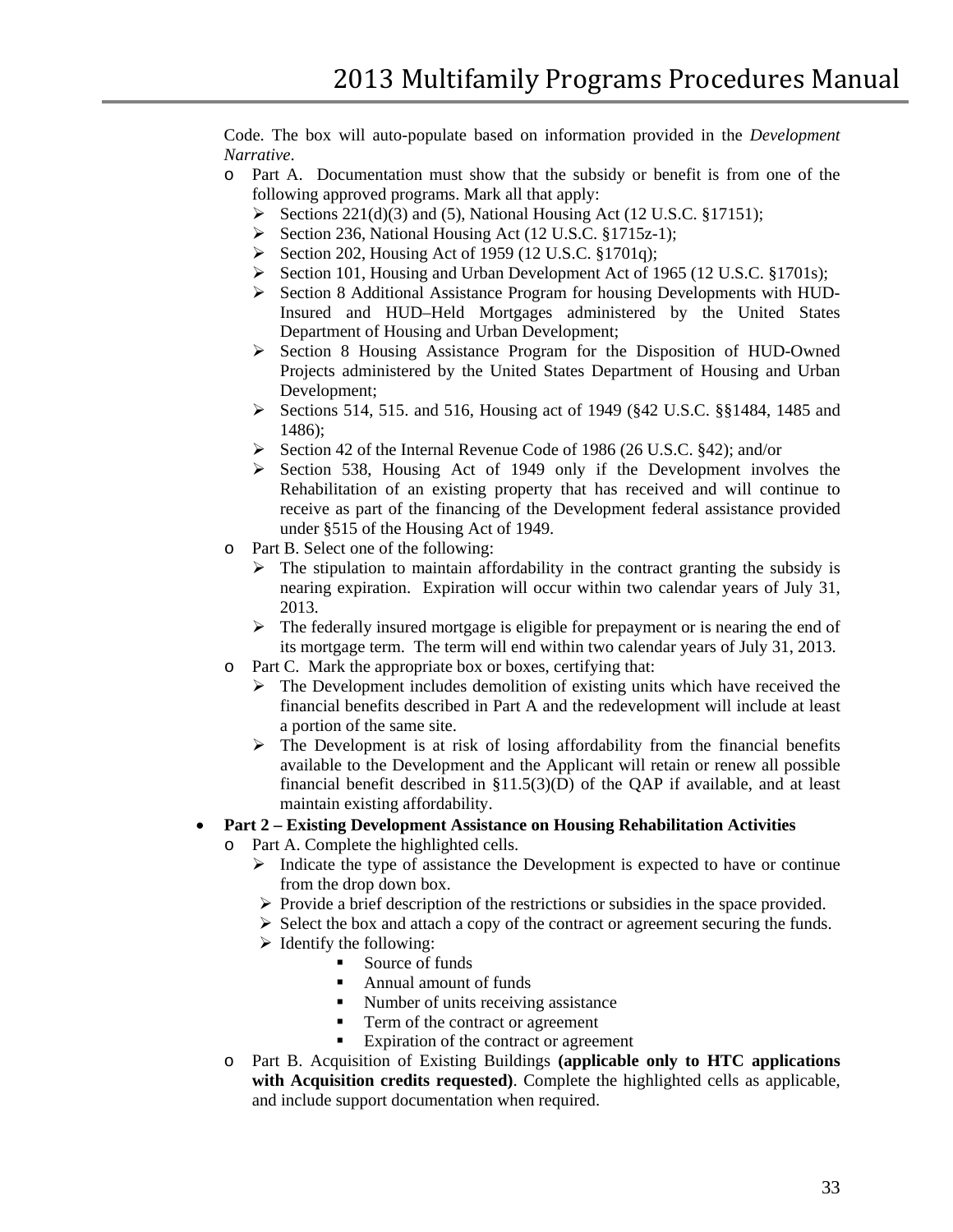Code. The box will auto-populate based on information provided in the *Development Narrative*.

- o Part A. Documentation must show that the subsidy or benefit is from one of the following approved programs. Mark all that apply:
	- Sections 221(d)(3) and (5), National Housing Act (12 U.S.C. §17151);
	- $\triangleright$  Section 236, National Housing Act (12 U.S.C. §1715z-1);
	- Section 202, Housing Act of 1959 (12 U.S.C. §1701q);
	- Section 101, Housing and Urban Development Act of 1965 (12 U.S.C. §1701s);
	- $\triangleright$  Section 8 Additional Assistance Program for housing Developments with HUD-Insured and HUD–Held Mortgages administered by the United States Department of Housing and Urban Development;
	- Section 8 Housing Assistance Program for the Disposition of HUD-Owned Projects administered by the United States Department of Housing and Urban Development;
	- Sections 514, 515. and 516, Housing act of 1949 (§42 U.S.C. §§1484, 1485 and 1486);
	- $\triangleright$  Section 42 of the Internal Revenue Code of 1986 (26 U.S.C. §42); and/or
	- $\triangleright$  Section 538, Housing Act of 1949 only if the Development involves the Rehabilitation of an existing property that has received and will continue to receive as part of the financing of the Development federal assistance provided under §515 of the Housing Act of 1949.
- o Part B. Select one of the following:
	- $\triangleright$  The stipulation to maintain affordability in the contract granting the subsidy is nearing expiration. Expiration will occur within two calendar years of July 31, 2013.
	- $\triangleright$  The federally insured mortgage is eligible for prepayment or is nearing the end of its mortgage term. The term will end within two calendar years of July 31, 2013.
- o Part C. Mark the appropriate box or boxes, certifying that:
	- $\triangleright$  The Development includes demolition of existing units which have received the financial benefits described in Part A and the redevelopment will include at least a portion of the same site.
	- $\triangleright$  The Development is at risk of losing affordability from the financial benefits available to the Development and the Applicant will retain or renew all possible financial benefit described in  $\S11.5(3)(D)$  of the QAP if available, and at least maintain existing affordability.

#### • **Part 2 – Existing Development Assistance on Housing Rehabilitation Activities**

- o Part A. Complete the highlighted cells.
	- $\triangleright$  Indicate the type of assistance the Development is expected to have or continue from the drop down box.
	- $\triangleright$  Provide a brief description of the restrictions or subsidies in the space provided.
	- $\triangleright$  Select the box and attach a copy of the contract or agreement securing the funds.
	- $\triangleright$  Identify the following:
		- Source of funds
		- Annual amount of funds
		- Number of units receiving assistance
		- Term of the contract or agreement
		- Expiration of the contract or agreement
- o Part B. Acquisition of Existing Buildings **(applicable only to HTC applications with Acquisition credits requested)**. Complete the highlighted cells as applicable, and include support documentation when required.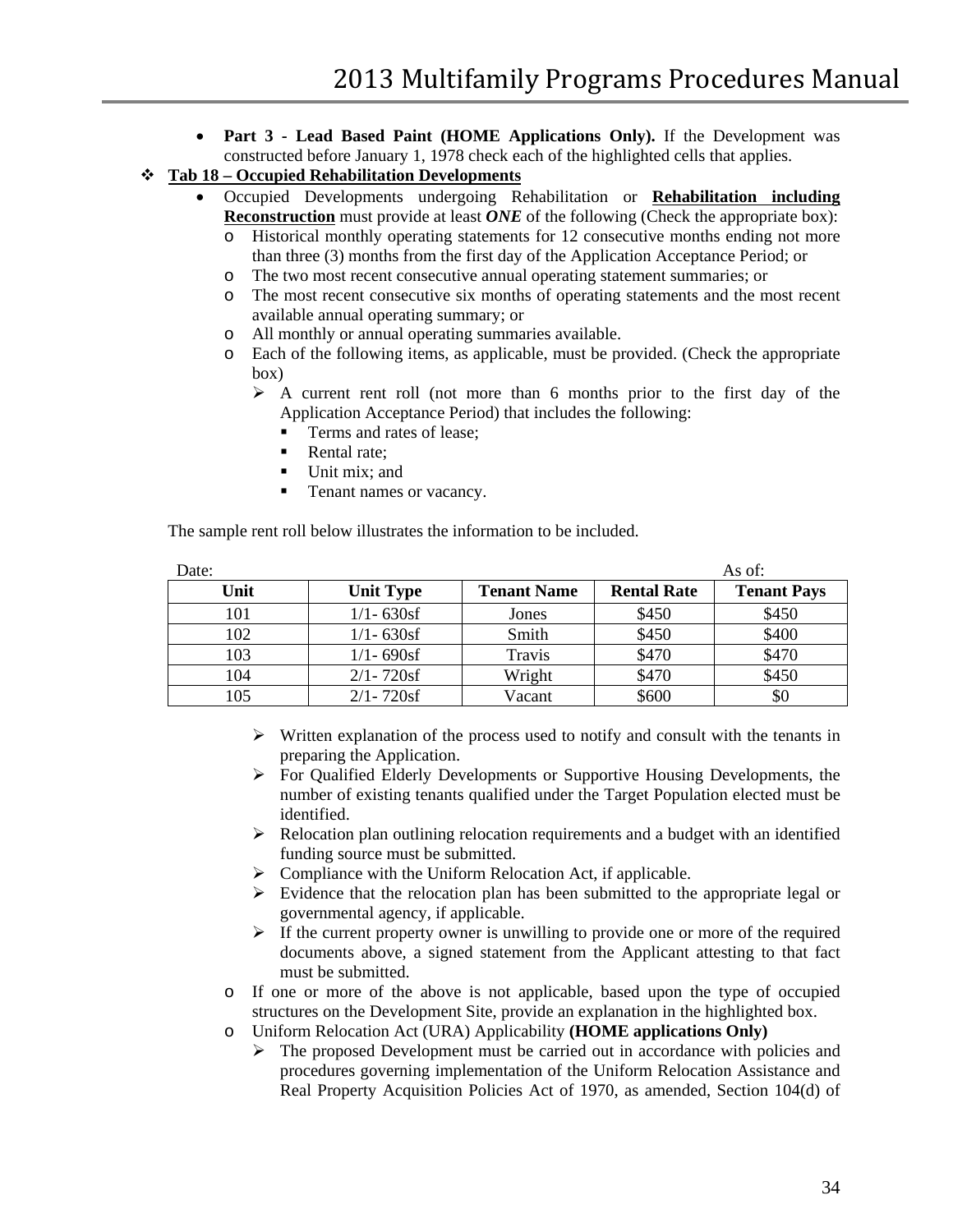- **Part 3 - Lead Based Paint (HOME Applications Only).** If the Development was constructed before January 1, 1978 check each of the highlighted cells that applies.
- **Tab 18 – Occupied Rehabilitation Developments** 
	- Occupied Developments undergoing Rehabilitation or **Rehabilitation including Reconstruction** must provide at least *ONE* of the following (Check the appropriate box):
		- o Historical monthly operating statements for 12 consecutive months ending not more than three (3) months from the first day of the Application Acceptance Period; or
		- o The two most recent consecutive annual operating statement summaries; or
		- o The most recent consecutive six months of operating statements and the most recent available annual operating summary; or
		- o All monthly or annual operating summaries available.
		- Each of the following items, as applicable, must be provided. (Check the appropriate box)
			- $\triangleright$  A current rent roll (not more than 6 months prior to the first day of the Application Acceptance Period) that includes the following:
				- Terms and rates of lease;
				- Rental rate;
				- Unit mix; and
				- Tenant names or vacancy.

The sample rent roll below illustrates the information to be included.

| Date: |                  |                    |                    | As of:             |
|-------|------------------|--------------------|--------------------|--------------------|
| Unit  | <b>Unit Type</b> | <b>Tenant Name</b> | <b>Rental Rate</b> | <b>Tenant Pays</b> |
| 101   | $1/1 - 630$ sf   | Jones              | \$450              | \$450              |
| 102   | $1/1 - 630$ sf   | Smith              | \$450              | \$400              |
| 103   | $1/1 - 690$ sf   | Travis             | \$470              | \$470              |
| 104   | $2/1 - 720$ sf   | Wright             | \$470              | \$450              |
| 105   | $2/1 - 720$ sf   | Vacant             | \$600              | \$0                |

- $\triangleright$  Written explanation of the process used to notify and consult with the tenants in preparing the Application.
- $\triangleright$  For Qualified Elderly Developments or Supportive Housing Developments, the number of existing tenants qualified under the Target Population elected must be identified.
- $\triangleright$  Relocation plan outlining relocation requirements and a budget with an identified funding source must be submitted.
- $\triangleright$  Compliance with the Uniform Relocation Act, if applicable.
- $\triangleright$  Evidence that the relocation plan has been submitted to the appropriate legal or governmental agency, if applicable.
- $\triangleright$  If the current property owner is unwilling to provide one or more of the required documents above, a signed statement from the Applicant attesting to that fact must be submitted.
- o If one or more of the above is not applicable, based upon the type of occupied structures on the Development Site, provide an explanation in the highlighted box.
- o Uniform Relocation Act (URA) Applicability **(HOME applications Only)**
	- The proposed Development must be carried out in accordance with policies and procedures governing implementation of the Uniform Relocation Assistance and Real Property Acquisition Policies Act of 1970, as amended, Section 104(d) of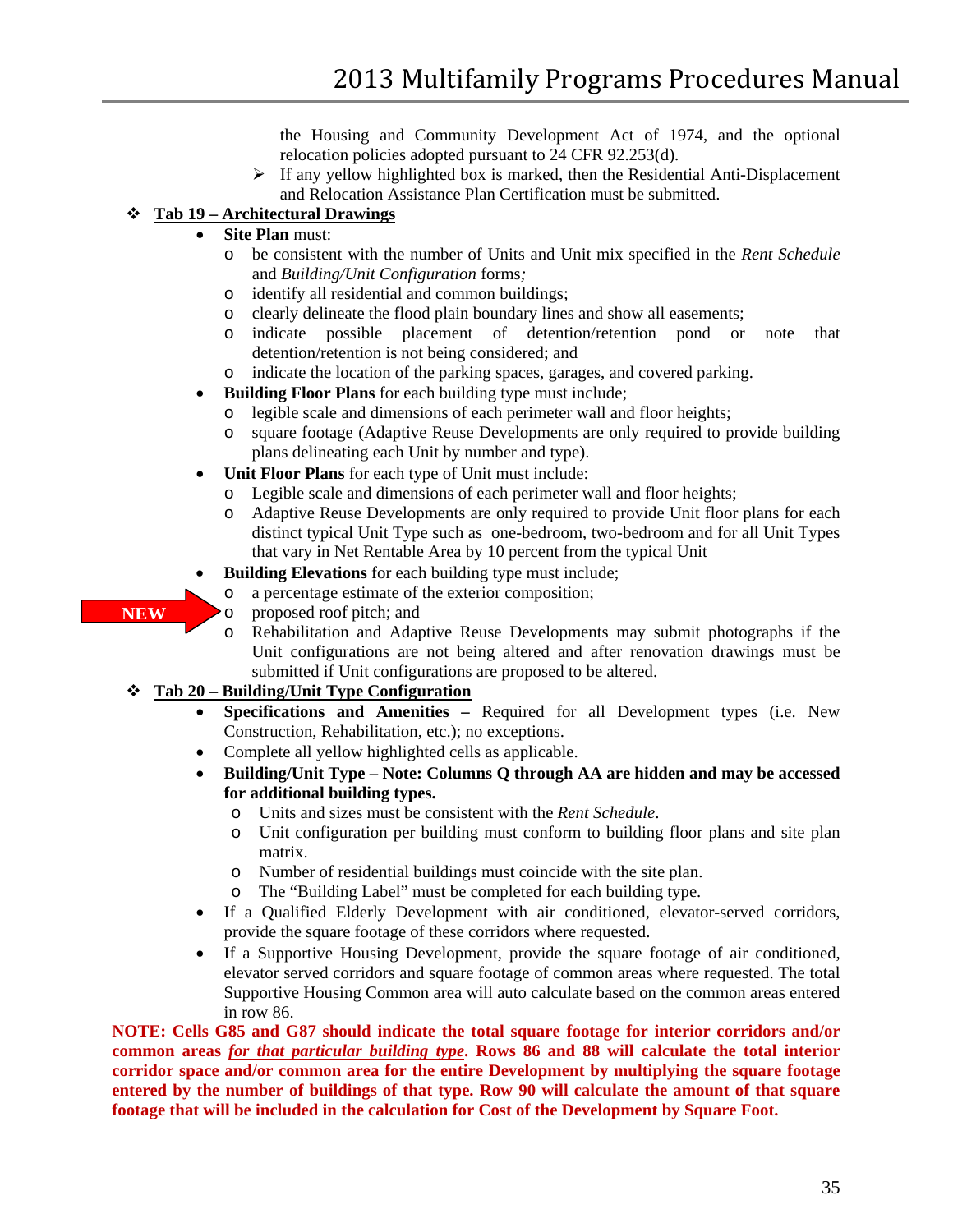the Housing and Community Development Act of 1974, and the optional relocation policies adopted pursuant to 24 CFR 92.253(d).

 $\triangleright$  If any vellow highlighted box is marked, then the Residential Anti-Displacement and Relocation Assistance Plan Certification must be submitted.

# **Tab 19 – Architectural Drawings**

## • **Site Plan** must:

- o be consistent with the number of Units and Unit mix specified in the *Rent Schedule* and *Building/Unit Configuration* forms*;*
- o identify all residential and common buildings;
- o clearly delineate the flood plain boundary lines and show all easements;<br>o indicate possible placement of detention/retention pond or
- indicate possible placement of detention/retention pond or note that detention/retention is not being considered; and
- o indicate the location of the parking spaces, garages, and covered parking.
- **Building Floor Plans** for each building type must include;
	- o legible scale and dimensions of each perimeter wall and floor heights;
	- o square footage (Adaptive Reuse Developments are only required to provide building plans delineating each Unit by number and type).
- **Unit Floor Plans** for each type of Unit must include:
	- o Legible scale and dimensions of each perimeter wall and floor heights;
	- Adaptive Reuse Developments are only required to provide Unit floor plans for each distinct typical Unit Type such as one-bedroom, two-bedroom and for all Unit Types that vary in Net Rentable Area by 10 percent from the typical Unit
- **Building Elevations** for each building type must include;
	- o a percentage estimate of the exterior composition;
- o proposed roof pitch; and
	- o Rehabilitation and Adaptive Reuse Developments may submit photographs if the Unit configurations are not being altered and after renovation drawings must be submitted if Unit configurations are proposed to be altered.

### **Tab 20 – Building/Unit Type Configuration**

**NEW**

- **Specifications and Amenities –** Required for all Development types (i.e. New Construction, Rehabilitation, etc.); no exceptions.
- Complete all yellow highlighted cells as applicable.
- **Building/Unit Type – Note: Columns Q through AA are hidden and may be accessed for additional building types.**
	- o Units and sizes must be consistent with the *Rent Schedule*.
	- o Unit configuration per building must conform to building floor plans and site plan matrix.
	- o Number of residential buildings must coincide with the site plan.
	- o The "Building Label" must be completed for each building type.
- If a Qualified Elderly Development with air conditioned, elevator-served corridors, provide the square footage of these corridors where requested.
- If a Supportive Housing Development, provide the square footage of air conditioned, elevator served corridors and square footage of common areas where requested. The total Supportive Housing Common area will auto calculate based on the common areas entered in row 86.

**NOTE: Cells G85 and G87 should indicate the total square footage for interior corridors and/or common areas** *for that particular building type***. Rows 86 and 88 will calculate the total interior corridor space and/or common area for the entire Development by multiplying the square footage entered by the number of buildings of that type. Row 90 will calculate the amount of that square footage that will be included in the calculation for Cost of the Development by Square Foot.**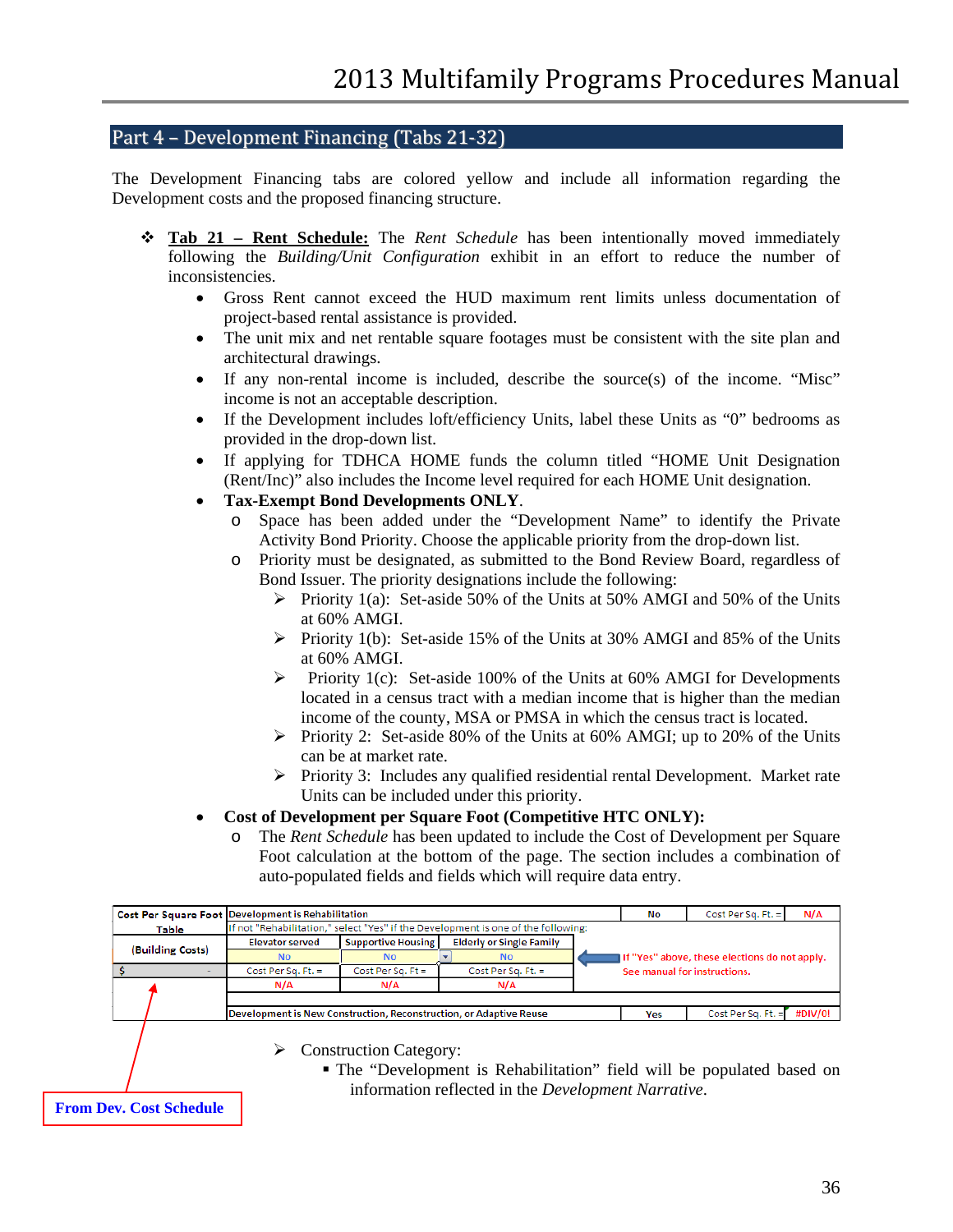### <span id="page-35-0"></span>Part 4 – Development Financing (Tabs 21-32)

The Development Financing tabs are colored yellow and include all information regarding the Development costs and the proposed financing structure.

- **Tab 21 – Rent Schedule:** The *Rent Schedule* has been intentionally moved immediately following the *Building/Unit Configuration* exhibit in an effort to reduce the number of inconsistencies.
	- Gross Rent cannot exceed the HUD maximum rent limits unless documentation of project-based rental assistance is provided.
	- The unit mix and net rentable square footages must be consistent with the site plan and architectural drawings.
	- If any non-rental income is included, describe the source(s) of the income. "Misc" income is not an acceptable description.
	- If the Development includes loft/efficiency Units, label these Units as "0" bedrooms as provided in the drop-down list.
	- If applying for TDHCA HOME funds the column titled "HOME Unit Designation (Rent/Inc)" also includes the Income level required for each HOME Unit designation.
	- **Tax-Exempt Bond Developments ONLY**.
		- o Space has been added under the "Development Name" to identify the Private Activity Bond Priority. Choose the applicable priority from the drop-down list.
		- o Priority must be designated, as submitted to the Bond Review Board, regardless of Bond Issuer. The priority designations include the following:
			- Priority 1(a): Set-aside 50% of the Units at 50% AMGI and 50% of the Units at 60% AMGI.
			- Priority 1(b): Set-aside 15% of the Units at 30% AMGI and 85% of the Units at 60% AMGI.
			- $\triangleright$  Priority 1(c): Set-aside 100% of the Units at 60% AMGI for Developments located in a census tract with a median income that is higher than the median income of the county, MSA or PMSA in which the census tract is located.
			- Priority 2: Set-aside 80% of the Units at 60% AMGI; up to 20% of the Units can be at market rate.
			- $\triangleright$  Priority 3: Includes any qualified residential rental Development. Market rate Units can be included under this priority.

#### • **Cost of Development per Square Foot (Competitive HTC ONLY):**

o The *Rent Schedule* has been updated to include the Cost of Development per Square Foot calculation at the bottom of the page. The section includes a combination of auto-populated fields and fields which will require data entry.

|                  | Cost Per Square Foot Development is Rehabilitation                                     |                                                                                   |                    | No                           | Cost Per Sq. Ft. $=$                          | N/A                |         |
|------------------|----------------------------------------------------------------------------------------|-----------------------------------------------------------------------------------|--------------------|------------------------------|-----------------------------------------------|--------------------|---------|
| <b>Table</b>     |                                                                                        | If not "Rehabilitation," select "Yes" if the Development is one of the following: |                    |                              |                                               |                    |         |
|                  | <b>Elderly or Single Family</b><br><b>Supportive Housing</b><br><b>Elevator served</b> |                                                                                   |                    |                              |                                               |                    |         |
| (Building Costs) | <b>No</b>                                                                              | No.                                                                               | <b>No</b>          |                              | If "Yes" above, these elections do not apply. |                    |         |
|                  | Cost Per Sq. Ft. $=$                                                                   | Cost Per Sa, $Ft =$                                                               | Cost Per Sa. Ft. = | See manual for instructions. |                                               |                    |         |
|                  | N/A                                                                                    | N/A                                                                               | N/A                |                              |                                               |                    |         |
|                  |                                                                                        |                                                                                   |                    |                              |                                               |                    |         |
|                  | Development is New Construction, Reconstruction, or Adaptive Reuse                     |                                                                                   |                    |                              |                                               | Cost Per Sq. Ft. = | #DIV/0! |
|                  |                                                                                        |                                                                                   |                    |                              |                                               |                    |         |

 $\triangleright$  Construction Category:

 The "Development is Rehabilitation" field will be populated based on information reflected in the *Development Narrative*.

**From Dev. Cost Schedule**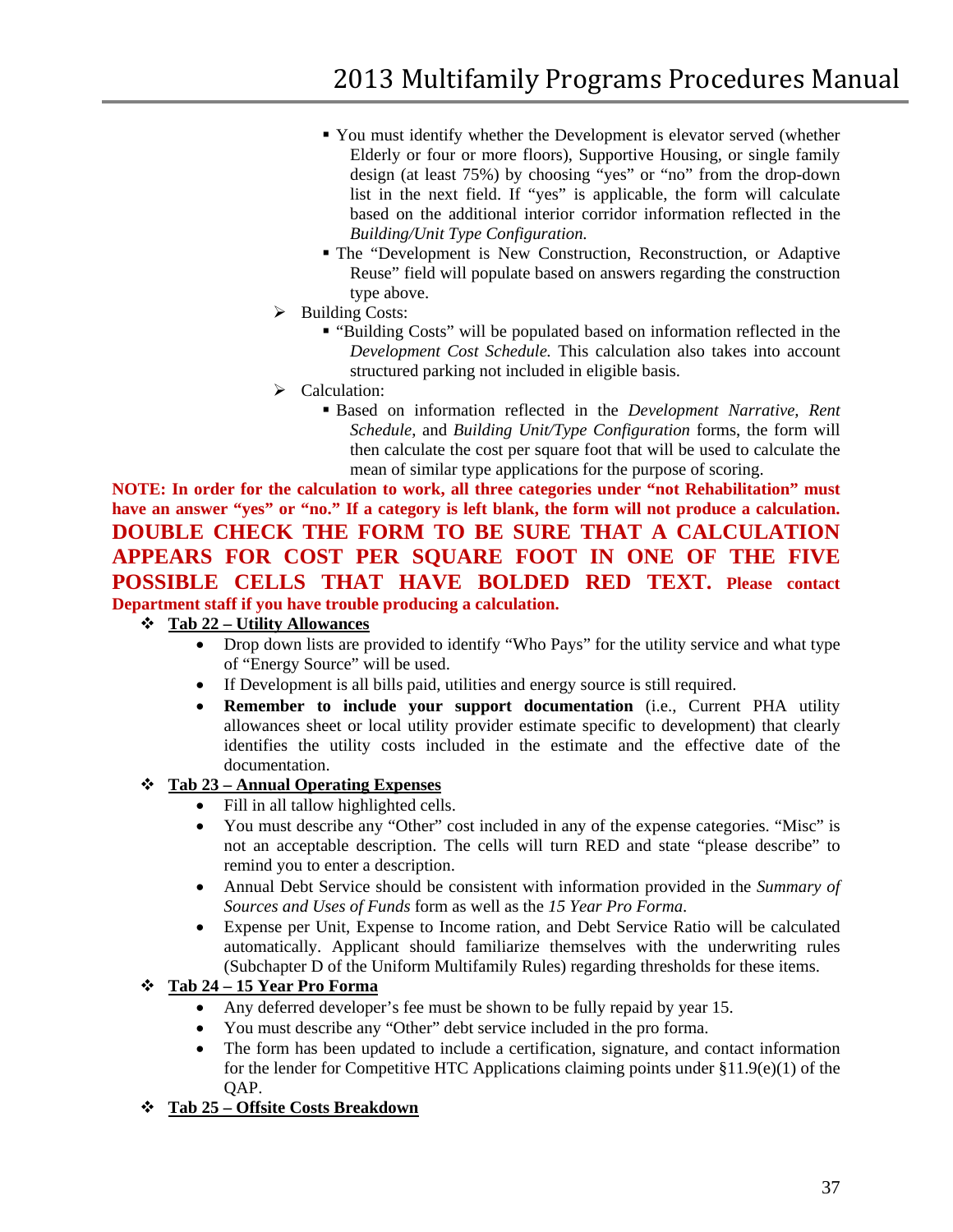- You must identify whether the Development is elevator served (whether Elderly or four or more floors), Supportive Housing, or single family design (at least 75%) by choosing "yes" or "no" from the drop-down list in the next field. If "yes" is applicable, the form will calculate based on the additional interior corridor information reflected in the *Building/Unit Type Configuration.*
- The "Development is New Construction, Reconstruction, or Adaptive Reuse" field will populate based on answers regarding the construction type above.
- $\triangleright$  Building Costs:
	- "Building Costs" will be populated based on information reflected in the *Development Cost Schedule.* This calculation also takes into account structured parking not included in eligible basis.
- Calculation:
	- Based on information reflected in the *Development Narrative, Rent Schedule*, and *Building Unit/Type Configuration* forms, the form will then calculate the cost per square foot that will be used to calculate the mean of similar type applications for the purpose of scoring.

**NOTE: In order for the calculation to work, all three categories under "not Rehabilitation" must have an answer "yes" or "no." If a category is left blank, the form will not produce a calculation. DOUBLE CHECK THE FORM TO BE SURE THAT A CALCULATION APPEARS FOR COST PER SQUARE FOOT IN ONE OF THE FIVE POSSIBLE CELLS THAT HAVE BOLDED RED TEXT. Please contact Department staff if you have trouble producing a calculation.** 

### **Tab 22 – Utility Allowances**

- Drop down lists are provided to identify "Who Pays" for the utility service and what type of "Energy Source" will be used.
- If Development is all bills paid, utilities and energy source is still required.
- **Remember to include your support documentation** (i.e., Current PHA utility allowances sheet or local utility provider estimate specific to development) that clearly identifies the utility costs included in the estimate and the effective date of the documentation.

### **Tab 23 – Annual Operating Expenses**

- Fill in all tallow highlighted cells.
- You must describe any "Other" cost included in any of the expense categories. "Misc" is not an acceptable description. The cells will turn RED and state "please describe" to remind you to enter a description.
- Annual Debt Service should be consistent with information provided in the *Summary of Sources and Uses of Funds* form as well as the *15 Year Pro Forma*.
- Expense per Unit, Expense to Income ration, and Debt Service Ratio will be calculated automatically. Applicant should familiarize themselves with the underwriting rules (Subchapter D of the Uniform Multifamily Rules) regarding thresholds for these items.

### **Tab 24 – 15 Year Pro Forma**

- Any deferred developer's fee must be shown to be fully repaid by year 15.
- You must describe any "Other" debt service included in the pro forma.
- The form has been updated to include a certification, signature, and contact information for the lender for Competitive HTC Applications claiming points under §11.9(e)(1) of the OAP.

### **Tab 25 – Offsite Costs Breakdown**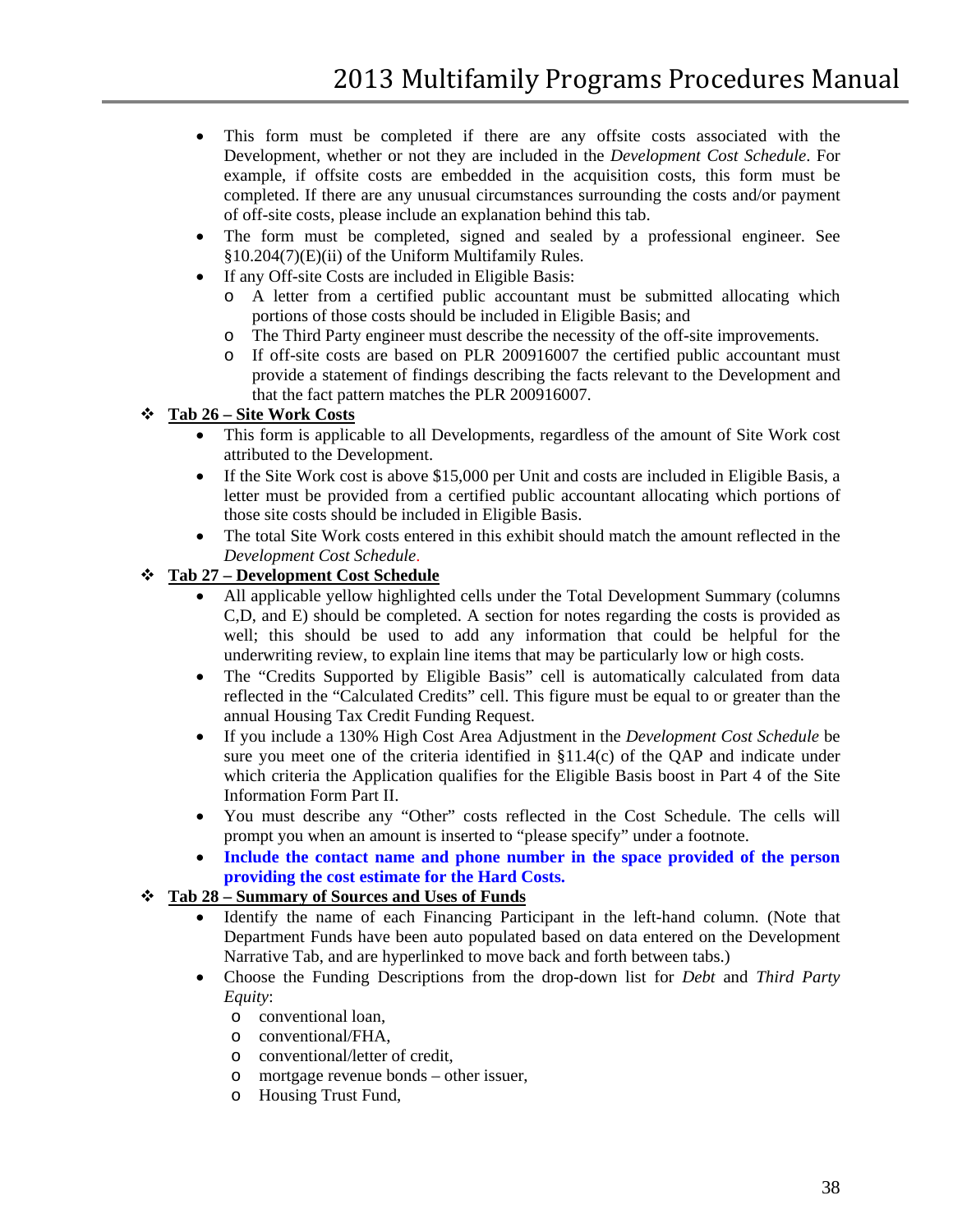- This form must be completed if there are any offsite costs associated with the Development, whether or not they are included in the *Development Cost Schedule*. For example, if offsite costs are embedded in the acquisition costs, this form must be completed. If there are any unusual circumstances surrounding the costs and/or payment of off-site costs, please include an explanation behind this tab.
- The form must be completed, signed and sealed by a professional engineer. See §10.204(7)(E)(ii) of the Uniform Multifamily Rules.
- If any Off-site Costs are included in Eligible Basis:
	- o A letter from a certified public accountant must be submitted allocating which portions of those costs should be included in Eligible Basis; and
	- o The Third Party engineer must describe the necessity of the off-site improvements.<br>
	o If off-site costs are based on PLR 200916007 the certified public accountant must
	- If off-site costs are based on PLR 200916007 the certified public accountant must provide a statement of findings describing the facts relevant to the Development and that the fact pattern matches the PLR 200916007.

### **Tab 26 – Site Work Costs**

- This form is applicable to all Developments, regardless of the amount of Site Work cost attributed to the Development.
- If the Site Work cost is above \$15,000 per Unit and costs are included in Eligible Basis, a letter must be provided from a certified public accountant allocating which portions of those site costs should be included in Eligible Basis.
- The total Site Work costs entered in this exhibit should match the amount reflected in the *Development Cost Schedule*.

#### **Tab 27 – Development Cost Schedule**

- All applicable yellow highlighted cells under the Total Development Summary (columns) C,D, and E) should be completed. A section for notes regarding the costs is provided as well; this should be used to add any information that could be helpful for the underwriting review, to explain line items that may be particularly low or high costs.
- The "Credits Supported by Eligible Basis" cell is automatically calculated from data reflected in the "Calculated Credits" cell. This figure must be equal to or greater than the annual Housing Tax Credit Funding Request.
- If you include a 130% High Cost Area Adjustment in the *Development Cost Schedule* be sure you meet one of the criteria identified in §11.4(c) of the QAP and indicate under which criteria the Application qualifies for the Eligible Basis boost in Part 4 of the Site Information Form Part II.
- You must describe any "Other" costs reflected in the Cost Schedule. The cells will prompt you when an amount is inserted to "please specify" under a footnote.
- **Include the contact name and phone number in the space provided of the person providing the cost estimate for the Hard Costs.**

### **Tab 28 – Summary of Sources and Uses of Funds**

- Identify the name of each Financing Participant in the left-hand column. (Note that Department Funds have been auto populated based on data entered on the Development Narrative Tab, and are hyperlinked to move back and forth between tabs.)
- Choose the Funding Descriptions from the drop-down list for *Debt* and *Third Party Equity*:
	- o conventional loan,
	- o conventional/FHA,
	- o conventional/letter of credit,
	- o mortgage revenue bonds other issuer,
	- o Housing Trust Fund,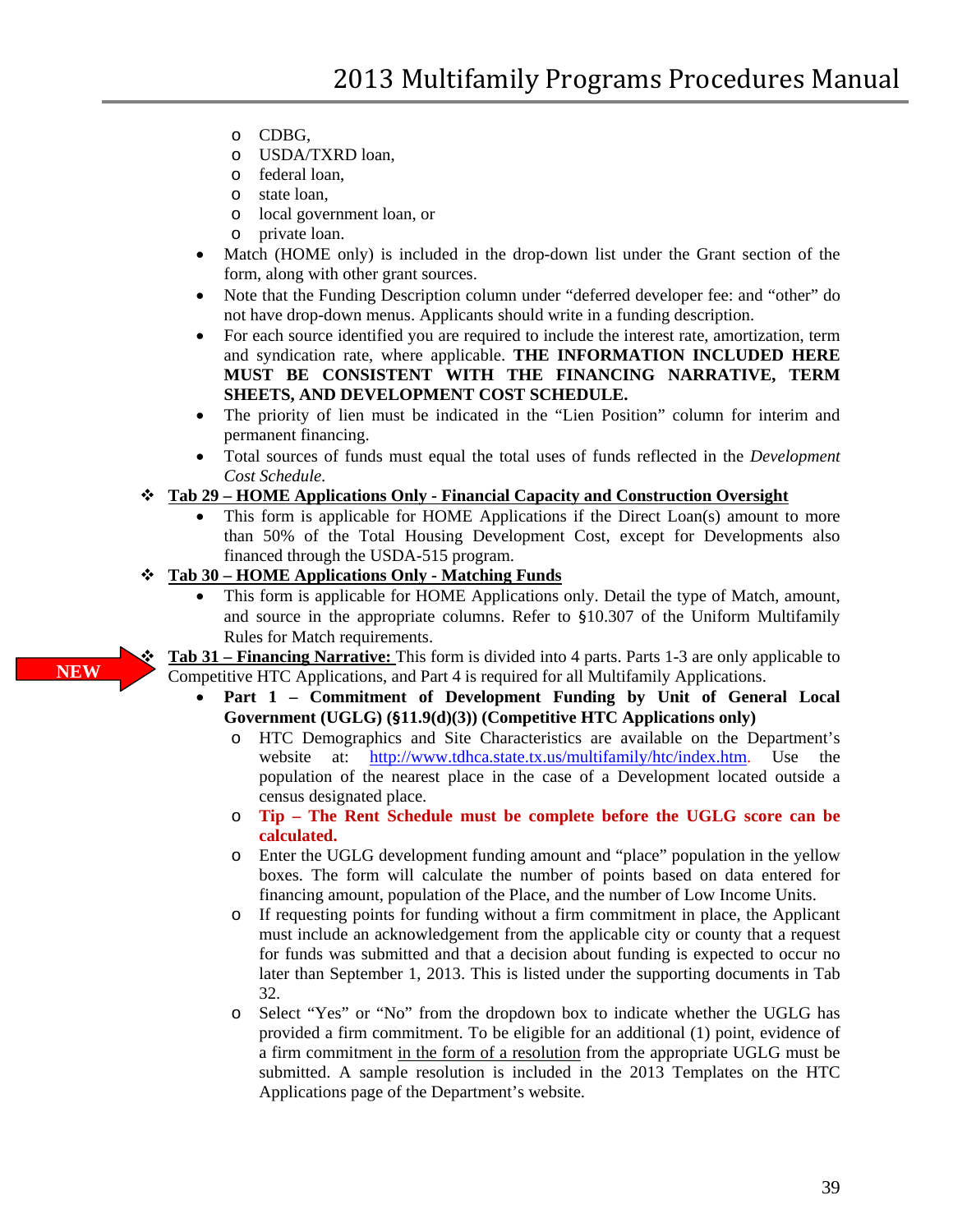- o CDBG,
- o USDA/TXRD loan,
- o federal loan,
- o state loan,
- o local government loan, or
- o private loan.
- Match (HOME only) is included in the drop-down list under the Grant section of the form, along with other grant sources.
- Note that the Funding Description column under "deferred developer fee: and "other" do not have drop-down menus. Applicants should write in a funding description.
- For each source identified you are required to include the interest rate, amortization, term and syndication rate, where applicable. **THE INFORMATION INCLUDED HERE MUST BE CONSISTENT WITH THE FINANCING NARRATIVE, TERM SHEETS, AND DEVELOPMENT COST SCHEDULE.**
- The priority of lien must be indicated in the "Lien Position" column for interim and permanent financing.
- Total sources of funds must equal the total uses of funds reflected in the *Development Cost Schedule*.
- **Tab 29 – HOME Applications Only - Financial Capacity and Construction Oversight**
	- This form is applicable for HOME Applications if the Direct Loan(s) amount to more than 50% of the Total Housing Development Cost, except for Developments also financed through the USDA-515 program.

#### **Tab 30 – HOME Applications Only - Matching Funds**

• This form is applicable for HOME Applications only. Detail the type of Match, amount, and source in the appropriate columns. Refer to §10.307 of the Uniform Multifamily Rules for Match requirements.

 **Tab 31 – Financing Narrative:** This form is divided into 4 parts. Parts 1-3 are only applicable to Competitive HTC Applications, and Part 4 is required for all Multifamily Applications.

- **Part 1 – Commitment of Development Funding by Unit of General Local Government (UGLG) (§11.9(d)(3)) (Competitive HTC Applications only)**
	- o HTC Demographics and Site Characteristics are available on the Department's website at: http://www.tdhca.state.tx.us/multifamily/htc/index.htm. Use the at: [http://www.tdhca.state.tx.us/multifamily/htc/index.htm.](http://www.tdhca.state.tx.us/multifamily/htc/index.htm) Use the population of the nearest place in the case of a Development located outside a census designated place.
	- o **Tip – The Rent Schedule must be complete before the UGLG score can be calculated.**
	- o Enter the UGLG development funding amount and "place" population in the yellow boxes. The form will calculate the number of points based on data entered for financing amount, population of the Place, and the number of Low Income Units.
	- o If requesting points for funding without a firm commitment in place, the Applicant must include an acknowledgement from the applicable city or county that a request for funds was submitted and that a decision about funding is expected to occur no later than September 1, 2013. This is listed under the supporting documents in Tab 32.
	- Select "Yes" or "No" from the dropdown box to indicate whether the UGLG has provided a firm commitment. To be eligible for an additional (1) point, evidence of a firm commitment in the form of a resolution from the appropriate UGLG must be submitted. A sample resolution is included in the 2013 Templates on the HTC Applications page of the Department's website.

**NEW**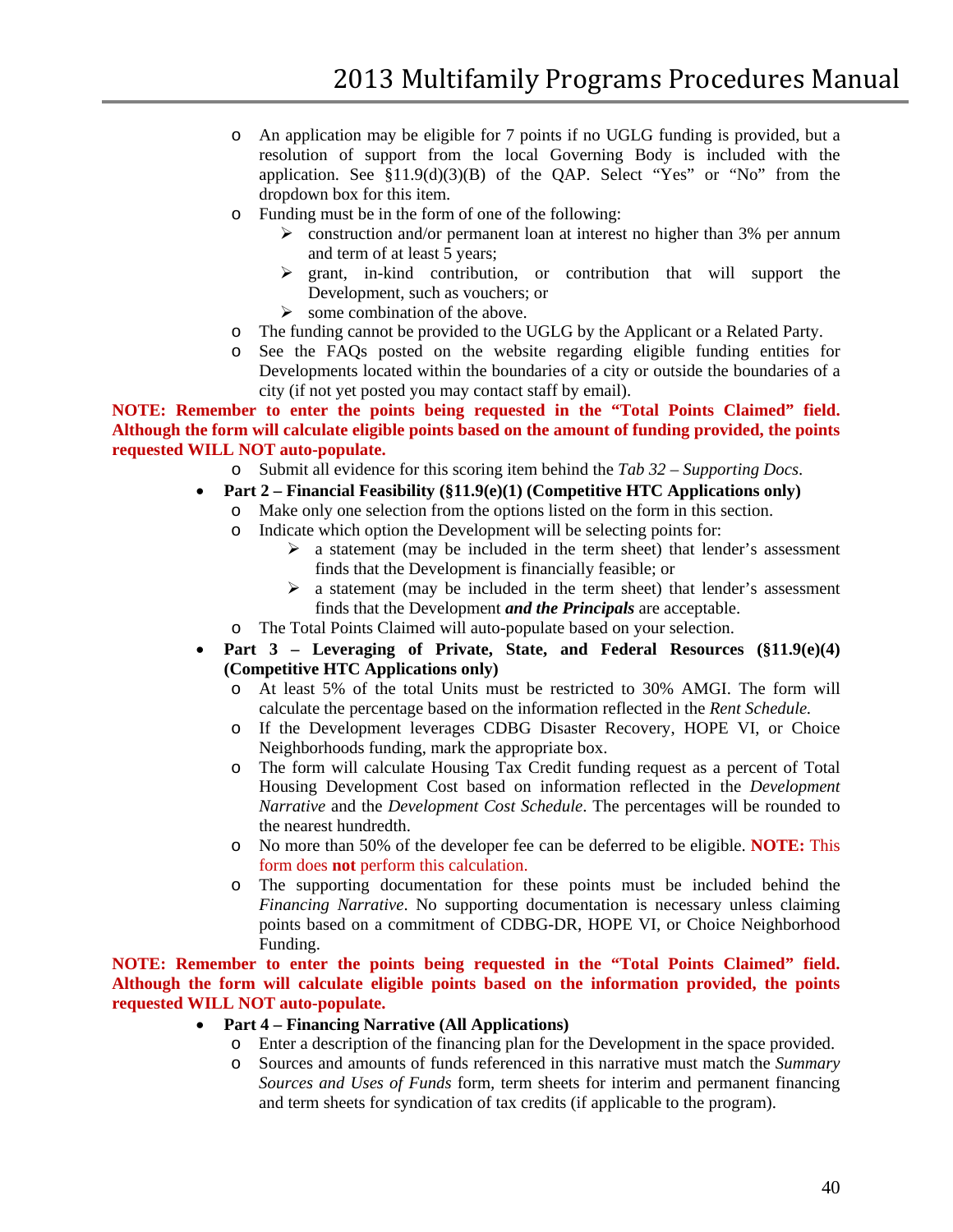- o An application may be eligible for 7 points if no UGLG funding is provided, but a resolution of support from the local Governing Body is included with the application. See  $$11.9(d)(3)(B)$  of the QAP. Select "Yes" or "No" from the dropdown box for this item.
- o Funding must be in the form of one of the following:
	- $\triangleright$  construction and/or permanent loan at interest no higher than 3% per annum and term of at least 5 years;
	- $\triangleright$  grant, in-kind contribution, or contribution that will support the Development, such as vouchers; or
	- $\triangleright$  some combination of the above.
- o The funding cannot be provided to the UGLG by the Applicant or a Related Party.
- See the FAQs posted on the website regarding eligible funding entities for Developments located within the boundaries of a city or outside the boundaries of a city (if not yet posted you may contact staff by email).

**NOTE: Remember to enter the points being requested in the "Total Points Claimed" field. Although the form will calculate eligible points based on the amount of funding provided, the points requested WILL NOT auto-populate.**

- o Submit all evidence for this scoring item behind the *Tab 32 – Supporting Docs*.
- **Part 2 – Financial Feasibility (§11.9(e)(1) (Competitive HTC Applications only)**
	- o Make only one selection from the options listed on the form in this section.
	- o Indicate which option the Development will be selecting points for:
		- $\geq$  a statement (may be included in the term sheet) that lender's assessment finds that the Development is financially feasible; or
		- $\triangleright$  a statement (may be included in the term sheet) that lender's assessment finds that the Development *and the Principals* are acceptable.
	- o The Total Points Claimed will auto-populate based on your selection.
- **Part 3 – Leveraging of Private, State, and Federal Resources (§11.9(e)(4) (Competitive HTC Applications only)**
	- o At least 5% of the total Units must be restricted to 30% AMGI. The form will calculate the percentage based on the information reflected in the *Rent Schedule.*
	- o If the Development leverages CDBG Disaster Recovery, HOPE VI, or Choice Neighborhoods funding, mark the appropriate box.
	- o The form will calculate Housing Tax Credit funding request as a percent of Total Housing Development Cost based on information reflected in the *Development Narrative* and the *Development Cost Schedule*. The percentages will be rounded to the nearest hundredth.
	- o No more than 50% of the developer fee can be deferred to be eligible. **NOTE:** This form does **not** perform this calculation.
	- o The supporting documentation for these points must be included behind the *Financing Narrative*. No supporting documentation is necessary unless claiming points based on a commitment of CDBG-DR, HOPE VI, or Choice Neighborhood Funding.

**NOTE: Remember to enter the points being requested in the "Total Points Claimed" field. Although the form will calculate eligible points based on the information provided, the points requested WILL NOT auto-populate.**

- **Part 4 – Financing Narrative (All Applications)**
	- o Enter a description of the financing plan for the Development in the space provided.
	- o Sources and amounts of funds referenced in this narrative must match the *Summary Sources and Uses of Funds* form*,* term sheets for interim and permanent financing and term sheets for syndication of tax credits (if applicable to the program).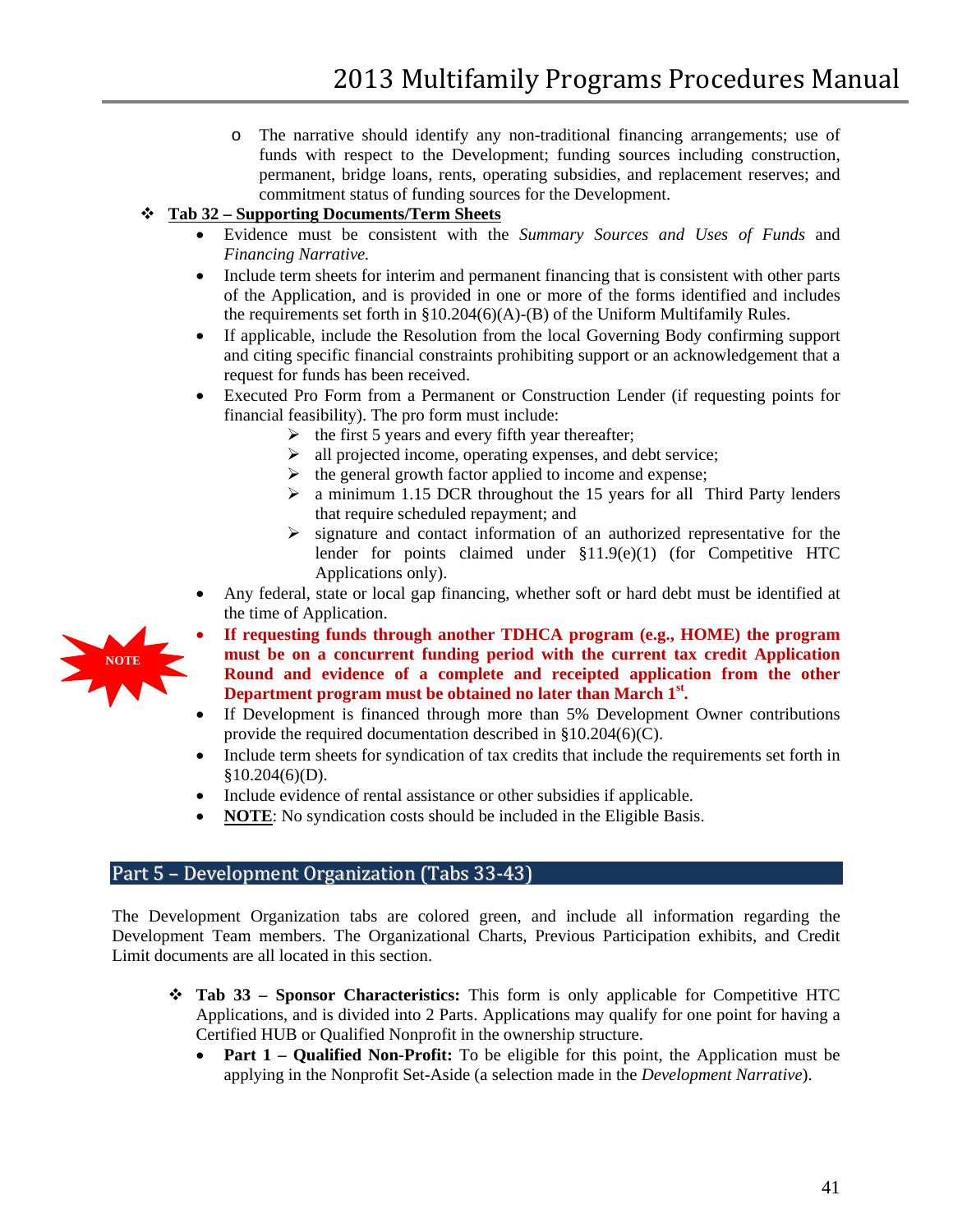o The narrative should identify any non-traditional financing arrangements; use of funds with respect to the Development; funding sources including construction, permanent, bridge loans, rents, operating subsidies, and replacement reserves; and commitment status of funding sources for the Development.

# **Tab 32 – Supporting Documents/Term Sheets**

- Evidence must be consistent with the *Summary Sources and Uses of Funds* and *Financing Narrative.*
- Include term sheets for interim and permanent financing that is consistent with other parts of the Application, and is provided in one or more of the forms identified and includes the requirements set forth in §10.204(6)(A)-(B) of the Uniform Multifamily Rules.
- If applicable, include the Resolution from the local Governing Body confirming support and citing specific financial constraints prohibiting support or an acknowledgement that a request for funds has been received.
- Executed Pro Form from a Permanent or Construction Lender (if requesting points for financial feasibility). The pro form must include:
	- $\triangleright$  the first 5 years and every fifth year thereafter;
	- $\triangleright$  all projected income, operating expenses, and debt service;
	- $\triangleright$  the general growth factor applied to income and expense;
	- $\geq$  a minimum 1.15 DCR throughout the 15 years for all Third Party lenders that require scheduled repayment; and
	- $\triangleright$  signature and contact information of an authorized representative for the lender for points claimed under §11.9(e)(1) (for Competitive HTC Applications only).
- Any federal, state or local gap financing, whether soft or hard debt must be identified at the time of Application.
- **If requesting funds through another TDHCA program (e.g., HOME) the program must be on a concurrent funding period with the current tax credit Application Round and evidence of a complete and receipted application from the other Department program must be obtained no later than March 1<sup>st</sup>.**
- If Development is financed through more than 5% Development Owner contributions provide the required documentation described in §10.204(6)(C).
- Include term sheets for syndication of tax credits that include the requirements set forth in  $§10.204(6)(D).$
- Include evidence of rental assistance or other subsidies if applicable.
- **NOTE**: No syndication costs should be included in the Eligible Basis.

# <span id="page-40-0"></span>Part 5 – Development Organization (Tabs 33-43)

The Development Organization tabs are colored green, and include all information regarding the Development Team members. The Organizational Charts, Previous Participation exhibits, and Credit Limit documents are all located in this section.

- **Tab 33 – Sponsor Characteristics:** This form is only applicable for Competitive HTC Applications, and is divided into 2 Parts. Applications may qualify for one point for having a Certified HUB or Qualified Nonprofit in the ownership structure.
	- **Part 1 – Qualified Non-Profit:** To be eligible for this point, the Application must be applying in the Nonprofit Set-Aside (a selection made in the *Development Narrative*).

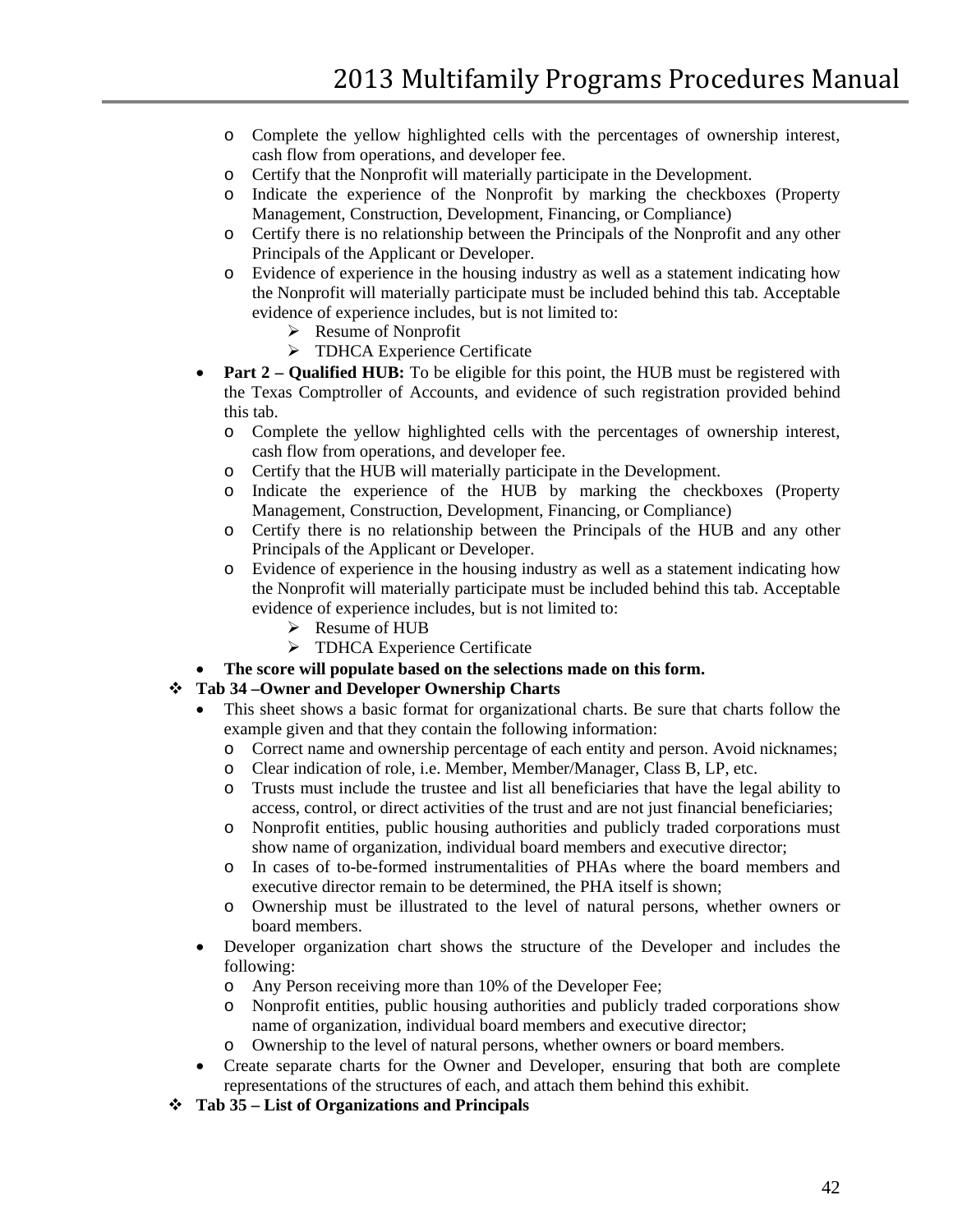- o Complete the yellow highlighted cells with the percentages of ownership interest, cash flow from operations, and developer fee.
- o Certify that the Nonprofit will materially participate in the Development.
- o Indicate the experience of the Nonprofit by marking the checkboxes (Property Management, Construction, Development, Financing, or Compliance)
- o Certify there is no relationship between the Principals of the Nonprofit and any other Principals of the Applicant or Developer.
- o Evidence of experience in the housing industry as well as a statement indicating how the Nonprofit will materially participate must be included behind this tab. Acceptable evidence of experience includes, but is not limited to:
	- $\triangleright$  Resume of Nonprofit
	- > TDHCA Experience Certificate
- **Part 2 Qualified HUB:** To be eligible for this point, the HUB must be registered with the Texas Comptroller of Accounts, and evidence of such registration provided behind this tab.
	- o Complete the yellow highlighted cells with the percentages of ownership interest, cash flow from operations, and developer fee.
	- o Certify that the HUB will materially participate in the Development.
	- o Indicate the experience of the HUB by marking the checkboxes (Property Management, Construction, Development, Financing, or Compliance)
	- o Certify there is no relationship between the Principals of the HUB and any other Principals of the Applicant or Developer.
	- o Evidence of experience in the housing industry as well as a statement indicating how the Nonprofit will materially participate must be included behind this tab. Acceptable evidence of experience includes, but is not limited to:
		- $\triangleright$  Resume of HUB
		- > TDHCA Experience Certificate
- **The score will populate based on the selections made on this form.**

### **Tab 34 –Owner and Developer Ownership Charts**

- This sheet shows a basic format for organizational charts. Be sure that charts follow the example given and that they contain the following information:
	- o Correct name and ownership percentage of each entity and person. Avoid nicknames;<br>
	o Clear indication of role, i.e. Member, Member/Manager, Class B, LP, etc.
	- o Clear indication of role, i.e. Member, Member/Manager, Class B, LP, etc.
	- Trusts must include the trustee and list all beneficiaries that have the legal ability to access, control, or direct activities of the trust and are not just financial beneficiaries;
	- o Nonprofit entities, public housing authorities and publicly traded corporations must show name of organization, individual board members and executive director;
	- o In cases of to-be-formed instrumentalities of PHAs where the board members and executive director remain to be determined, the PHA itself is shown;
	- o Ownership must be illustrated to the level of natural persons, whether owners or board members.
- Developer organization chart shows the structure of the Developer and includes the following:
	- o Any Person receiving more than 10% of the Developer Fee;
	- o Nonprofit entities, public housing authorities and publicly traded corporations show name of organization, individual board members and executive director;
	- o Ownership to the level of natural persons, whether owners or board members.
- Create separate charts for the Owner and Developer, ensuring that both are complete representations of the structures of each, and attach them behind this exhibit.
- **Tab 35 – List of Organizations and Principals**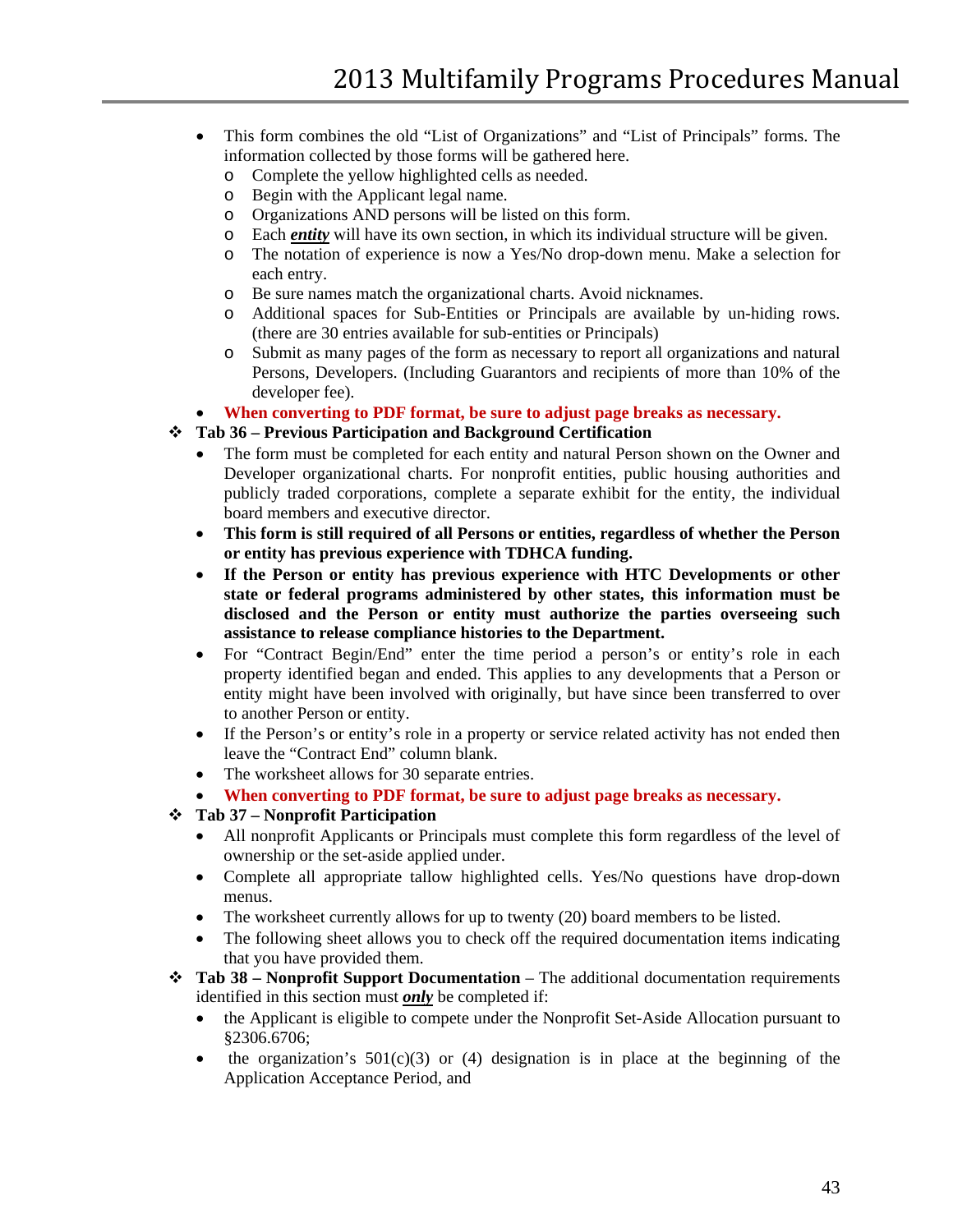- This form combines the old "List of Organizations" and "List of Principals" forms. The information collected by those forms will be gathered here.
	- o Complete the yellow highlighted cells as needed.<br>  $\circ$  Begin with the Applicant legal name.
	- o Begin with the Applicant legal name.<br>
	o Organizations AND persons will be li
	- o Organizations AND persons will be listed on this form.<br>  $\circ$  Each *entity* will have its own section, in which its indivi
	- Each *entity* will have its own section, in which its individual structure will be given.
	- o The notation of experience is now a Yes/No drop-down menu. Make a selection for each entry.
	- o Be sure names match the organizational charts. Avoid nicknames.
	- o Additional spaces for Sub-Entities or Principals are available by un-hiding rows. (there are 30 entries available for sub-entities or Principals)
	- o Submit as many pages of the form as necessary to report all organizations and natural Persons, Developers. (Including Guarantors and recipients of more than 10% of the developer fee).
- **When converting to PDF format, be sure to adjust page breaks as necessary.**

### **Tab 36 – Previous Participation and Background Certification**

- The form must be completed for each entity and natural Person shown on the Owner and Developer organizational charts. For nonprofit entities, public housing authorities and publicly traded corporations, complete a separate exhibit for the entity, the individual board members and executive director.
- **This form is still required of all Persons or entities, regardless of whether the Person or entity has previous experience with TDHCA funding.**
- **If the Person or entity has previous experience with HTC Developments or other state or federal programs administered by other states, this information must be disclosed and the Person or entity must authorize the parties overseeing such assistance to release compliance histories to the Department.**
- For "Contract Begin/End" enter the time period a person's or entity's role in each property identified began and ended. This applies to any developments that a Person or entity might have been involved with originally, but have since been transferred to over to another Person or entity.
- If the Person's or entity's role in a property or service related activity has not ended then leave the "Contract End" column blank.
- The worksheet allows for 30 separate entries.
- **When converting to PDF format, be sure to adjust page breaks as necessary.**

#### **Tab 37 – Nonprofit Participation**

- All nonprofit Applicants or Principals must complete this form regardless of the level of ownership or the set-aside applied under.
- Complete all appropriate tallow highlighted cells. Yes/No questions have drop-down menus.
- The worksheet currently allows for up to twenty (20) board members to be listed.
- The following sheet allows you to check off the required documentation items indicating that you have provided them.
- **Tab 38 – Nonprofit Support Documentation** The additional documentation requirements identified in this section must *only* be completed if:
	- the Applicant is eligible to compete under the Nonprofit Set-Aside Allocation pursuant to §2306.6706;
	- the organization's  $501(c)(3)$  or (4) designation is in place at the beginning of the Application Acceptance Period, and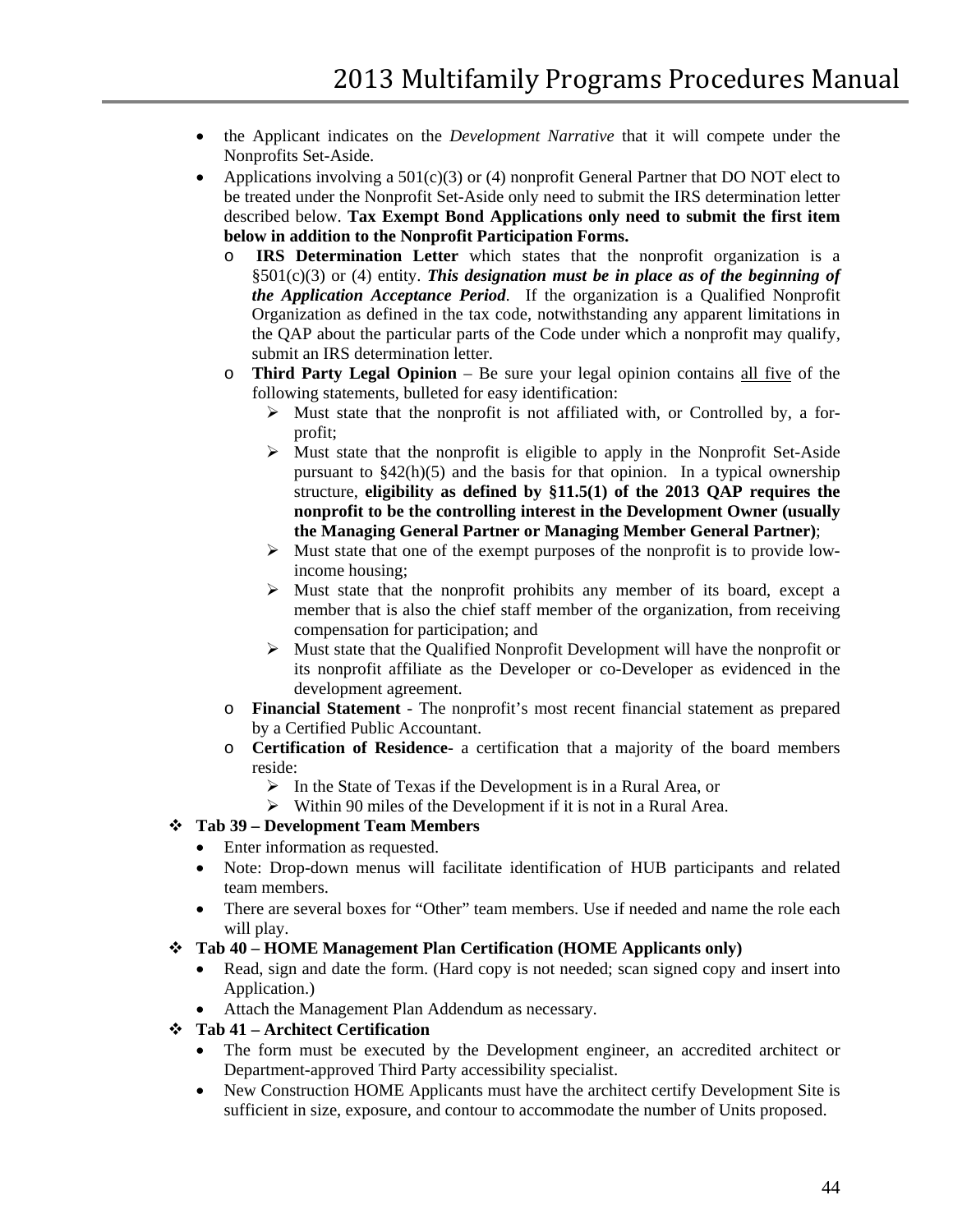- the Applicant indicates on the *Development Narrative* that it will compete under the Nonprofits Set-Aside.
- Applications involving a  $501(c)(3)$  or (4) nonprofit General Partner that DO NOT elect to be treated under the Nonprofit Set-Aside only need to submit the IRS determination letter described below. **Tax Exempt Bond Applications only need to submit the first item below in addition to the Nonprofit Participation Forms.**
	- o **IRS Determination Letter** which states that the nonprofit organization is a §501(c)(3) or (4) entity. *This designation must be in place as of the beginning of the Application Acceptance Period*. If the organization is a Qualified Nonprofit Organization as defined in the tax code, notwithstanding any apparent limitations in the QAP about the particular parts of the Code under which a nonprofit may qualify, submit an IRS determination letter.
	- o **Third Party Legal Opinion** Be sure your legal opinion contains all five of the following statements, bulleted for easy identification:
		- $\triangleright$  Must state that the nonprofit is not affiliated with, or Controlled by, a forprofit;
		- $\triangleright$  Must state that the nonprofit is eligible to apply in the Nonprofit Set-Aside pursuant to  $$42(h)(5)$  and the basis for that opinion. In a typical ownership structure, **eligibility as defined by §11.5(1) of the 2013 QAP requires the nonprofit to be the controlling interest in the Development Owner (usually the Managing General Partner or Managing Member General Partner)**;
		- $\triangleright$  Must state that one of the exempt purposes of the nonprofit is to provide lowincome housing;
		- $\triangleright$  Must state that the nonprofit prohibits any member of its board, except a member that is also the chief staff member of the organization, from receiving compensation for participation; and
		- $\triangleright$  Must state that the Qualified Nonprofit Development will have the nonprofit or its nonprofit affiliate as the Developer or co-Developer as evidenced in the development agreement.
	- o **Financial Statement** The nonprofit's most recent financial statement as prepared by a Certified Public Accountant.
	- o **Certification of Residence** a certification that a majority of the board members reside:
		- $\triangleright$  In the State of Texas if the Development is in a Rural Area, or
		- $\triangleright$  Within 90 miles of the Development if it is not in a Rural Area.

### **Tab 39 – Development Team Members**

- Enter information as requested.
- Note: Drop-down menus will facilitate identification of HUB participants and related team members.
- There are several boxes for "Other" team members. Use if needed and name the role each will play.
- **Tab 40 – HOME Management Plan Certification (HOME Applicants only)**
	- Read, sign and date the form. (Hard copy is not needed; scan signed copy and insert into Application.)
	- Attach the Management Plan Addendum as necessary.
- **Tab 41 – Architect Certification**
	- The form must be executed by the Development engineer, an accredited architect or Department-approved Third Party accessibility specialist.
	- New Construction HOME Applicants must have the architect certify Development Site is sufficient in size, exposure, and contour to accommodate the number of Units proposed.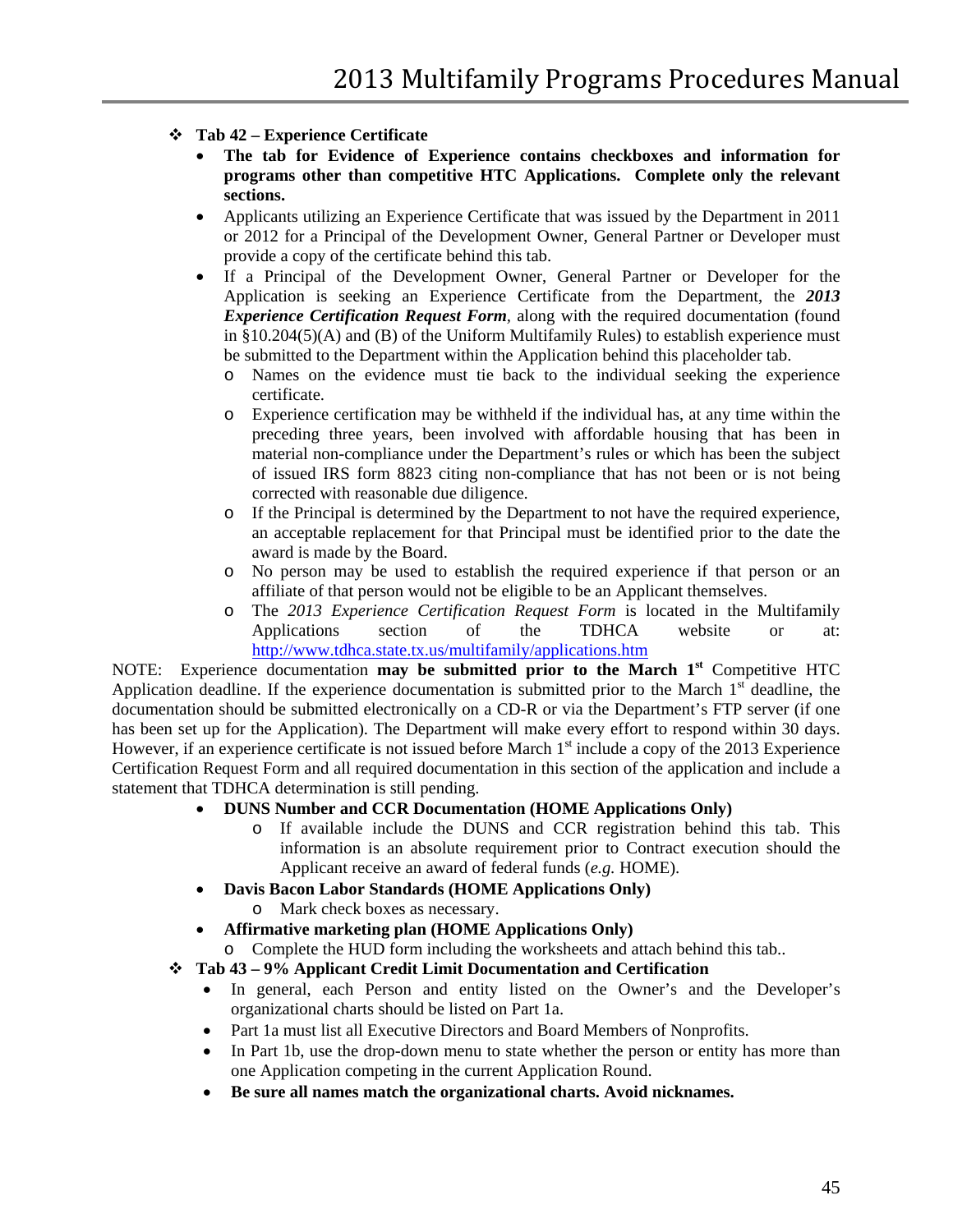- **Tab 42 – Experience Certificate**
	- **The tab for Evidence of Experience contains checkboxes and information for programs other than competitive HTC Applications. Complete only the relevant sections.**
	- Applicants utilizing an Experience Certificate that was issued by the Department in 2011 or 2012 for a Principal of the Development Owner, General Partner or Developer must provide a copy of the certificate behind this tab.
	- If a Principal of the Development Owner, General Partner or Developer for the Application is seeking an Experience Certificate from the Department, the *2013 Experience Certification Request Form,* along with the required documentation (found in  $§10.204(5)$ (A) and (B) of the Uniform Multifamily Rules) to establish experience must be submitted to the Department within the Application behind this placeholder tab.
		- o Names on the evidence must tie back to the individual seeking the experience certificate.
		- o Experience certification may be withheld if the individual has, at any time within the preceding three years, been involved with affordable housing that has been in material non-compliance under the Department's rules or which has been the subject of issued IRS form 8823 citing non-compliance that has not been or is not being corrected with reasonable due diligence.
		- o If the Principal is determined by the Department to not have the required experience, an acceptable replacement for that Principal must be identified prior to the date the award is made by the Board.
		- o No person may be used to establish the required experience if that person or an affiliate of that person would not be eligible to be an Applicant themselves.
		- o The *2013 Experience Certification Request Form* is located in the Multifamily Applications section of the TDHCA website or at  $\Delta p$ <http://www.tdhca.state.tx.us/multifamily/applications.htm>

NOTE: Experience documentation **may be submitted prior to the March 1st** Competitive HTC Application deadline. If the experience documentation is submitted prior to the March  $1<sup>st</sup>$  deadline, the documentation should be submitted electronically on a CD-R or via the Department's FTP server (if one has been set up for the Application). The Department will make every effort to respond within 30 days. However, if an experience certificate is not issued before March  $1<sup>st</sup>$  include a copy of the 2013 Experience Certification Request Form and all required documentation in this section of the application and include a statement that TDHCA determination is still pending.

- **DUNS Number and CCR Documentation (HOME Applications Only)**
	- o If available include the DUNS and CCR registration behind this tab. This information is an absolute requirement prior to Contract execution should the Applicant receive an award of federal funds (*e.g.* HOME).
- **Davis Bacon Labor Standards (HOME Applications Only)**
	- o Mark check boxes as necessary.
- **Affirmative marketing plan (HOME Applications Only)**
- o Complete the HUD form including the worksheets and attach behind this tab..
- **Tab 43 – 9% Applicant Credit Limit Documentation and Certification**
	- In general, each Person and entity listed on the Owner's and the Developer's organizational charts should be listed on Part 1a.
	- Part 1a must list all Executive Directors and Board Members of Nonprofits.
	- In Part 1b, use the drop-down menu to state whether the person or entity has more than one Application competing in the current Application Round.
	- **Be sure all names match the organizational charts. Avoid nicknames.**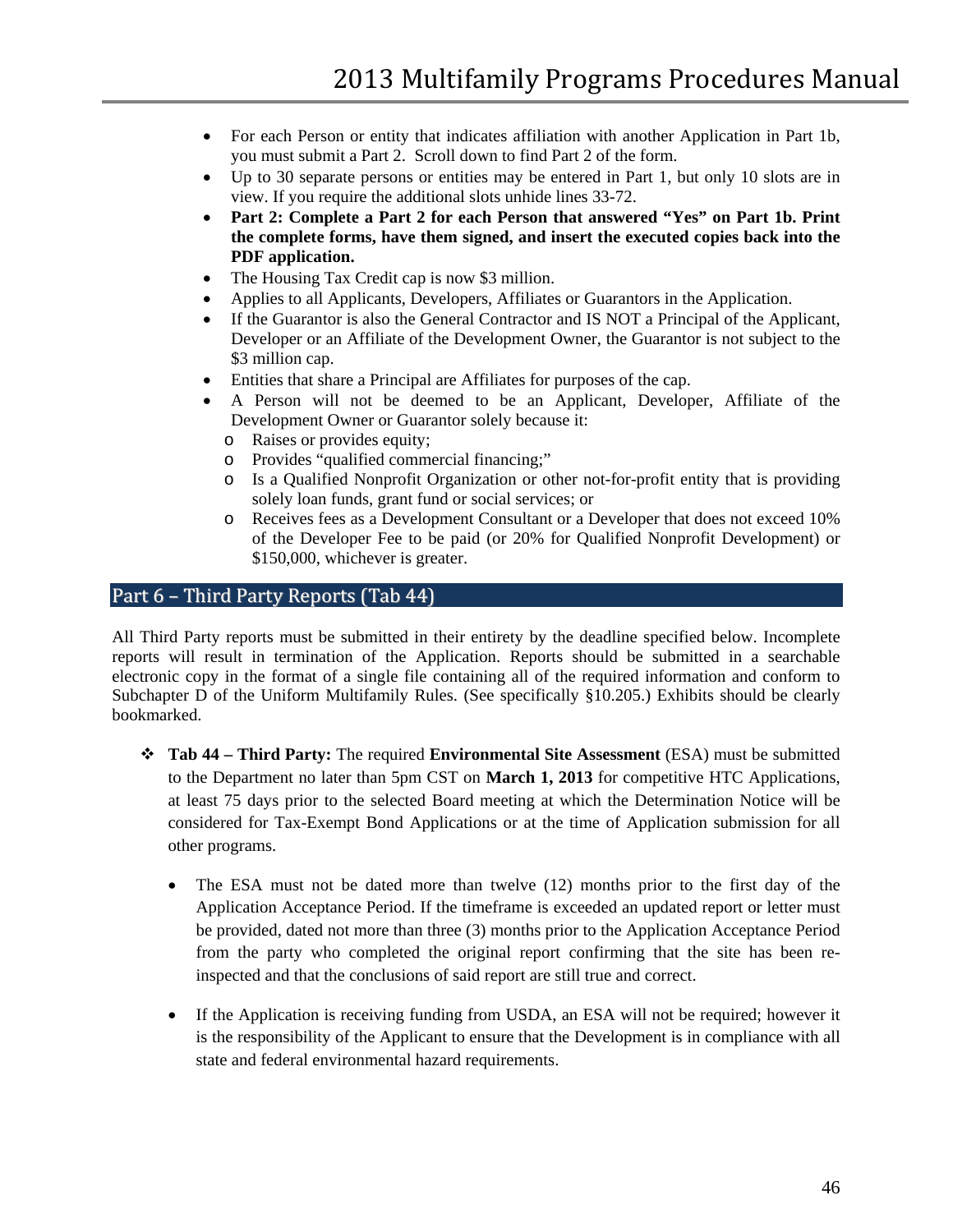- For each Person or entity that indicates affiliation with another Application in Part 1b, you must submit a Part 2. Scroll down to find Part 2 of the form.
- Up to 30 separate persons or entities may be entered in Part 1, but only 10 slots are in view. If you require the additional slots unhide lines 33-72.
- **Part 2: Complete a Part 2 for each Person that answered "Yes" on Part 1b. Print the complete forms, have them signed, and insert the executed copies back into the PDF application.**
- The Housing Tax Credit cap is now \$3 million.
- Applies to all Applicants, Developers, Affiliates or Guarantors in the Application.
- If the Guarantor is also the General Contractor and IS NOT a Principal of the Applicant, Developer or an Affiliate of the Development Owner, the Guarantor is not subject to the \$3 million cap.
- Entities that share a Principal are Affiliates for purposes of the cap.
- A Person will not be deemed to be an Applicant, Developer, Affiliate of the Development Owner or Guarantor solely because it:
	- o Raises or provides equity;
	- o Provides "qualified commercial financing;"
	- o Is a Qualified Nonprofit Organization or other not-for-profit entity that is providing solely loan funds, grant fund or social services; or
	- o Receives fees as a Development Consultant or a Developer that does not exceed 10% of the Developer Fee to be paid (or 20% for Qualified Nonprofit Development) or \$150,000, whichever is greater.

## <span id="page-45-0"></span>Part 6 – Third Party Reports (Tab 44)

All Third Party reports must be submitted in their entirety by the deadline specified below. Incomplete reports will result in termination of the Application. Reports should be submitted in a searchable electronic copy in the format of a single file containing all of the required information and conform to Subchapter D of the Uniform Multifamily Rules. (See specifically §10.205.) Exhibits should be clearly bookmarked.

- **Tab 44 – Third Party:** The required **Environmental Site Assessment** (ESA) must be submitted to the Department no later than 5pm CST on **March 1, 2013** for competitive HTC Applications, at least 75 days prior to the selected Board meeting at which the Determination Notice will be considered for Tax-Exempt Bond Applications or at the time of Application submission for all other programs.
	- The ESA must not be dated more than twelve (12) months prior to the first day of the Application Acceptance Period. If the timeframe is exceeded an updated report or letter must be provided, dated not more than three (3) months prior to the Application Acceptance Period from the party who completed the original report confirming that the site has been reinspected and that the conclusions of said report are still true and correct.
	- If the Application is receiving funding from USDA, an ESA will not be required; however it is the responsibility of the Applicant to ensure that the Development is in compliance with all state and federal environmental hazard requirements.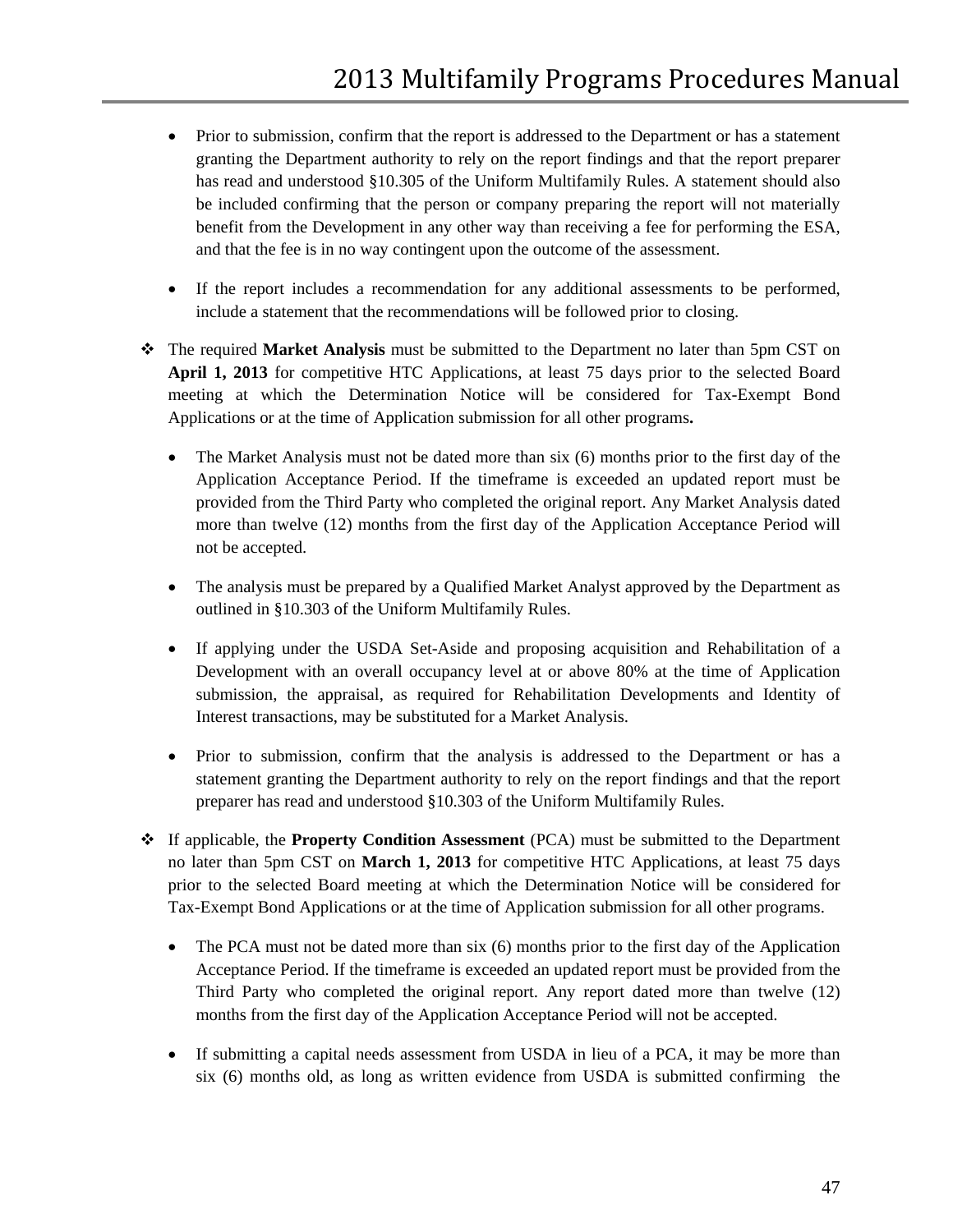- Prior to submission, confirm that the report is addressed to the Department or has a statement granting the Department authority to rely on the report findings and that the report preparer has read and understood §10.305 of the Uniform Multifamily Rules. A statement should also be included confirming that the person or company preparing the report will not materially benefit from the Development in any other way than receiving a fee for performing the ESA, and that the fee is in no way contingent upon the outcome of the assessment.
- If the report includes a recommendation for any additional assessments to be performed, include a statement that the recommendations will be followed prior to closing.
- The required **Market Analysis** must be submitted to the Department no later than 5pm CST on **April 1, 2013** for competitive HTC Applications, at least 75 days prior to the selected Board meeting at which the Determination Notice will be considered for Tax-Exempt Bond Applications or at the time of Application submission for all other programs**.**
	- The Market Analysis must not be dated more than six (6) months prior to the first day of the Application Acceptance Period. If the timeframe is exceeded an updated report must be provided from the Third Party who completed the original report. Any Market Analysis dated more than twelve (12) months from the first day of the Application Acceptance Period will not be accepted.
	- The analysis must be prepared by a Qualified Market Analyst approved by the Department as outlined in §10.303 of the Uniform Multifamily Rules.
	- If applying under the USDA Set-Aside and proposing acquisition and Rehabilitation of a Development with an overall occupancy level at or above 80% at the time of Application submission, the appraisal, as required for Rehabilitation Developments and Identity of Interest transactions, may be substituted for a Market Analysis.
	- Prior to submission, confirm that the analysis is addressed to the Department or has a statement granting the Department authority to rely on the report findings and that the report preparer has read and understood §10.303 of the Uniform Multifamily Rules.
- If applicable, the **Property Condition Assessment** (PCA) must be submitted to the Department no later than 5pm CST on **March 1, 2013** for competitive HTC Applications, at least 75 days prior to the selected Board meeting at which the Determination Notice will be considered for Tax-Exempt Bond Applications or at the time of Application submission for all other programs.
	- The PCA must not be dated more than six (6) months prior to the first day of the Application Acceptance Period. If the timeframe is exceeded an updated report must be provided from the Third Party who completed the original report. Any report dated more than twelve (12) months from the first day of the Application Acceptance Period will not be accepted.
	- If submitting a capital needs assessment from USDA in lieu of a PCA, it may be more than six (6) months old, as long as written evidence from USDA is submitted confirming the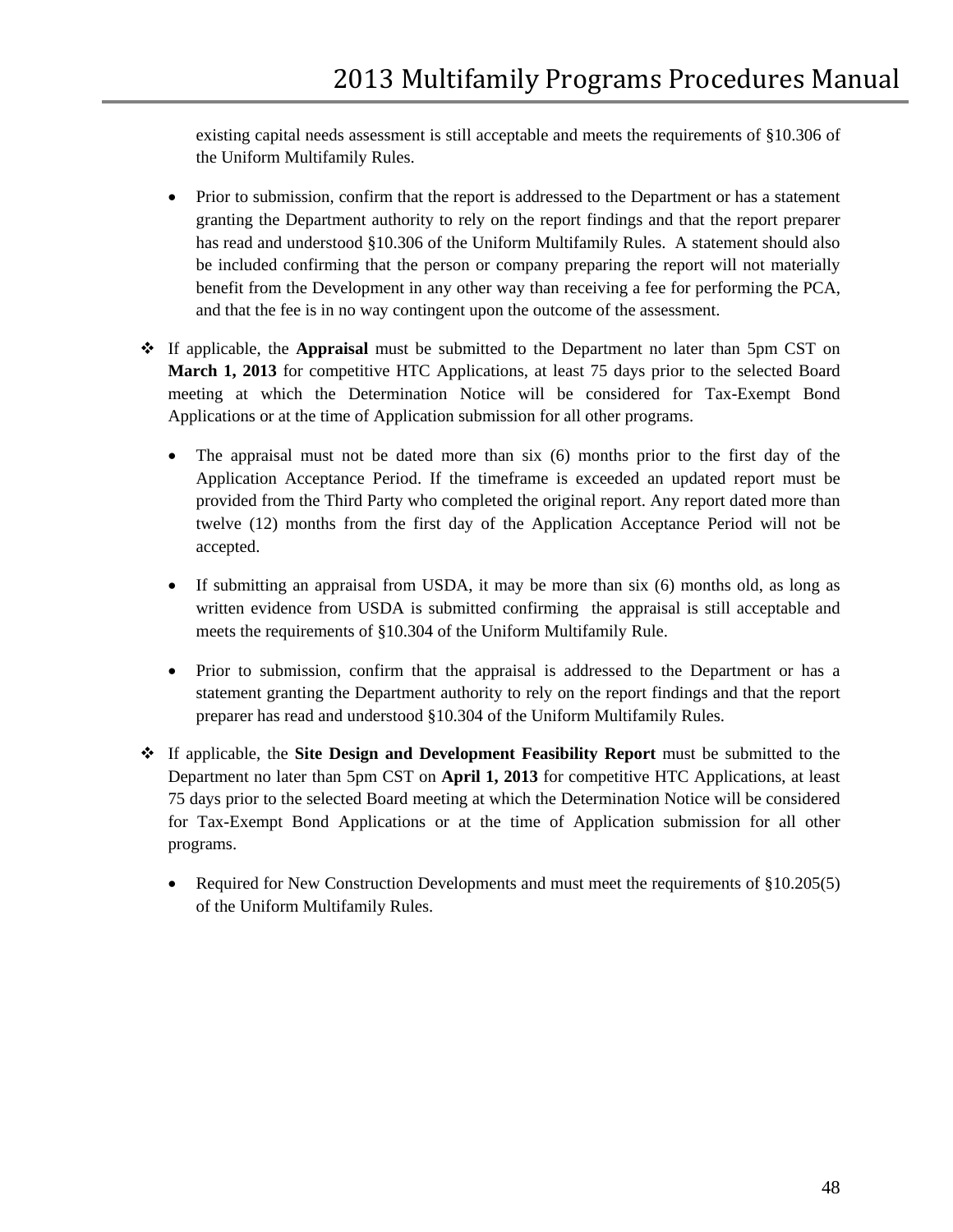existing capital needs assessment is still acceptable and meets the requirements of §10.306 of the Uniform Multifamily Rules.

- Prior to submission, confirm that the report is addressed to the Department or has a statement granting the Department authority to rely on the report findings and that the report preparer has read and understood §10.306 of the Uniform Multifamily Rules. A statement should also be included confirming that the person or company preparing the report will not materially benefit from the Development in any other way than receiving a fee for performing the PCA, and that the fee is in no way contingent upon the outcome of the assessment.
- If applicable, the **Appraisal** must be submitted to the Department no later than 5pm CST on **March 1, 2013** for competitive HTC Applications, at least 75 days prior to the selected Board meeting at which the Determination Notice will be considered for Tax-Exempt Bond Applications or at the time of Application submission for all other programs.
	- The appraisal must not be dated more than six (6) months prior to the first day of the Application Acceptance Period. If the timeframe is exceeded an updated report must be provided from the Third Party who completed the original report. Any report dated more than twelve (12) months from the first day of the Application Acceptance Period will not be accepted.
	- If submitting an appraisal from USDA, it may be more than six (6) months old, as long as written evidence from USDA is submitted confirming the appraisal is still acceptable and meets the requirements of §10.304 of the Uniform Multifamily Rule.
	- Prior to submission, confirm that the appraisal is addressed to the Department or has a statement granting the Department authority to rely on the report findings and that the report preparer has read and understood §10.304 of the Uniform Multifamily Rules.
- If applicable, the **Site Design and Development Feasibility Report** must be submitted to the Department no later than 5pm CST on **April 1, 2013** for competitive HTC Applications, at least 75 days prior to the selected Board meeting at which the Determination Notice will be considered for Tax-Exempt Bond Applications or at the time of Application submission for all other programs.
	- Required for New Construction Developments and must meet the requirements of §10.205(5) of the Uniform Multifamily Rules.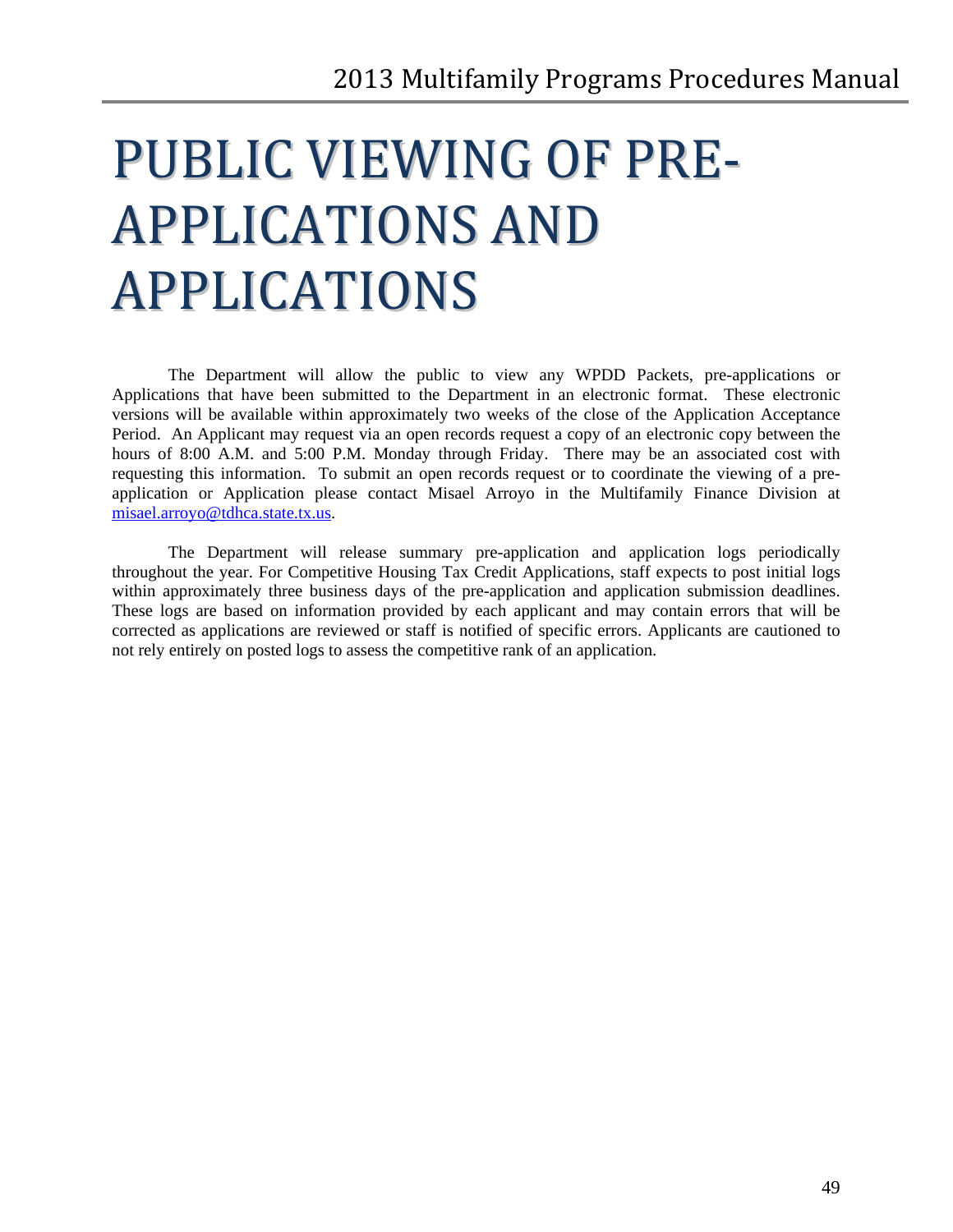# <span id="page-48-0"></span>PUBLIC VIEWING OF PRE-APPLICATIONS AND APPLICATIONS

The Department will allow the public to view any WPDD Packets, pre-applications or Applications that have been submitted to the Department in an electronic format. These electronic versions will be available within approximately two weeks of the close of the Application Acceptance Period. An Applicant may request via an open records request a copy of an electronic copy between the hours of 8:00 A.M. and 5:00 P.M. Monday through Friday. There may be an associated cost with requesting this information. To submit an open records request or to coordinate the viewing of a preapplication or Application please contact Misael Arroyo in the Multifamily Finance Division at [misael.arroyo@tdhca.state.tx.us.](mailto:misael.arroyo@tdhca.state.tx.us)

The Department will release summary pre-application and application logs periodically throughout the year. For Competitive Housing Tax Credit Applications, staff expects to post initial logs within approximately three business days of the pre-application and application submission deadlines. These logs are based on information provided by each applicant and may contain errors that will be corrected as applications are reviewed or staff is notified of specific errors. Applicants are cautioned to not rely entirely on posted logs to assess the competitive rank of an application.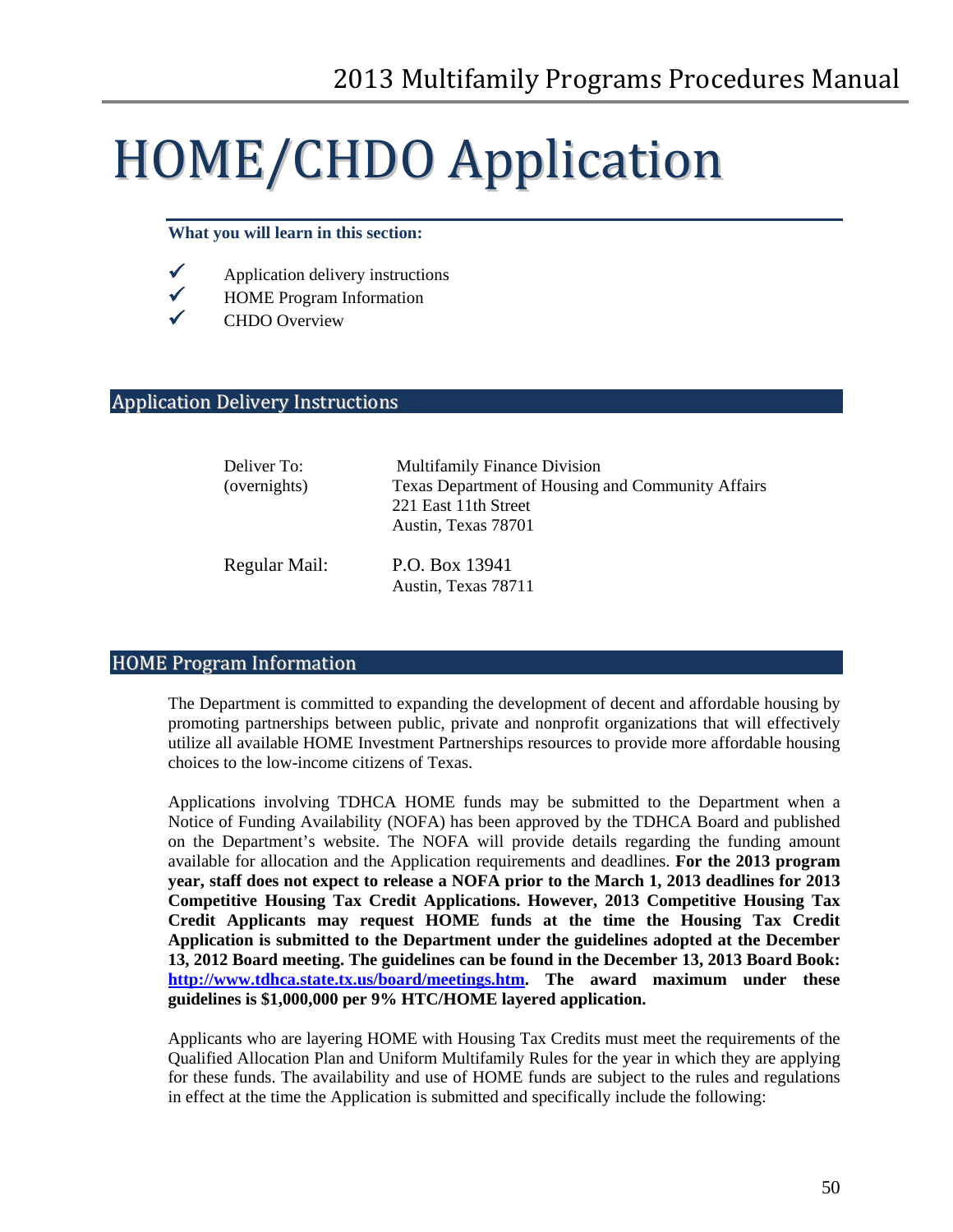# <span id="page-49-0"></span>HOME/CHDO Application

#### **What you will learn in this section:**

- $\checkmark$  Application delivery instructions
- $\checkmark$  HOME Program Information
- $\checkmark$  CHDO Overview

# <span id="page-49-1"></span>Application Delivery Instructions

| Deliver To:   | <b>Multifamily Finance Division</b>               |
|---------------|---------------------------------------------------|
| (overnights)  | Texas Department of Housing and Community Affairs |
|               | 221 East 11th Street                              |
|               | Austin, Texas 78701                               |
| Regular Mail: | P.O. Box 13941<br>Austin, Texas 78711             |

#### <span id="page-49-2"></span>HOME Program Information

The Department is committed to expanding the development of decent and affordable housing by promoting partnerships between public, private and nonprofit organizations that will effectively utilize all available HOME Investment Partnerships resources to provide more affordable housing choices to the low-income citizens of Texas.

Applications involving TDHCA HOME funds may be submitted to the Department when a Notice of Funding Availability (NOFA) has been approved by the TDHCA Board and published on the Department's website. The NOFA will provide details regarding the funding amount available for allocation and the Application requirements and deadlines. **For the 2013 program year, staff does not expect to release a NOFA prior to the March 1, 2013 deadlines for 2013 Competitive Housing Tax Credit Applications. However, 2013 Competitive Housing Tax Credit Applicants may request HOME funds at the time the Housing Tax Credit Application is submitted to the Department under the guidelines adopted at the December 13, 2012 Board meeting. The guidelines can be found in the December 13, 2013 Board Book: [http://www.tdhca.state.tx.us/board/meetings.htm.](http://www.tdhca.state.tx.us/board/meetings.htm) The award maximum under these guidelines is \$1,000,000 per 9% HTC/HOME layered application.**

Applicants who are layering HOME with Housing Tax Credits must meet the requirements of the Qualified Allocation Plan and Uniform Multifamily Rules for the year in which they are applying for these funds. The availability and use of HOME funds are subject to the rules and regulations in effect at the time the Application is submitted and specifically include the following: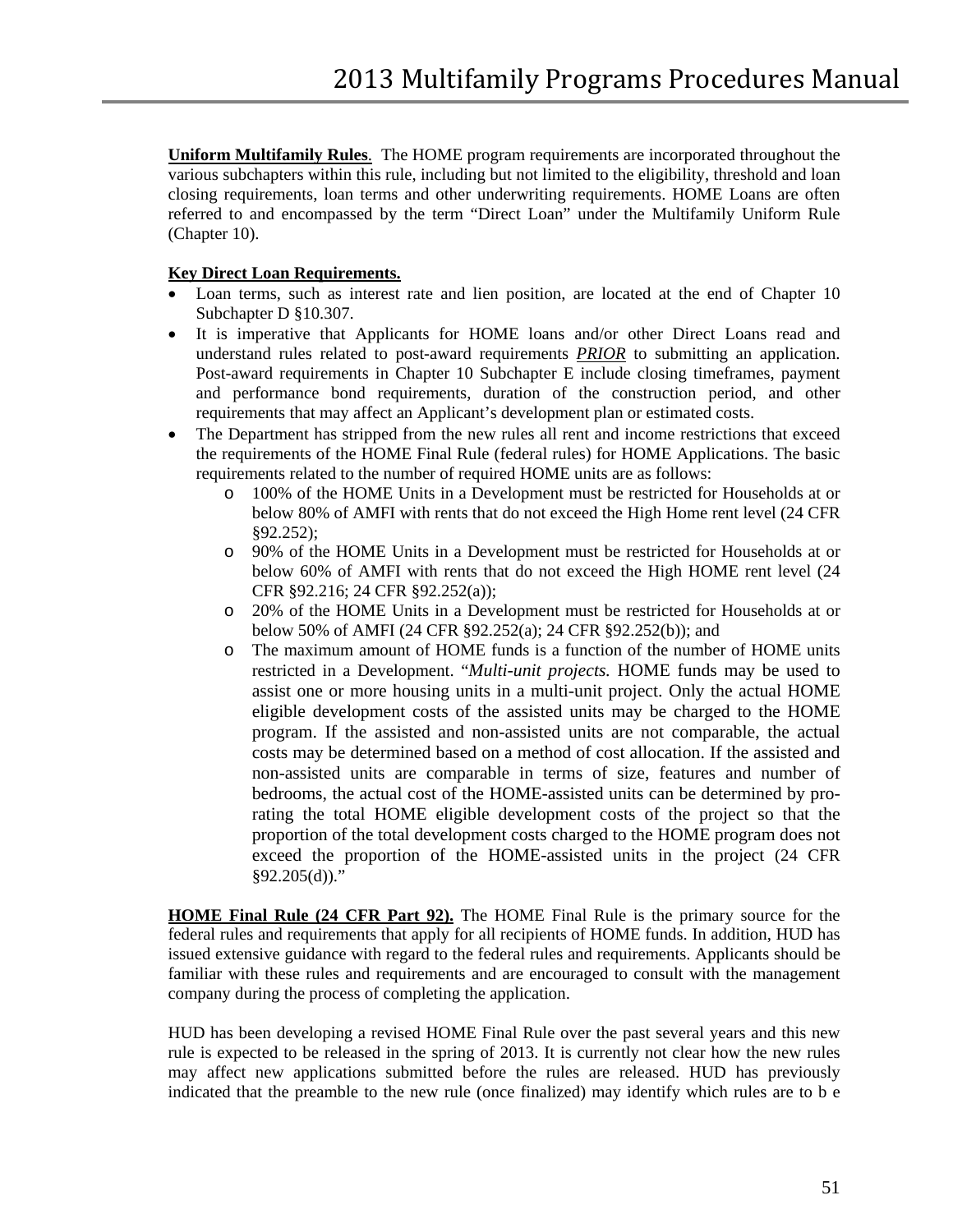**Uniform Multifamily Rules**. The HOME program requirements are incorporated throughout the various subchapters within this rule, including but not limited to the eligibility, threshold and loan closing requirements, loan terms and other underwriting requirements. HOME Loans are often referred to and encompassed by the term "Direct Loan" under the Multifamily Uniform Rule (Chapter 10).

#### **Key Direct Loan Requirements.**

- Loan terms, such as interest rate and lien position, are located at the end of Chapter 10 Subchapter D §10.307.
- It is imperative that Applicants for HOME loans and/or other Direct Loans read and understand rules related to post-award requirements *PRIOR* to submitting an application. Post-award requirements in Chapter 10 Subchapter E include closing timeframes, payment and performance bond requirements, duration of the construction period, and other requirements that may affect an Applicant's development plan or estimated costs.
- The Department has stripped from the new rules all rent and income restrictions that exceed the requirements of the HOME Final Rule (federal rules) for HOME Applications. The basic requirements related to the number of required HOME units are as follows:
	- o 100% of the HOME Units in a Development must be restricted for Households at or below 80% of AMFI with rents that do not exceed the High Home rent level (24 CFR §92.252);
	- o 90% of the HOME Units in a Development must be restricted for Households at or below 60% of AMFI with rents that do not exceed the High HOME rent level (24 CFR §92.216; 24 CFR §92.252(a));
	- o 20% of the HOME Units in a Development must be restricted for Households at or below 50% of AMFI (24 CFR §92.252(a); 24 CFR §92.252(b)); and
	- o The maximum amount of HOME funds is a function of the number of HOME units restricted in a Development. "*Multi-unit projects.* HOME funds may be used to assist one or more housing units in a multi-unit project. Only the actual HOME eligible development costs of the assisted units may be charged to the HOME program. If the assisted and non-assisted units are not comparable, the actual costs may be determined based on a method of cost allocation. If the assisted and non-assisted units are comparable in terms of size, features and number of bedrooms, the actual cost of the HOME-assisted units can be determined by prorating the total HOME eligible development costs of the project so that the proportion of the total development costs charged to the HOME program does not exceed the proportion of the HOME-assisted units in the project (24 CFR  $§92.205(d))$ ."

**HOME Final Rule (24 CFR Part 92).** The HOME Final Rule is the primary source for the federal rules and requirements that apply for all recipients of HOME funds. In addition, HUD has issued extensive guidance with regard to the federal rules and requirements. Applicants should be familiar with these rules and requirements and are encouraged to consult with the management company during the process of completing the application.

HUD has been developing a revised HOME Final Rule over the past several years and this new rule is expected to be released in the spring of 2013. It is currently not clear how the new rules may affect new applications submitted before the rules are released. HUD has previously indicated that the preamble to the new rule (once finalized) may identify which rules are to b e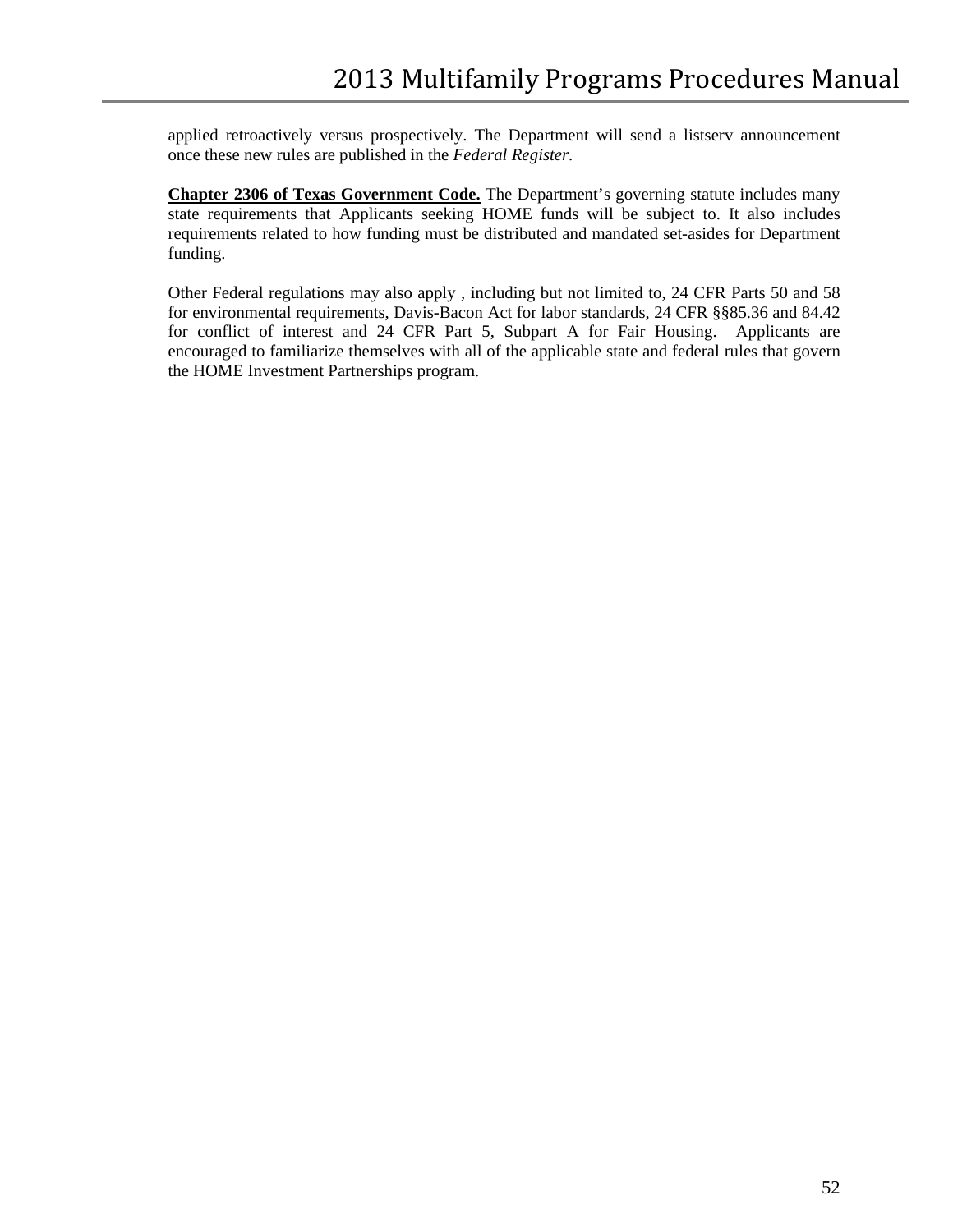applied retroactively versus prospectively. The Department will send a listserv announcement once these new rules are published in the *Federal Register*.

**Chapter 2306 of Texas Government Code.** The Department's governing statute includes many state requirements that Applicants seeking HOME funds will be subject to. It also includes requirements related to how funding must be distributed and mandated set-asides for Department funding.

Other Federal regulations may also apply , including but not limited to, 24 CFR Parts 50 and 58 for environmental requirements, Davis-Bacon Act for labor standards, 24 CFR §§85.36 and 84.42 for conflict of interest and 24 CFR Part 5, Subpart A for Fair Housing. Applicants are encouraged to familiarize themselves with all of the applicable state and federal rules that govern the HOME Investment Partnerships program.